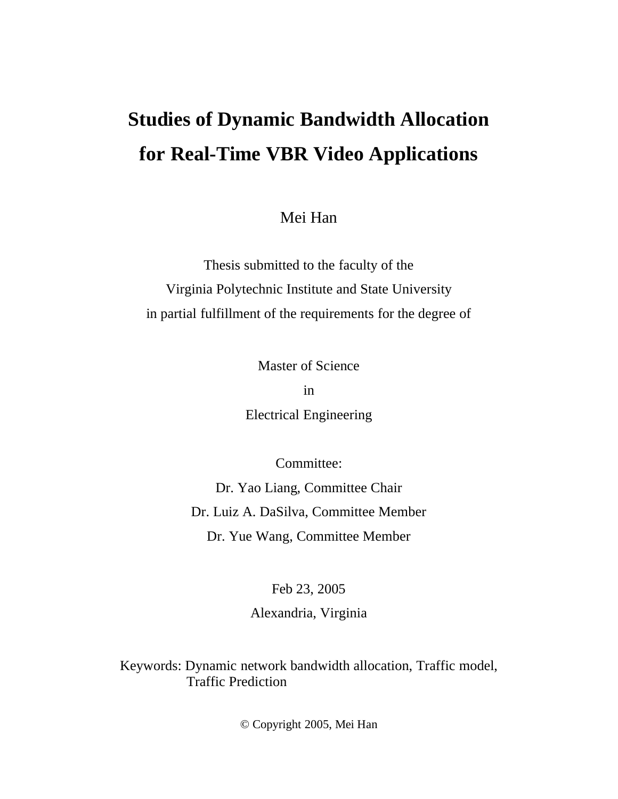## **Studies of Dynamic Bandwidth Allocation for Real-Time VBR Video Applications**

Mei Han

Thesis submitted to the faculty of the Virginia Polytechnic Institute and State University in partial fulfillment of the requirements for the degree of

> Master of Science in Electrical Engineering

> > Committee:

Dr. Yao Liang, Committee Chair Dr. Luiz A. DaSilva, Committee Member Dr. Yue Wang, Committee Member

Feb 23, 2005

Alexandria, Virginia

Keywords: Dynamic network bandwidth allocation, Traffic model, Traffic Prediction

© Copyright 2005, Mei Han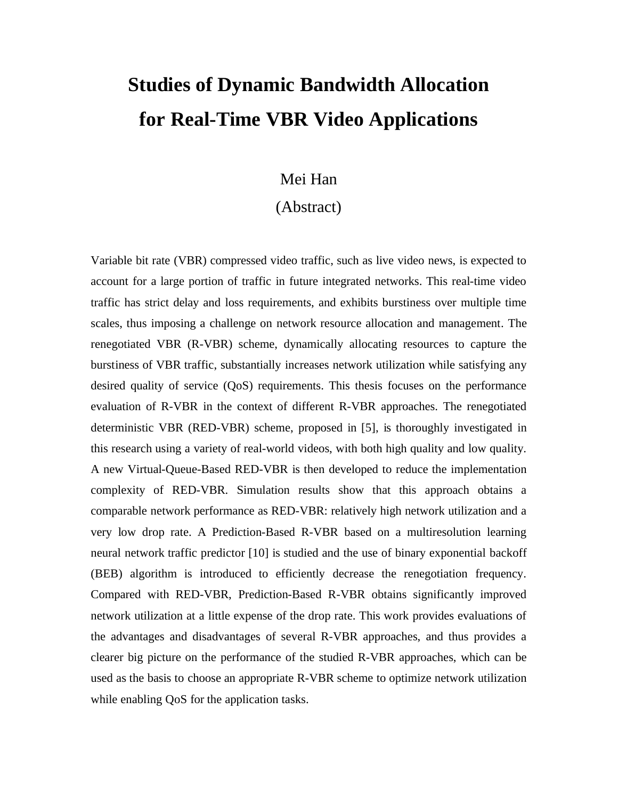## **Studies of Dynamic Bandwidth Allocation for Real-Time VBR Video Applications**

### Mei Han

### (Abstract)

Variable bit rate (VBR) compressed video traffic, such as live video news, is expected to account for a large portion of traffic in future integrated networks. This real-time video traffic has strict delay and loss requirements, and exhibits burstiness over multiple time scales, thus imposing a challenge on network resource allocation and management. The renegotiated VBR (R-VBR) scheme, dynamically allocating resources to capture the burstiness of VBR traffic, substantially increases network utilization while satisfying any desired quality of service (QoS) requirements. This thesis focuses on the performance evaluation of R-VBR in the context of different R-VBR approaches. The renegotiated deterministic VBR (RED-VBR) scheme, proposed in [5], is thoroughly investigated in this research using a variety of real-world videos, with both high quality and low quality. A new Virtual-Queue-Based RED-VBR is then developed to reduce the implementation complexity of RED-VBR. Simulation results show that this approach obtains a comparable network performance as RED-VBR: relatively high network utilization and a very low drop rate. A Prediction-Based R-VBR based on a multiresolution learning neural network traffic predictor [10] is studied and the use of binary exponential backoff (BEB) algorithm is introduced to efficiently decrease the renegotiation frequency. Compared with RED-VBR, Prediction-Based R-VBR obtains significantly improved network utilization at a little expense of the drop rate. This work provides evaluations of the advantages and disadvantages of several R-VBR approaches, and thus provides a clearer big picture on the performance of the studied R-VBR approaches, which can be used as the basis to choose an appropriate R-VBR scheme to optimize network utilization while enabling QoS for the application tasks.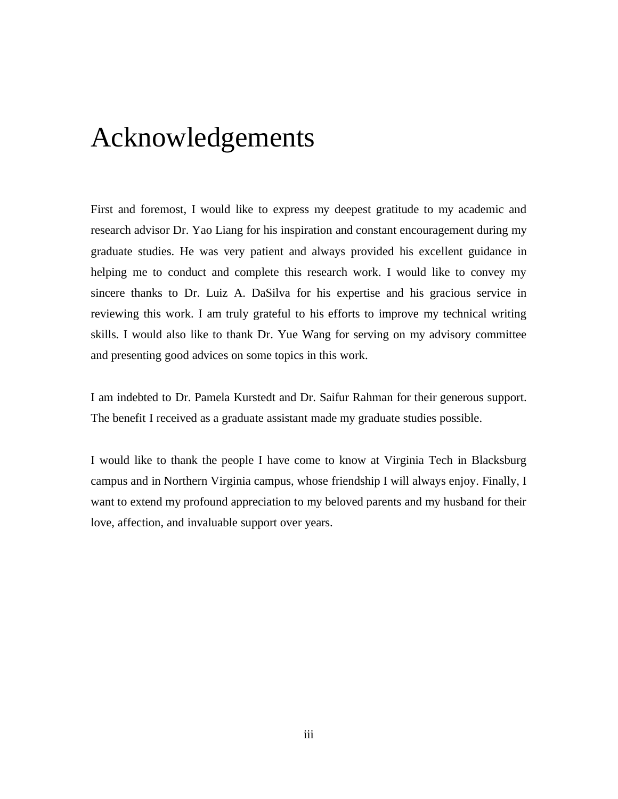## Acknowledgements

First and foremost, I would like to express my deepest gratitude to my academic and research advisor Dr. Yao Liang for his inspiration and constant encouragement during my graduate studies. He was very patient and always provided his excellent guidance in helping me to conduct and complete this research work. I would like to convey my sincere thanks to Dr. Luiz A. DaSilva for his expertise and his gracious service in reviewing this work. I am truly grateful to his efforts to improve my technical writing skills. I would also like to thank Dr. Yue Wang for serving on my advisory committee and presenting good advices on some topics in this work.

I am indebted to Dr. Pamela Kurstedt and Dr. Saifur Rahman for their generous support. The benefit I received as a graduate assistant made my graduate studies possible.

I would like to thank the people I have come to know at Virginia Tech in Blacksburg campus and in Northern Virginia campus, whose friendship I will always enjoy. Finally, I want to extend my profound appreciation to my beloved parents and my husband for their love, affection, and invaluable support over years.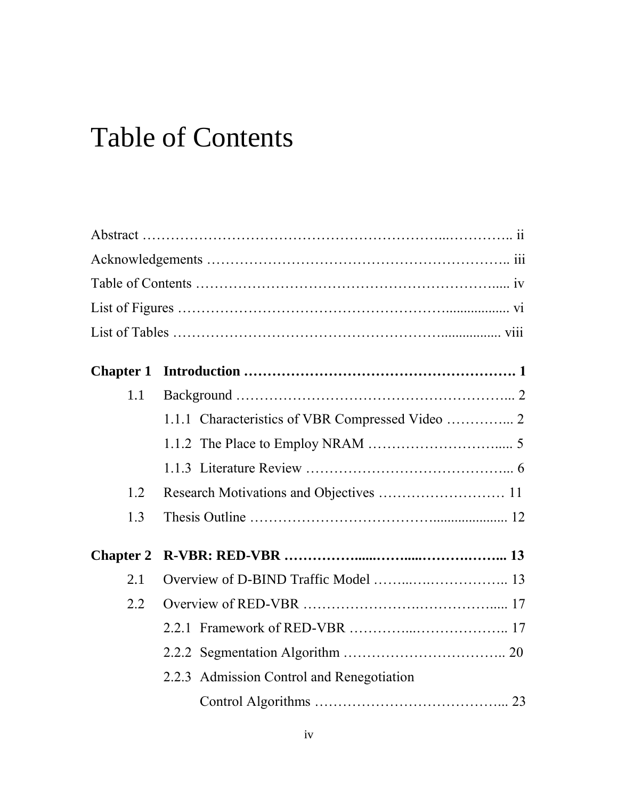# Table of Contents

| <b>Chapter 1</b> |                                           |  |
|------------------|-------------------------------------------|--|
| 1.1              |                                           |  |
|                  |                                           |  |
|                  |                                           |  |
|                  |                                           |  |
| 1.2              |                                           |  |
| 1.3              |                                           |  |
| <b>Chapter 2</b> |                                           |  |
| 2.1              | Overview of D-BIND Traffic Model  13      |  |
| 2.2              |                                           |  |
|                  |                                           |  |
|                  |                                           |  |
|                  | 2.2.3 Admission Control and Renegotiation |  |
|                  |                                           |  |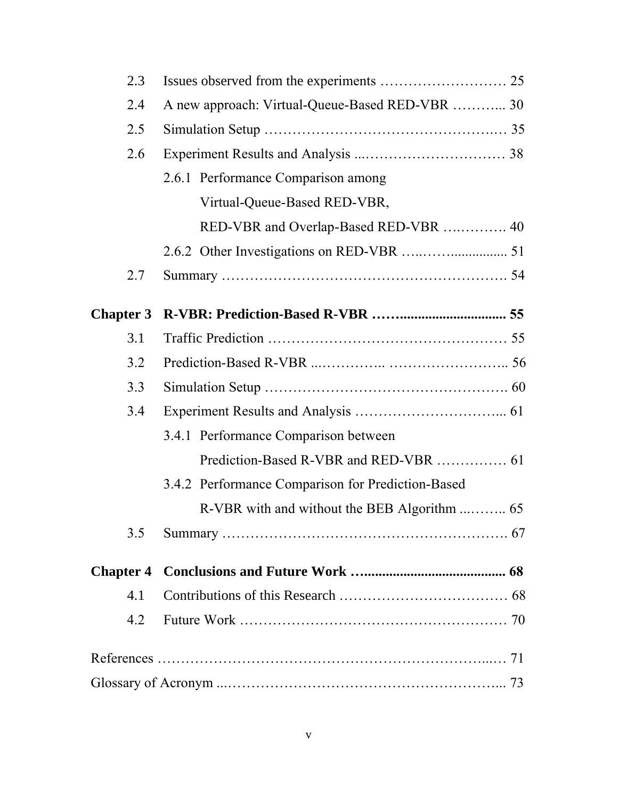| 2.3              |                                                   |  |
|------------------|---------------------------------------------------|--|
| 2.4              | A new approach: Virtual-Queue-Based RED-VBR  30   |  |
| 2.5              |                                                   |  |
| 2.6              |                                                   |  |
|                  | 2.6.1 Performance Comparison among                |  |
|                  | Virtual-Queue-Based RED-VBR,                      |  |
|                  | RED-VBR and Overlap-Based RED-VBR  40             |  |
|                  |                                                   |  |
| 2.7              |                                                   |  |
|                  |                                                   |  |
| <b>Chapter 3</b> |                                                   |  |
| 3.1              |                                                   |  |
| 3.2              |                                                   |  |
| 3.3              |                                                   |  |
| 3.4              |                                                   |  |
|                  | 3.4.1 Performance Comparison between              |  |
|                  |                                                   |  |
|                  | 3.4.2 Performance Comparison for Prediction-Based |  |
|                  |                                                   |  |
| 3.5              |                                                   |  |
| <b>Chapter 4</b> |                                                   |  |
| 4.1              |                                                   |  |
| 4.2              |                                                   |  |
|                  |                                                   |  |
|                  |                                                   |  |
|                  |                                                   |  |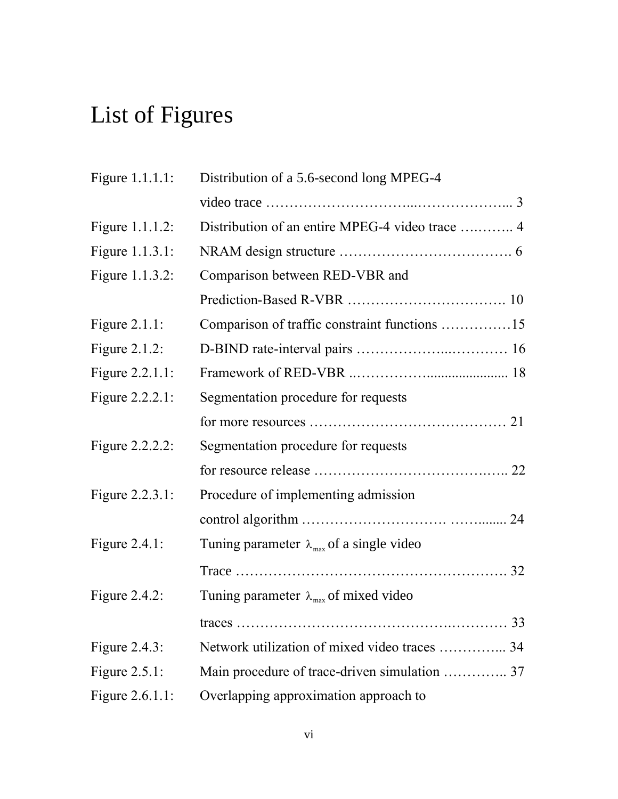# List of Figures

| Figure 1.1.1.1:  | Distribution of a 5.6-second long MPEG-4                  |    |
|------------------|-----------------------------------------------------------|----|
|                  |                                                           |    |
| Figure 1.1.1.2:  |                                                           |    |
| Figure 1.1.3.1:  |                                                           |    |
| Figure 1.1.3.2:  | Comparison between RED-VBR and                            |    |
|                  |                                                           |    |
| Figure $2.1.1$ : | Comparison of traffic constraint functions 15             |    |
| Figure $2.1.2$ : |                                                           |    |
| Figure 2.2.1.1:  |                                                           |    |
| Figure 2.2.2.1:  | Segmentation procedure for requests                       |    |
|                  |                                                           |    |
| Figure 2.2.2.2:  | Segmentation procedure for requests                       |    |
|                  |                                                           |    |
| Figure 2.2.3.1:  | Procedure of implementing admission                       |    |
|                  |                                                           |    |
| Figure 2.4.1:    | Tuning parameter $\lambda_{\text{max}}$ of a single video |    |
|                  |                                                           |    |
| Figure $2.4.2$ : | Tuning parameter $\lambda_{\text{max}}$ of mixed video    |    |
|                  | $traces$                                                  | 33 |
| Figure $2.4.3$ : | Network utilization of mixed video traces  34             |    |
| Figure $2.5.1$ : | Main procedure of trace-driven simulation  37             |    |
| Figure 2.6.1.1:  | Overlapping approximation approach to                     |    |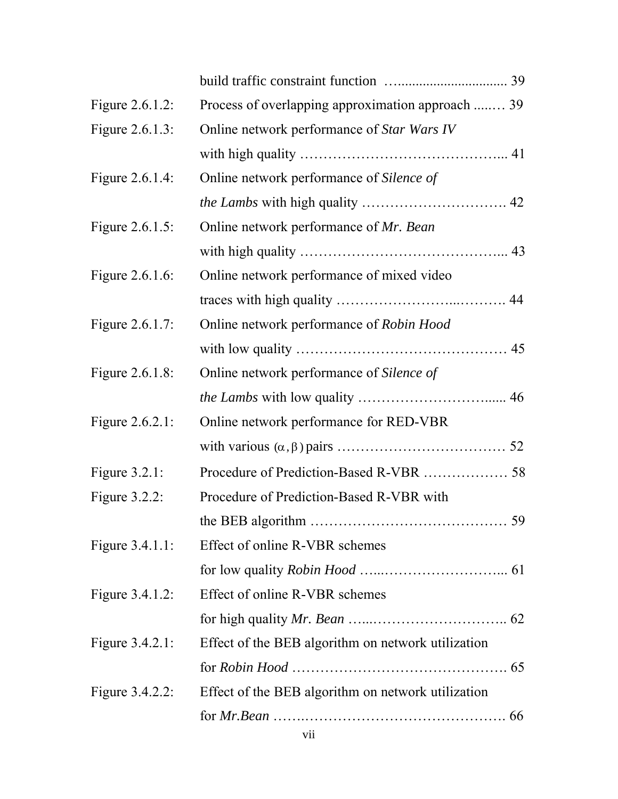| Figure 2.6.1.2:  | Process of overlapping approximation approach  39  |    |
|------------------|----------------------------------------------------|----|
| Figure 2.6.1.3:  | Online network performance of <i>Star Wars IV</i>  |    |
|                  |                                                    |    |
| Figure 2.6.1.4:  | Online network performance of Silence of           |    |
|                  |                                                    |    |
| Figure 2.6.1.5:  | Online network performance of Mr. Bean             |    |
|                  |                                                    |    |
| Figure 2.6.1.6:  | Online network performance of mixed video          |    |
|                  |                                                    |    |
| Figure 2.6.1.7:  | Online network performance of <i>Robin Hood</i>    |    |
|                  |                                                    |    |
| Figure 2.6.1.8:  | Online network performance of Silence of           |    |
|                  |                                                    |    |
| Figure 2.6.2.1:  | Online network performance for RED-VBR             |    |
|                  |                                                    |    |
| Figure 3.2.1:    |                                                    |    |
| Figure $3.2.2$ : | Procedure of Prediction-Based R-VBR with           |    |
|                  |                                                    | 59 |
| Figure 3.4.1.1:  | Effect of online R-VBR schemes                     |    |
|                  |                                                    |    |
| Figure 3.4.1.2:  | Effect of online R-VBR schemes                     |    |
|                  |                                                    |    |
| Figure 3.4.2.1:  | Effect of the BEB algorithm on network utilization |    |
|                  |                                                    |    |
| Figure 3.4.2.2:  | Effect of the BEB algorithm on network utilization |    |
|                  |                                                    |    |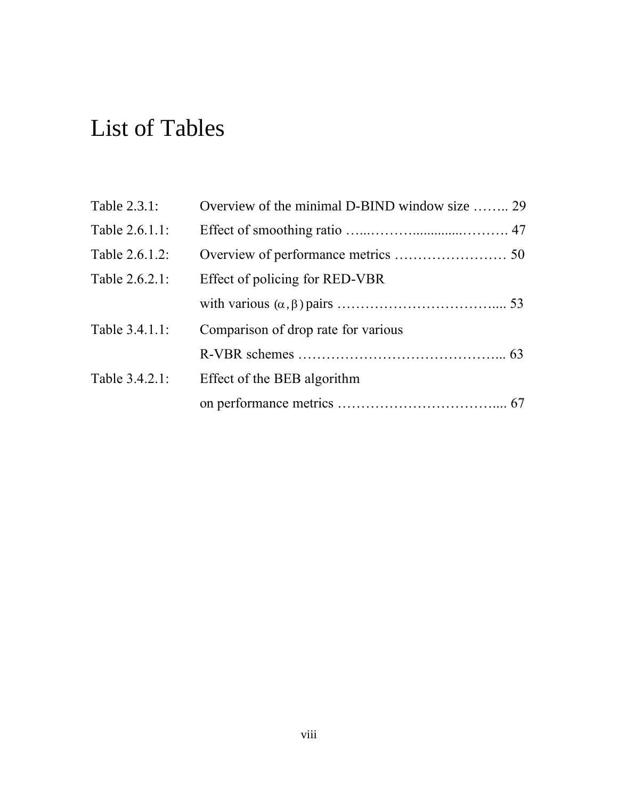## List of Tables

| Table 2.3.1:   | Overview of the minimal D-BIND window size  29 |  |
|----------------|------------------------------------------------|--|
| Table 2.6.1.1: |                                                |  |
| Table 2.6.1.2: |                                                |  |
| Table 2.6.2.1: | Effect of policing for RED-VBR                 |  |
|                |                                                |  |
| Table 3.4.1.1: | Comparison of drop rate for various            |  |
|                |                                                |  |
| Table 3.4.2.1: | Effect of the BEB algorithm                    |  |
|                |                                                |  |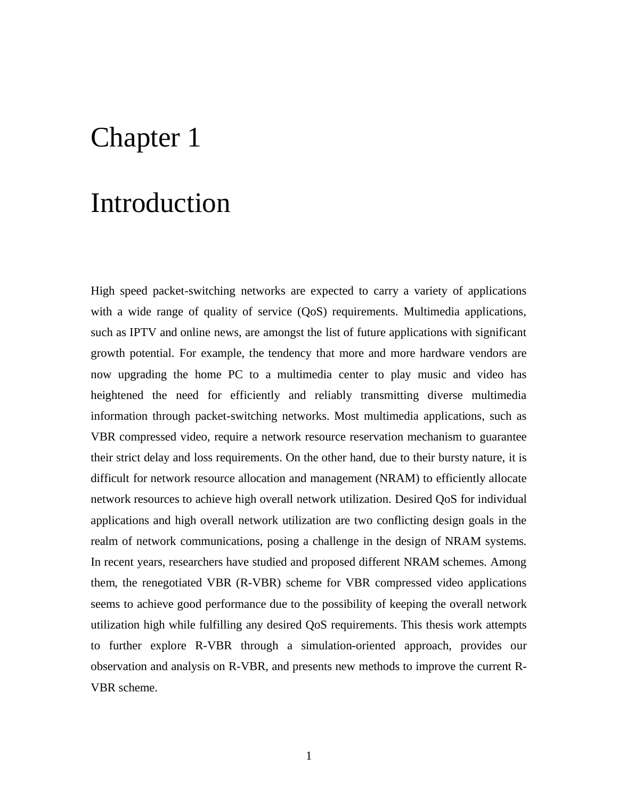## Chapter 1

## Introduction

High speed packet-switching networks are expected to carry a variety of applications with a wide range of quality of service (QoS) requirements. Multimedia applications, such as IPTV and online news, are amongst the list of future applications with significant growth potential. For example, the tendency that more and more hardware vendors are now upgrading the home PC to a multimedia center to play music and video has heightened the need for efficiently and reliably transmitting diverse multimedia information through packet-switching networks. Most multimedia applications, such as VBR compressed video, require a network resource reservation mechanism to guarantee their strict delay and loss requirements. On the other hand, due to their bursty nature, it is difficult for network resource allocation and management (NRAM) to efficiently allocate network resources to achieve high overall network utilization. Desired QoS for individual applications and high overall network utilization are two conflicting design goals in the realm of network communications, posing a challenge in the design of NRAM systems. In recent years, researchers have studied and proposed different NRAM schemes. Among them, the renegotiated VBR (R-VBR) scheme for VBR compressed video applications seems to achieve good performance due to the possibility of keeping the overall network utilization high while fulfilling any desired QoS requirements. This thesis work attempts to further explore R-VBR through a simulation-oriented approach, provides our observation and analysis on R-VBR, and presents new methods to improve the current R-VBR scheme.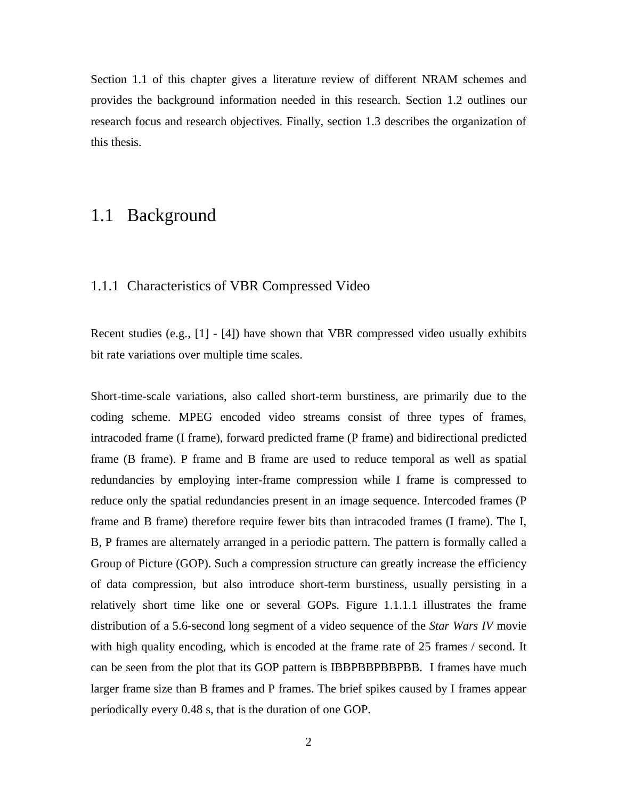Section 1.1 of this chapter gives a literature review of different NRAM schemes and provides the background information needed in this research. Section 1.2 outlines our research focus and research objectives. Finally, section 1.3 describes the organization of this thesis.

### 1.1 Background

#### 1.1.1 Characteristics of VBR Compressed Video

Recent studies (e.g., [1] - [4]) have shown that VBR compressed video usually exhibits bit rate variations over multiple time scales.

Short-time-scale variations, also called short-term burstiness, are primarily due to the coding scheme. MPEG encoded video streams consist of three types of frames, intracoded frame (I frame), forward predicted frame (P frame) and bidirectional predicted frame (B frame). P frame and B frame are used to reduce temporal as well as spatial redundancies by employing inter-frame compression while I frame is compressed to reduce only the spatial redundancies present in an image sequence. Intercoded frames (P frame and B frame) therefore require fewer bits than intracoded frames (I frame). The I, B, P frames are alternately arranged in a periodic pattern. The pattern is formally called a Group of Picture (GOP). Such a compression structure can greatly increase the efficiency of data compression, but also introduce short-term burstiness, usually persisting in a relatively short time like one or several GOPs. Figure 1.1.1.1 illustrates the frame distribution of a 5.6-second long segment of a video sequence of the *Star Wars IV* movie with high quality encoding, which is encoded at the frame rate of 25 frames / second. It can be seen from the plot that its GOP pattern is IBBPBBPBBPBB. I frames have much larger frame size than B frames and P frames. The brief spikes caused by I frames appear periodically every 0.48 s, that is the duration of one GOP.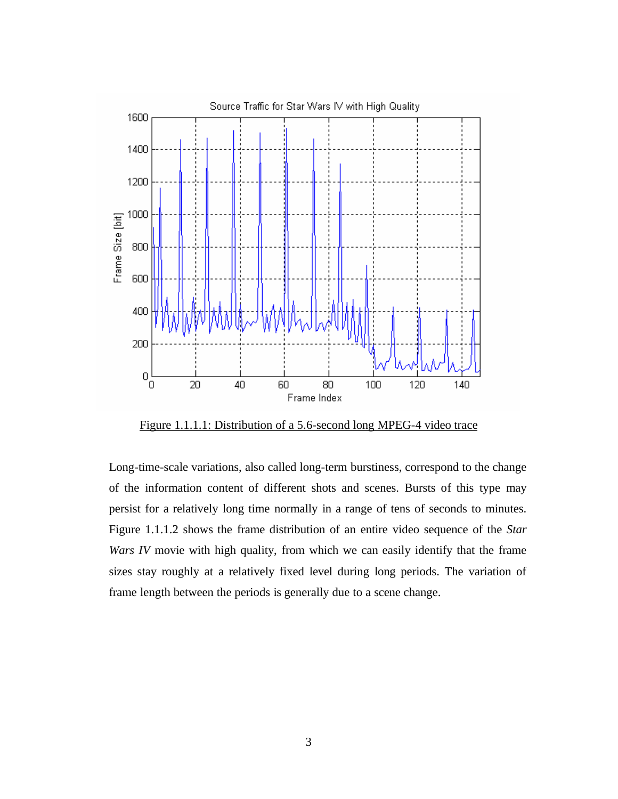

Figure 1.1.1.1: Distribution of a 5.6-second long MPEG-4 video trace

Long-time-scale variations, also called long-term burstiness, correspond to the change of the information content of different shots and scenes. Bursts of this type may persist for a relatively long time normally in a range of tens of seconds to minutes. Figure 1.1.1.2 shows the frame distribution of an entire video sequence of the *Star Wars IV* movie with high quality, from which we can easily identify that the frame sizes stay roughly at a relatively fixed level during long periods. The variation of frame length between the periods is generally due to a scene change.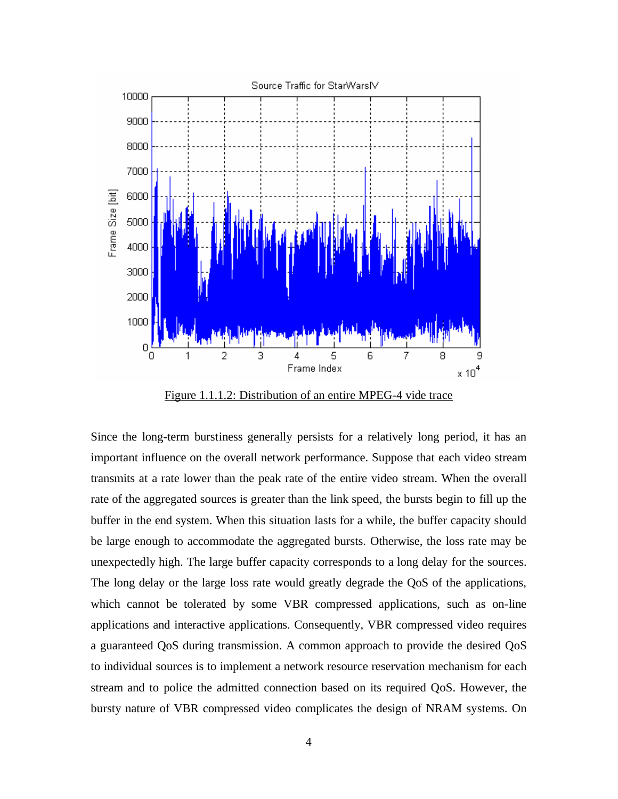

Figure 1.1.1.2: Distribution of an entire MPEG-4 vide trace

Since the long-term burstiness generally persists for a relatively long period, it has an important influence on the overall network performance. Suppose that each video stream transmits at a rate lower than the peak rate of the entire video stream. When the overall rate of the aggregated sources is greater than the link speed, the bursts begin to fill up the buffer in the end system. When this situation lasts for a while, the buffer capacity should be large enough to accommodate the aggregated bursts. Otherwise, the loss rate may be unexpectedly high. The large buffer capacity corresponds to a long delay for the sources. The long delay or the large loss rate would greatly degrade the QoS of the applications, which cannot be tolerated by some VBR compressed applications, such as on-line applications and interactive applications. Consequently, VBR compressed video requires a guaranteed QoS during transmission. A common approach to provide the desired QoS to individual sources is to implement a network resource reservation mechanism for each stream and to police the admitted connection based on its required QoS. However, the bursty nature of VBR compressed video complicates the design of NRAM systems. On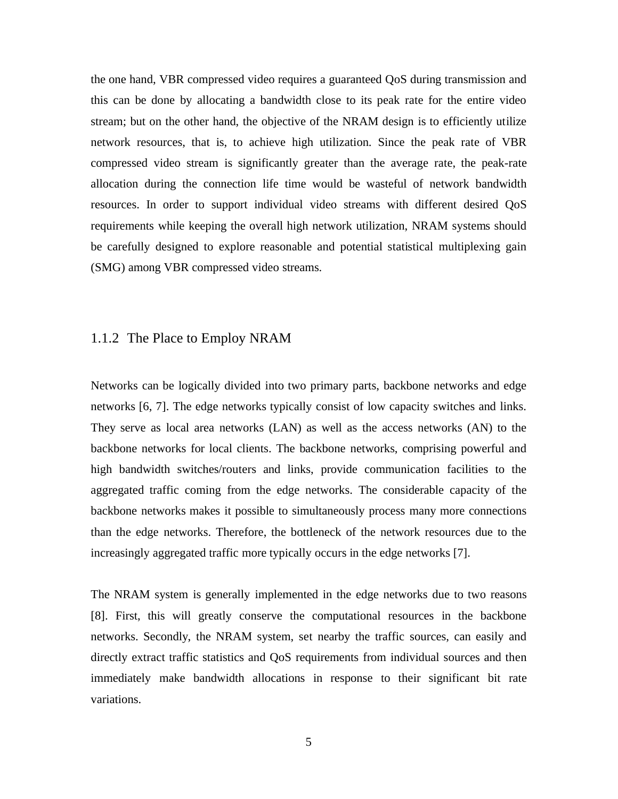the one hand, VBR compressed video requires a guaranteed QoS during transmission and this can be done by allocating a bandwidth close to its peak rate for the entire video stream; but on the other hand, the objective of the NRAM design is to efficiently utilize network resources, that is, to achieve high utilization. Since the peak rate of VBR compressed video stream is significantly greater than the average rate, the peak-rate allocation during the connection life time would be wasteful of network bandwidth resources. In order to support individual video streams with different desired QoS requirements while keeping the overall high network utilization, NRAM systems should be carefully designed to explore reasonable and potential statistical multiplexing gain (SMG) among VBR compressed video streams.

#### 1.1.2 The Place to Employ NRAM

Networks can be logically divided into two primary parts, backbone networks and edge networks [6, 7]. The edge networks typically consist of low capacity switches and links. They serve as local area networks (LAN) as well as the access networks (AN) to the backbone networks for local clients. The backbone networks, comprising powerful and high bandwidth switches/routers and links, provide communication facilities to the aggregated traffic coming from the edge networks. The considerable capacity of the backbone networks makes it possible to simultaneously process many more connections than the edge networks. Therefore, the bottleneck of the network resources due to the increasingly aggregated traffic more typically occurs in the edge networks [7].

The NRAM system is generally implemented in the edge networks due to two reasons [8]. First, this will greatly conserve the computational resources in the backbone networks. Secondly, the NRAM system, set nearby the traffic sources, can easily and directly extract traffic statistics and QoS requirements from individual sources and then immediately make bandwidth allocations in response to their significant bit rate variations.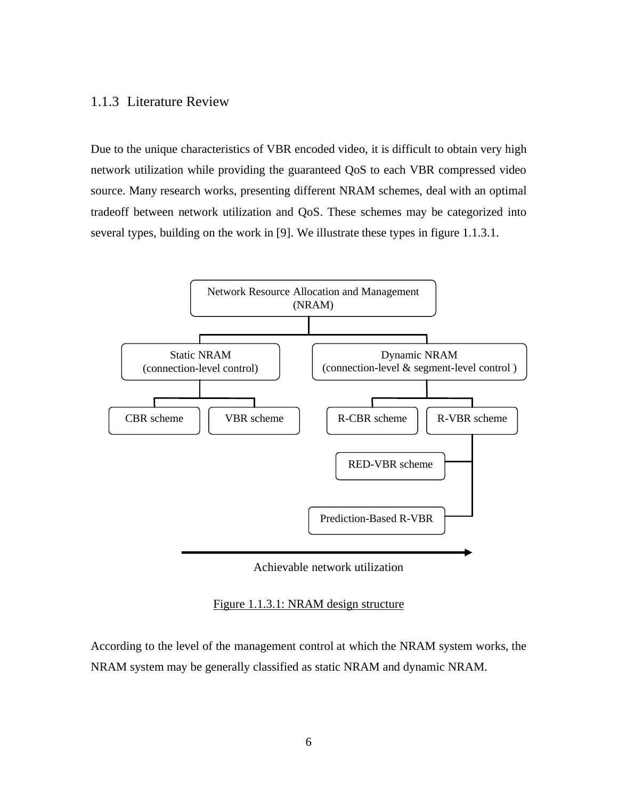#### 1.1.3 Literature Review

Due to the unique characteristics of VBR encoded video, it is difficult to obtain very high network utilization while providing the guaranteed QoS to each VBR compressed video source. Many research works, presenting different NRAM schemes, deal with an optimal tradeoff between network utilization and QoS. These schemes may be categorized into several types, building on the work in [9]. We illustrate these types in figure 1.1.3.1.



Achievable network utilization

#### Figure 1.1.3.1: NRAM design structure

According to the level of the management control at which the NRAM system works, the NRAM system may be generally classified as static NRAM and dynamic NRAM.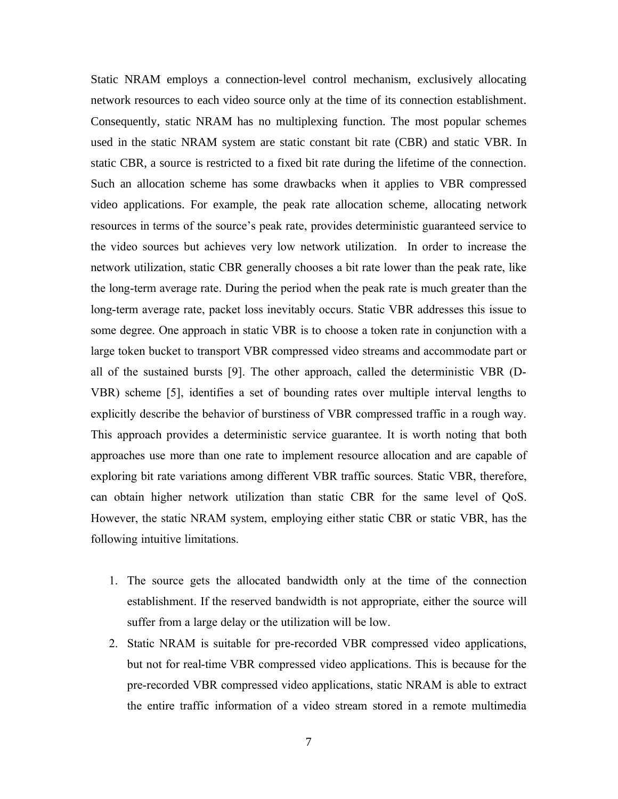Static NRAM employs a connection-level control mechanism, exclusively allocating network resources to each video source only at the time of its connection establishment. Consequently, static NRAM has no multiplexing function. The most popular schemes used in the static NRAM system are static constant bit rate (CBR) and static VBR. In static CBR, a source is restricted to a fixed bit rate during the lifetime of the connection. Such an allocation scheme has some drawbacks when it applies to VBR compressed video applications. For example, the peak rate allocation scheme, allocating network resources in terms of the source's peak rate, provides deterministic guaranteed service to the video sources but achieves very low network utilization. In order to increase the network utilization, static CBR generally chooses a bit rate lower than the peak rate, like the long-term average rate. During the period when the peak rate is much greater than the long-term average rate, packet loss inevitably occurs. Static VBR addresses this issue to some degree. One approach in static VBR is to choose a token rate in conjunction with a large token bucket to transport VBR compressed video streams and accommodate part or all of the sustained bursts [9]. The other approach, called the deterministic VBR (D-VBR) scheme [5], identifies a set of bounding rates over multiple interval lengths to explicitly describe the behavior of burstiness of VBR compressed traffic in a rough way. This approach provides a deterministic service guarantee. It is worth noting that both approaches use more than one rate to implement resource allocation and are capable of exploring bit rate variations among different VBR traffic sources. Static VBR, therefore, can obtain higher network utilization than static CBR for the same level of QoS. However, the static NRAM system, employing either static CBR or static VBR, has the following intuitive limitations.

- 1. The source gets the allocated bandwidth only at the time of the connection establishment. If the reserved bandwidth is not appropriate, either the source will suffer from a large delay or the utilization will be low.
- 2. Static NRAM is suitable for pre-recorded VBR compressed video applications, but not for real-time VBR compressed video applications. This is because for the pre-recorded VBR compressed video applications, static NRAM is able to extract the entire traffic information of a video stream stored in a remote multimedia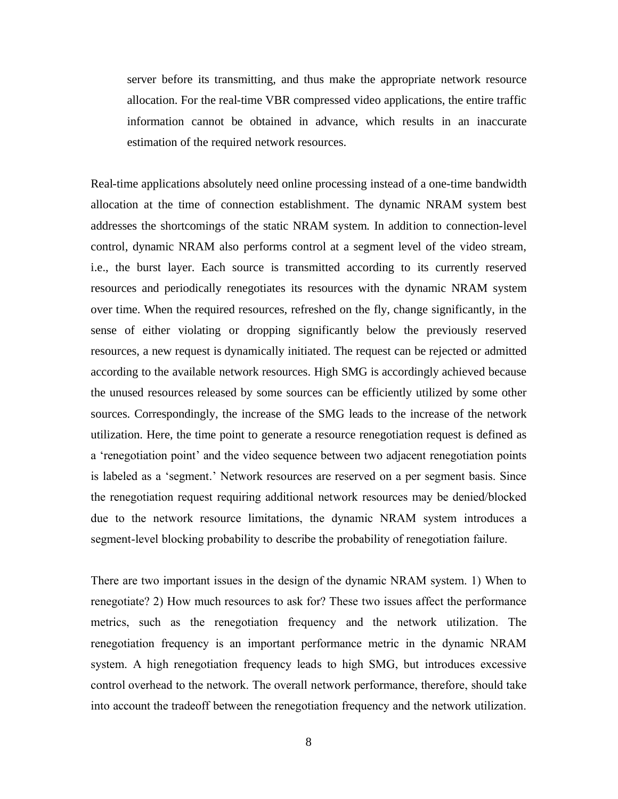server before its transmitting, and thus make the appropriate network resource allocation. For the real-time VBR compressed video applications, the entire traffic information cannot be obtained in advance, which results in an inaccurate estimation of the required network resources.

Real-time applications absolutely need online processing instead of a one-time bandwidth allocation at the time of connection establishment. The dynamic NRAM system best addresses the shortcomings of the static NRAM system. In addition to connection-level control, dynamic NRAM also performs control at a segment level of the video stream, i.e., the burst layer. Each source is transmitted according to its currently reserved resources and periodically renegotiates its resources with the dynamic NRAM system over time. When the required resources, refreshed on the fly, change significantly, in the sense of either violating or dropping significantly below the previously reserved resources, a new request is dynamically initiated. The request can be rejected or admitted according to the available network resources. High SMG is accordingly achieved because the unused resources released by some sources can be efficiently utilized by some other sources. Correspondingly, the increase of the SMG leads to the increase of the network utilization. Here, the time point to generate a resource renegotiation request is defined as a 'renegotiation point' and the video sequence between two adjacent renegotiation points is labeled as a 'segment.' Network resources are reserved on a per segment basis. Since the renegotiation request requiring additional network resources may be denied/blocked due to the network resource limitations, the dynamic NRAM system introduces a segment-level blocking probability to describe the probability of renegotiation failure.

There are two important issues in the design of the dynamic NRAM system. 1) When to renegotiate? 2) How much resources to ask for? These two issues affect the performance metrics, such as the renegotiation frequency and the network utilization. The renegotiation frequency is an important performance metric in the dynamic NRAM system. A high renegotiation frequency leads to high SMG, but introduces excessive control overhead to the network. The overall network performance, therefore, should take into account the tradeoff between the renegotiation frequency and the network utilization.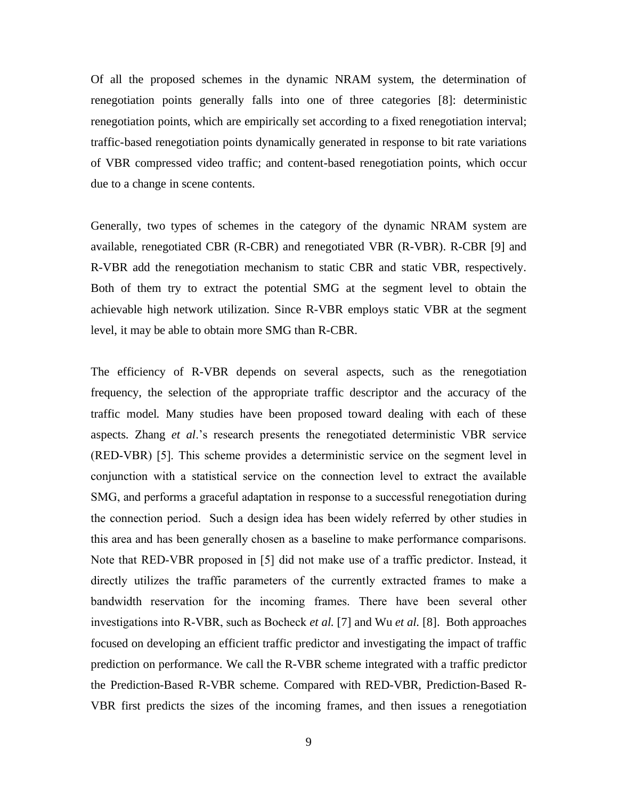Of all the proposed schemes in the dynamic NRAM system, the determination of renegotiation points generally falls into one of three categories [8]: deterministic renegotiation points, which are empirically set according to a fixed renegotiation interval; traffic-based renegotiation points dynamically generated in response to bit rate variations of VBR compressed video traffic; and content-based renegotiation points, which occur due to a change in scene contents.

Generally, two types of schemes in the category of the dynamic NRAM system are available, renegotiated CBR (R-CBR) and renegotiated VBR (R-VBR). R-CBR [9] and R-VBR add the renegotiation mechanism to static CBR and static VBR, respectively. Both of them try to extract the potential SMG at the segment level to obtain the achievable high network utilization. Since R-VBR employs static VBR at the segment level, it may be able to obtain more SMG than R-CBR.

The efficiency of R-VBR depends on several aspects, such as the renegotiation frequency, the selection of the appropriate traffic descriptor and the accuracy of the traffic model. Many studies have been proposed toward dealing with each of these aspects. Zhang *et al*.'s research presents the renegotiated deterministic VBR service (RED-VBR) [5]. This scheme provides a deterministic service on the segment level in conjunction with a statistical service on the connection level to extract the available SMG, and performs a graceful adaptation in response to a successful renegotiation during the connection period. Such a design idea has been widely referred by other studies in this area and has been generally chosen as a baseline to make performance comparisons. Note that RED-VBR proposed in [5] did not make use of a traffic predictor. Instead, it directly utilizes the traffic parameters of the currently extracted frames to make a bandwidth reservation for the incoming frames. There have been several other investigations into R-VBR, such as Bocheck *et al.* [7] and Wu *et al.* [8]. Both approaches focused on developing an efficient traffic predictor and investigating the impact of traffic prediction on performance. We call the R-VBR scheme integrated with a traffic predictor the Prediction-Based R-VBR scheme. Compared with RED-VBR, Prediction-Based R-VBR first predicts the sizes of the incoming frames, and then issues a renegotiation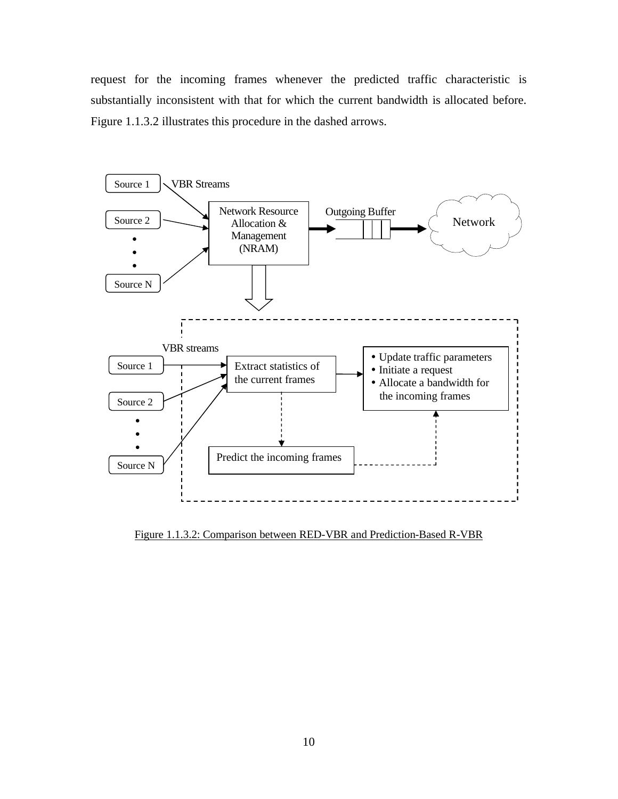request for the incoming frames whenever the predicted traffic characteristic is substantially inconsistent with that for which the current bandwidth is allocated before. Figure 1.1.3.2 illustrates this procedure in the dashed arrows.



Figure 1.1.3.2: Comparison between RED-VBR and Prediction-Based R-VBR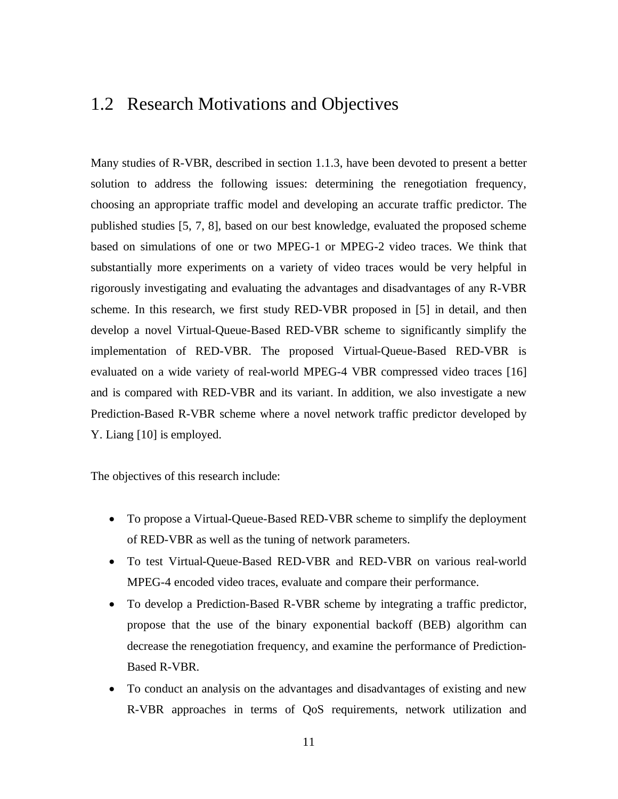### 1.2 Research Motivations and Objectives

Many studies of R-VBR, described in section 1.1.3, have been devoted to present a better solution to address the following issues: determining the renegotiation frequency, choosing an appropriate traffic model and developing an accurate traffic predictor. The published studies [5, 7, 8], based on our best knowledge, evaluated the proposed scheme based on simulations of one or two MPEG-1 or MPEG-2 video traces. We think that substantially more experiments on a variety of video traces would be very helpful in rigorously investigating and evaluating the advantages and disadvantages of any R-VBR scheme. In this research, we first study RED-VBR proposed in [5] in detail, and then develop a novel Virtual-Queue-Based RED-VBR scheme to significantly simplify the implementation of RED-VBR. The proposed Virtual-Queue-Based RED-VBR is evaluated on a wide variety of real-world MPEG-4 VBR compressed video traces [16] and is compared with RED-VBR and its variant. In addition, we also investigate a new Prediction-Based R-VBR scheme where a novel network traffic predictor developed by Y. Liang [10] is employed.

The objectives of this research include:

- To propose a Virtual-Queue-Based RED-VBR scheme to simplify the deployment of RED-VBR as well as the tuning of network parameters.
- To test Virtual-Queue-Based RED-VBR and RED-VBR on various real-world MPEG-4 encoded video traces, evaluate and compare their performance.
- To develop a Prediction-Based R-VBR scheme by integrating a traffic predictor, propose that the use of the binary exponential backoff (BEB) algorithm can decrease the renegotiation frequency, and examine the performance of Prediction-Based R-VBR.
- To conduct an analysis on the advantages and disadvantages of existing and new R-VBR approaches in terms of QoS requirements, network utilization and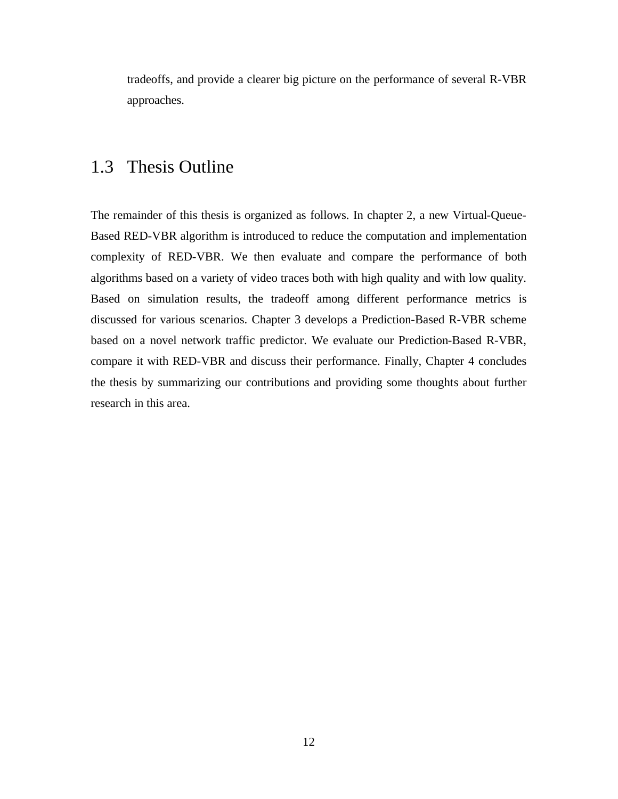tradeoffs, and provide a clearer big picture on the performance of several R-VBR approaches.

### 1.3 Thesis Outline

The remainder of this thesis is organized as follows. In chapter 2, a new Virtual-Queue-Based RED-VBR algorithm is introduced to reduce the computation and implementation complexity of RED-VBR. We then evaluate and compare the performance of both algorithms based on a variety of video traces both with high quality and with low quality. Based on simulation results, the tradeoff among different performance metrics is discussed for various scenarios. Chapter 3 develops a Prediction-Based R-VBR scheme based on a novel network traffic predictor. We evaluate our Prediction-Based R-VBR, compare it with RED-VBR and discuss their performance. Finally, Chapter 4 concludes the thesis by summarizing our contributions and providing some thoughts about further research in this area.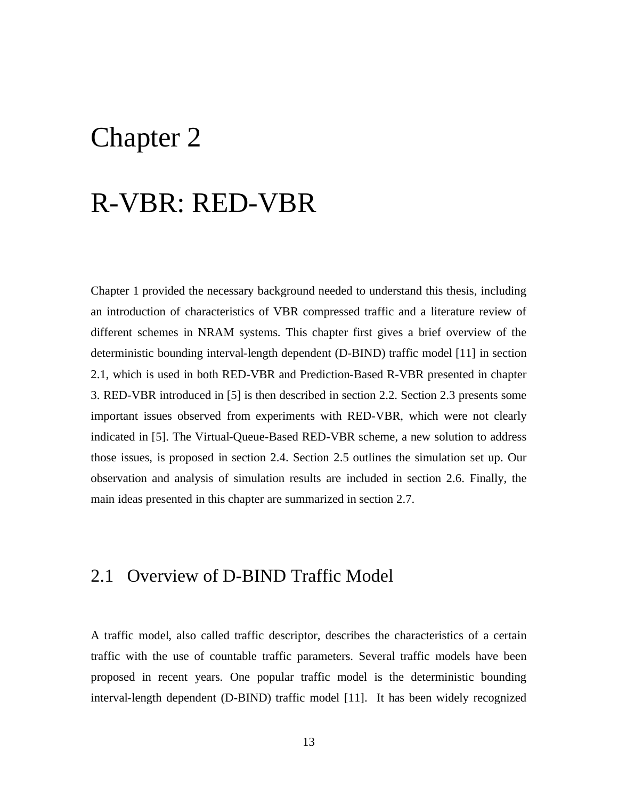## Chapter 2

## R-VBR: RED-VBR

Chapter 1 provided the necessary background needed to understand this thesis, including an introduction of characteristics of VBR compressed traffic and a literature review of different schemes in NRAM systems. This chapter first gives a brief overview of the deterministic bounding interval-length dependent (D-BIND) traffic model [11] in section 2.1, which is used in both RED-VBR and Prediction-Based R-VBR presented in chapter 3. RED-VBR introduced in [5] is then described in section 2.2. Section 2.3 presents some important issues observed from experiments with RED-VBR, which were not clearly indicated in [5]. The Virtual-Queue-Based RED-VBR scheme, a new solution to address those issues, is proposed in section 2.4. Section 2.5 outlines the simulation set up. Our observation and analysis of simulation results are included in section 2.6. Finally, the main ideas presented in this chapter are summarized in section 2.7.

### 2.1 Overview of D-BIND Traffic Model

A traffic model, also called traffic descriptor, describes the characteristics of a certain traffic with the use of countable traffic parameters. Several traffic models have been proposed in recent years. One popular traffic model is the deterministic bounding interval-length dependent (D-BIND) traffic model [11]. It has been widely recognized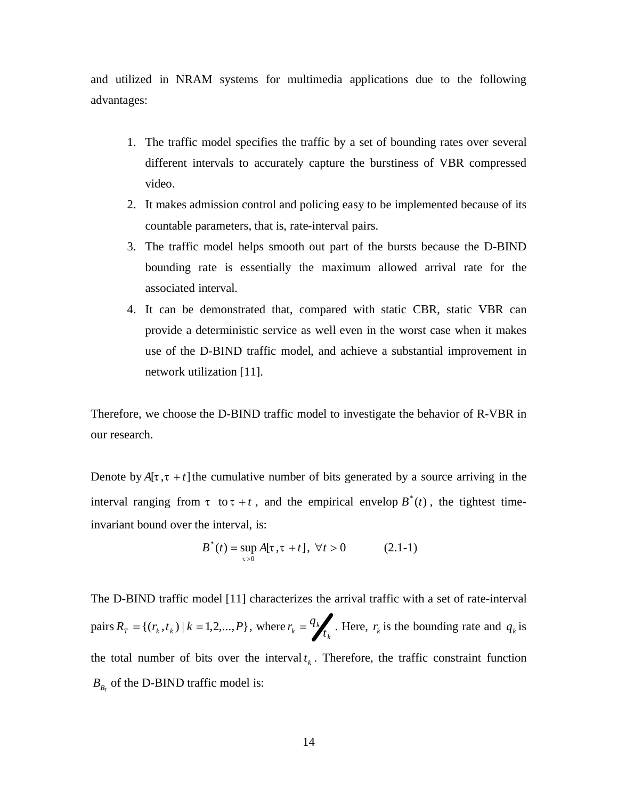and utilized in NRAM systems for multimedia applications due to the following advantages:

- 1. The traffic model specifies the traffic by a set of bounding rates over several different intervals to accurately capture the burstiness of VBR compressed video.
- 2. It makes admission control and policing easy to be implemented because of its countable parameters, that is, rate-interval pairs.
- 3. The traffic model helps smooth out part of the bursts because the D-BIND bounding rate is essentially the maximum allowed arrival rate for the associated interval.
- 4. It can be demonstrated that, compared with static CBR, static VBR can provide a deterministic service as well even in the worst case when it makes use of the D-BIND traffic model, and achieve a substantial improvement in network utilization [11].

Therefore, we choose the D-BIND traffic model to investigate the behavior of R-VBR in our research.

Denote by  $A[\tau, \tau + t]$  the cumulative number of bits generated by a source arriving in the interval ranging from  $\tau$  to  $\tau + t$ , and the empirical envelop  $B^*(t)$ , the tightest timeinvariant bound over the interval, is:

$$
B^*(t) = \sup_{\tau > 0} A[\tau, \tau + t], \ \forall t > 0 \tag{2.1-1}
$$

The D-BIND traffic model [11] characterizes the arrival traffic with a set of rate-interval pairs  $R_T = \{(r_k, t_k) | k = 1, 2, ..., P\}$ , where  $r_k = \frac{q_k}{t_k}$  $\mathbf{r}_k = \frac{q_k}{t}$  $r_k = q_k$ , Here,  $r_k$  is the bounding rate and  $q_k$  is the total number of bits over the interval  $t_k$ . Therefore, the traffic constraint function  $B_{R_T}$  of the D-BIND traffic model is: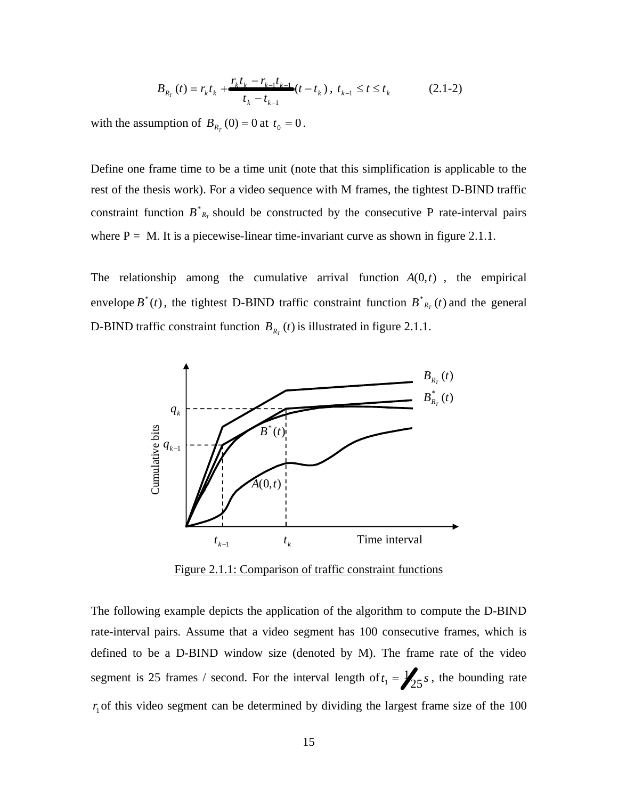$$
B_{R_r}(t) = r_k t_k + \frac{r_k t_k - r_{k-1} t_{k-1}}{t_k - t_{k-1}} (t - t_k), \ t_{k-1} \le t \le t_k \tag{2.1-2}
$$

with the assumption of  $B_{R_T}(0) = 0$  at  $t_0 = 0$ .

Define one frame time to be a time unit (note that this simplification is applicable to the rest of the thesis work). For a video sequence with M frames, the tightest D-BIND traffic constraint function  $B^*_{R_T}$  should be constructed by the consecutive P rate-interval pairs where  $P = M$ . It is a piecewise-linear time-invariant curve as shown in figure 2.1.1.

The relationship among the cumulative arrival function  $A(0,t)$ , the empirical envelope  $B^*(t)$ , the tightest D-BIND traffic constraint function  $B^*_{R_T}(t)$  and the general D-BIND traffic constraint function  $B_{R_T}(t)$  is illustrated in figure 2.1.1.



Figure 2.1.1: Comparison of traffic constraint functions

The following example depicts the application of the algorithm to compute the D-BIND rate-interval pairs. Assume that a video segment has 100 consecutive frames, which is defined to be a D-BIND window size (denoted by M). The frame rate of the video segment is 25 frames / second. For the interval length of  $t_1 = \frac{1}{25} s$  $\mathcal{L}_1 = \frac{1}{25} s$ , the bounding rate  $r_1$  of this video segment can be determined by dividing the largest frame size of the 100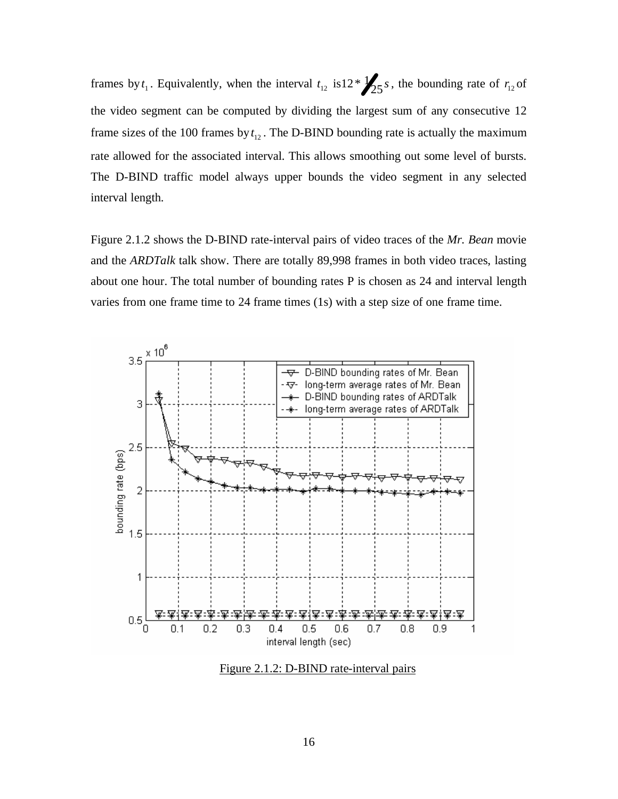frames by  $t_1$ . Equivalently, when the interval  $t_{12}$  is  $12 * \frac{1}{25} s$ , the bounding rate of  $r_{12}$  of the video segment can be computed by dividing the largest sum of any consecutive 12 frame sizes of the 100 frames by  $t_{12}$ . The D-BIND bounding rate is actually the maximum rate allowed for the associated interval. This allows smoothing out some level of bursts. The D-BIND traffic model always upper bounds the video segment in any selected interval length.

Figure 2.1.2 shows the D-BIND rate-interval pairs of video traces of the *Mr. Bean* movie and the *ARDTalk* talk show. There are totally 89,998 frames in both video traces, lasting about one hour. The total number of bounding rates P is chosen as 24 and interval length varies from one frame time to 24 frame times (1s) with a step size of one frame time.



Figure 2.1.2: D-BIND rate-interval pairs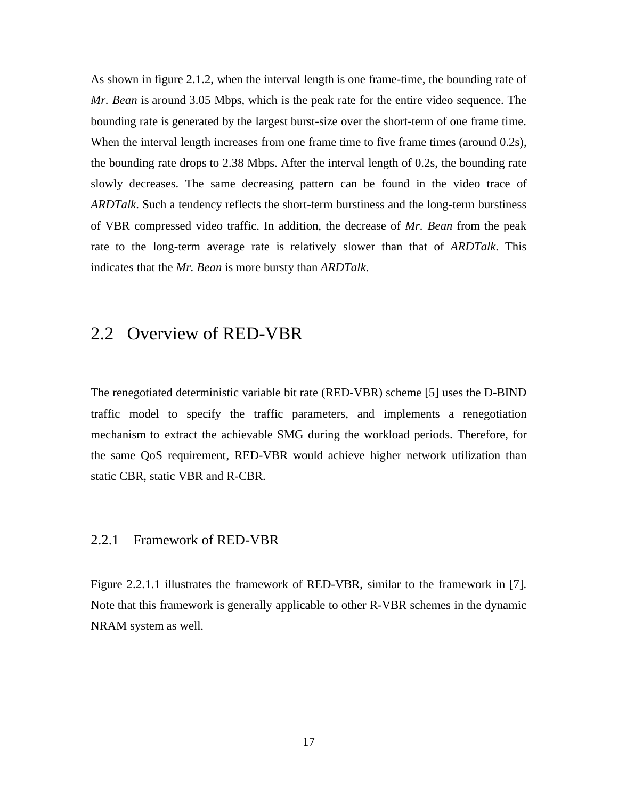As shown in figure 2.1.2, when the interval length is one frame-time, the bounding rate of *Mr. Bean* is around 3.05 Mbps, which is the peak rate for the entire video sequence. The bounding rate is generated by the largest burst-size over the short-term of one frame time. When the interval length increases from one frame time to five frame times (around 0.2s), the bounding rate drops to 2.38 Mbps. After the interval length of 0.2s, the bounding rate slowly decreases. The same decreasing pattern can be found in the video trace of *ARDTalk*. Such a tendency reflects the short-term burstiness and the long-term burstiness of VBR compressed video traffic. In addition, the decrease of *Mr. Bean* from the peak rate to the long-term average rate is relatively slower than that of *ARDTalk*. This indicates that the *Mr. Bean* is more bursty than *ARDTalk*.

### 2.2 Overview of RED-VBR

The renegotiated deterministic variable bit rate (RED-VBR) scheme [5] uses the D-BIND traffic model to specify the traffic parameters, and implements a renegotiation mechanism to extract the achievable SMG during the workload periods. Therefore, for the same QoS requirement, RED-VBR would achieve higher network utilization than static CBR, static VBR and R-CBR.

#### 2.2.1 Framework of RED-VBR

Figure 2.2.1.1 illustrates the framework of RED-VBR, similar to the framework in [7]. Note that this framework is generally applicable to other R-VBR schemes in the dynamic NRAM system as well.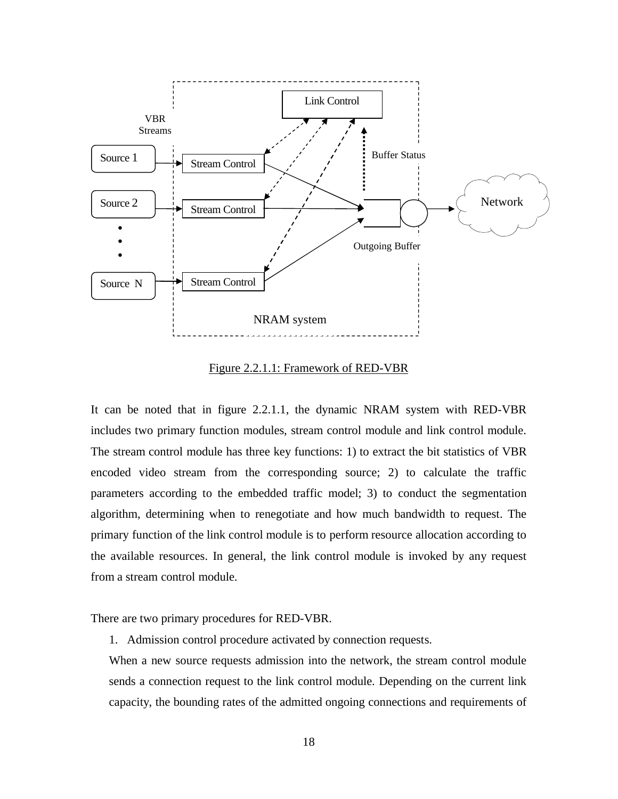

Figure 2.2.1.1: Framework of RED-VBR

It can be noted that in figure 2.2.1.1, the dynamic NRAM system with RED-VBR includes two primary function modules, stream control module and link control module. The stream control module has three key functions: 1) to extract the bit statistics of VBR encoded video stream from the corresponding source; 2) to calculate the traffic parameters according to the embedded traffic model; 3) to conduct the segmentation algorithm, determining when to renegotiate and how much bandwidth to request. The primary function of the link control module is to perform resource allocation according to the available resources. In general, the link control module is invoked by any request from a stream control module.

There are two primary procedures for RED-VBR.

1. Admission control procedure activated by connection requests.

When a new source requests admission into the network, the stream control module sends a connection request to the link control module. Depending on the current link capacity, the bounding rates of the admitted ongoing connections and requirements of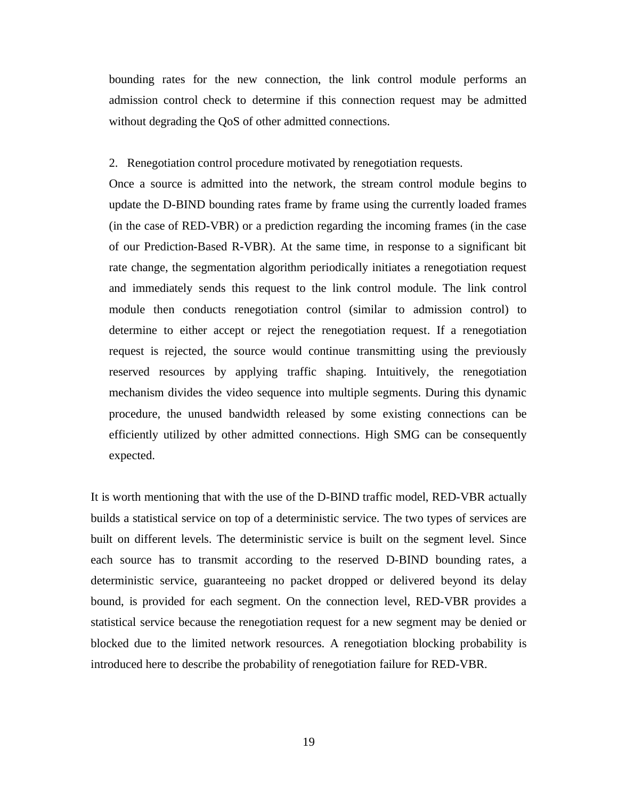bounding rates for the new connection, the link control module performs an admission control check to determine if this connection request may be admitted without degrading the QoS of other admitted connections.

2. Renegotiation control procedure motivated by renegotiation requests.

Once a source is admitted into the network, the stream control module begins to update the D-BIND bounding rates frame by frame using the currently loaded frames (in the case of RED-VBR) or a prediction regarding the incoming frames (in the case of our Prediction-Based R-VBR). At the same time, in response to a significant bit rate change, the segmentation algorithm periodically initiates a renegotiation request and immediately sends this request to the link control module. The link control module then conducts renegotiation control (similar to admission control) to determine to either accept or reject the renegotiation request. If a renegotiation request is rejected, the source would continue transmitting using the previously reserved resources by applying traffic shaping. Intuitively, the renegotiation mechanism divides the video sequence into multiple segments. During this dynamic procedure, the unused bandwidth released by some existing connections can be efficiently utilized by other admitted connections. High SMG can be consequently expected.

It is worth mentioning that with the use of the D-BIND traffic model, RED-VBR actually builds a statistical service on top of a deterministic service. The two types of services are built on different levels. The deterministic service is built on the segment level. Since each source has to transmit according to the reserved D-BIND bounding rates, a deterministic service, guaranteeing no packet dropped or delivered beyond its delay bound, is provided for each segment. On the connection level, RED-VBR provides a statistical service because the renegotiation request for a new segment may be denied or blocked due to the limited network resources. A renegotiation blocking probability is introduced here to describe the probability of renegotiation failure for RED-VBR.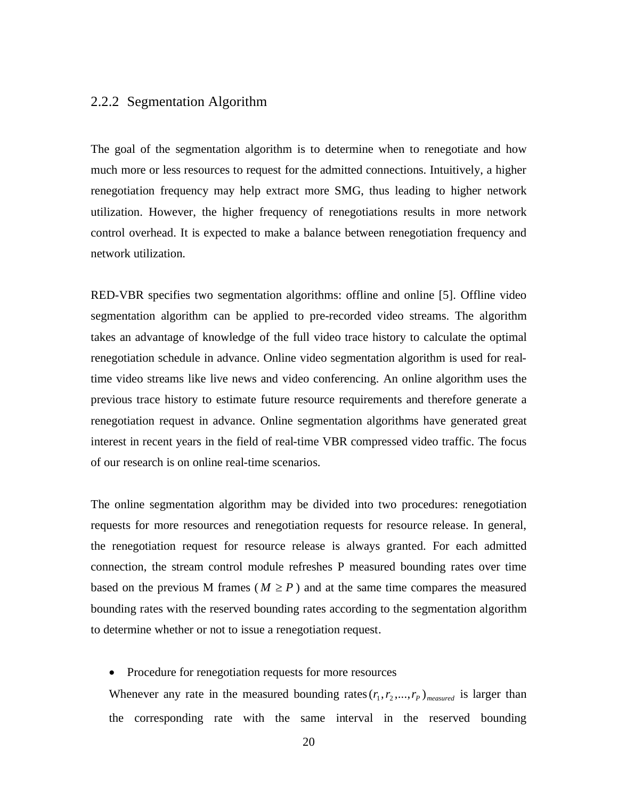#### 2.2.2 Segmentation Algorithm

The goal of the segmentation algorithm is to determine when to renegotiate and how much more or less resources to request for the admitted connections. Intuitively, a higher renegotiation frequency may help extract more SMG, thus leading to higher network utilization. However, the higher frequency of renegotiations results in more network control overhead. It is expected to make a balance between renegotiation frequency and network utilization.

RED-VBR specifies two segmentation algorithms: offline and online [5]. Offline video segmentation algorithm can be applied to pre-recorded video streams. The algorithm takes an advantage of knowledge of the full video trace history to calculate the optimal renegotiation schedule in advance. Online video segmentation algorithm is used for realtime video streams like live news and video conferencing. An online algorithm uses the previous trace history to estimate future resource requirements and therefore generate a renegotiation request in advance. Online segmentation algorithms have generated great interest in recent years in the field of real-time VBR compressed video traffic. The focus of our research is on online real-time scenarios.

The online segmentation algorithm may be divided into two procedures: renegotiation requests for more resources and renegotiation requests for resource release. In general, the renegotiation request for resource release is always granted. For each admitted connection, the stream control module refreshes P measured bounding rates over time based on the previous M frames ( $M \ge P$ ) and at the same time compares the measured bounding rates with the reserved bounding rates according to the segmentation algorithm to determine whether or not to issue a renegotiation request.

• Procedure for renegotiation requests for more resources

Whenever any rate in the measured bounding rates  $(r_1, r_2, ..., r_p)$ <sub>measured</sub> is larger than the corresponding rate with the same interval in the reserved bounding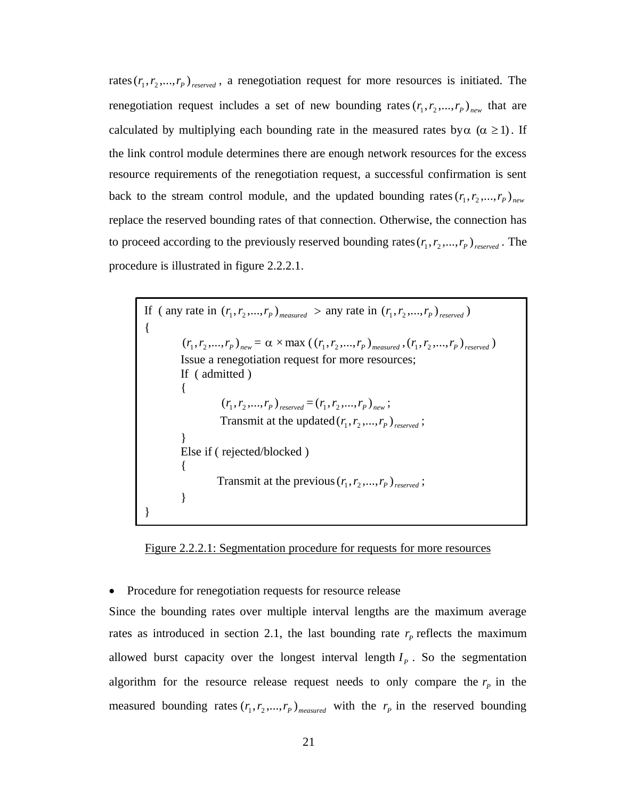rates  $(r_1, r_2, ..., r_p)$ <sub>reserved</sub>, a renegotiation request for more resources is initiated. The renegotiation request includes a set of new bounding rates  $(r_1, r_2, ..., r_p)_{new}$  that are calculated by multiplying each bounding rate in the measured rates by  $\alpha$  ( $\alpha \ge 1$ ). If the link control module determines there are enough network resources for the excess resource requirements of the renegotiation request, a successful confirmation is sent back to the stream control module, and the updated bounding rates  $(r_1, r_2, ..., r_p)_{new}$ replace the reserved bounding rates of that connection. Otherwise, the connection has to proceed according to the previously reserved bounding rates  $(r_1, r_2, ..., r_p)$ <sub>reserved</sub>. The procedure is illustrated in figure 2.2.2.1.

| If (any rate in $(r_1, r_2, , r_p)_{measured} >$ any rate in $(r_1, r_2, , r_p)_{reseaved}$ )              |  |
|------------------------------------------------------------------------------------------------------------|--|
|                                                                                                            |  |
| $(r_1, r_2, , r_p)_{new} = \alpha \times \max((r_1, r_2, , r_p)_{measured}, (r_1, r_2, , r_p)_{reseaved})$ |  |
| Issue a renegotiation request for more resources;                                                          |  |
| If (admitted)                                                                                              |  |
|                                                                                                            |  |
| $(r_1, r_2, , r_p)_{reserved} = (r_1, r_2, , r_p)_{new};$                                                  |  |
| Transmit at the updated $(r_1, r_2, , r_p)$ received;                                                      |  |
|                                                                                                            |  |
| Else if (rejected/blocked)                                                                                 |  |
|                                                                                                            |  |
| Transmit at the previous $(r_1, r_2, , r_p)$ received;                                                     |  |
|                                                                                                            |  |
|                                                                                                            |  |

Figure 2.2.2.1: Segmentation procedure for requests for more resources

#### • Procedure for renegotiation requests for resource release

Since the bounding rates over multiple interval lengths are the maximum average rates as introduced in section 2.1, the last bounding rate  $r_p$  reflects the maximum allowed burst capacity over the longest interval length  $I<sub>p</sub>$ . So the segmentation algorithm for the resource release request needs to only compare the  $r_p$  in the measured bounding rates  $(r_1, r_2,...,r_p)$ <sub>measured</sub> with the  $r_p$  in the reserved bounding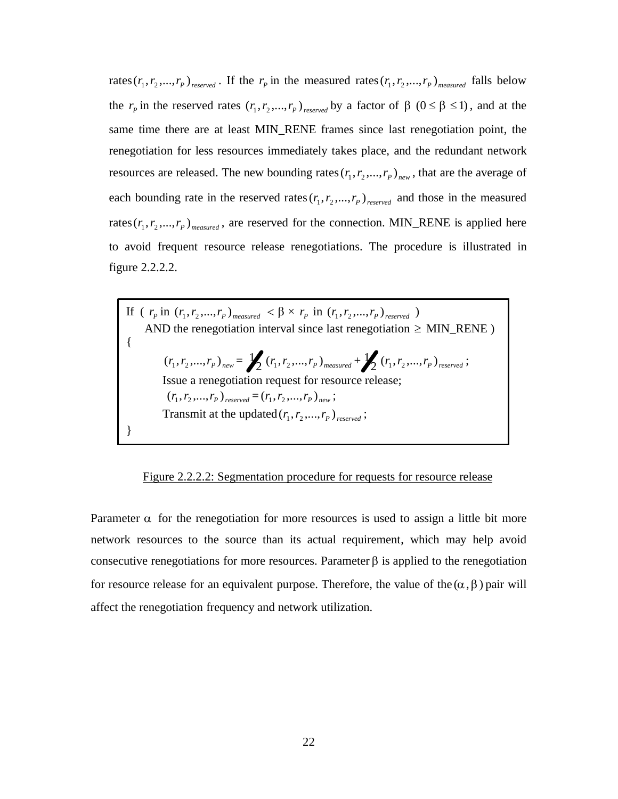rates  $(r_1, r_2, ..., r_p)$ <sub>reserved</sub>. If the  $r_p$  in the measured rates  $(r_1, r_2, ..., r_p)$ <sub>measured</sub> falls below the  $r_p$  in the reserved rates  $(r_1, r_2, ..., r_p)_{\text{reseaved}}$  by a factor of  $\beta$  ( $0 \le \beta \le 1$ ), and at the same time there are at least MIN\_RENE frames since last renegotiation point, the renegotiation for less resources immediately takes place, and the redundant network resources are released. The new bounding rates  $(r_1, r_2, ..., r_p)_{n \in \mathbb{N}}$ , that are the average of each bounding rate in the reserved rates  $(r_1, r_2, ..., r_p)$ <sub>reserved</sub> and those in the measured rates  $(r_1, r_2, ..., r_p)$ <sub>measured</sub>, are reserved for the connection. MIN\_RENE is applied here to avoid frequent resource release renegotiations. The procedure is illustrated in figure 2.2.2.2.

If (  $r_p$  in ( $r_1, r_2, ..., r_p$ )<sub>*reasured*</sub> < β ×  $r_p$  in ( $r_1, r_2, ..., r_p$ )<sub>*reserved*)</sub> AND the renegotiation interval since last renegotiation  $\geq$  MIN\_RENE ) {  $(P_1, P_2, ..., P_p)_{new} = \frac{1}{2} \left( P_1, P_2, ..., P_p \right)_{measured} + \frac{1}{2}$  $\frac{1}{2}$   $(r_1, r_2, ..., r_p)$ <sub>reserved</sub>; Issue a renegotiation request for resource release;  $(P_1, P_2, \ldots, P_p)_{\text{resevved}} = (P_1, P_2, \ldots, P_p)_{\text{new}};$ Transmit at the updated  $(r_1, r_2, \ldots, r_p)$ <sub>reserved</sub>; }

Figure 2.2.2.2: Segmentation procedure for requests for resource release

Parameter  $\alpha$  for the renegotiation for more resources is used to assign a little bit more network resources to the source than its actual requirement, which may help avoid consecutive renegotiations for more resources. Parameter  $\beta$  is applied to the renegotiation for resource release for an equivalent purpose. Therefore, the value of the  $(\alpha, \beta)$  pair will affect the renegotiation frequency and network utilization.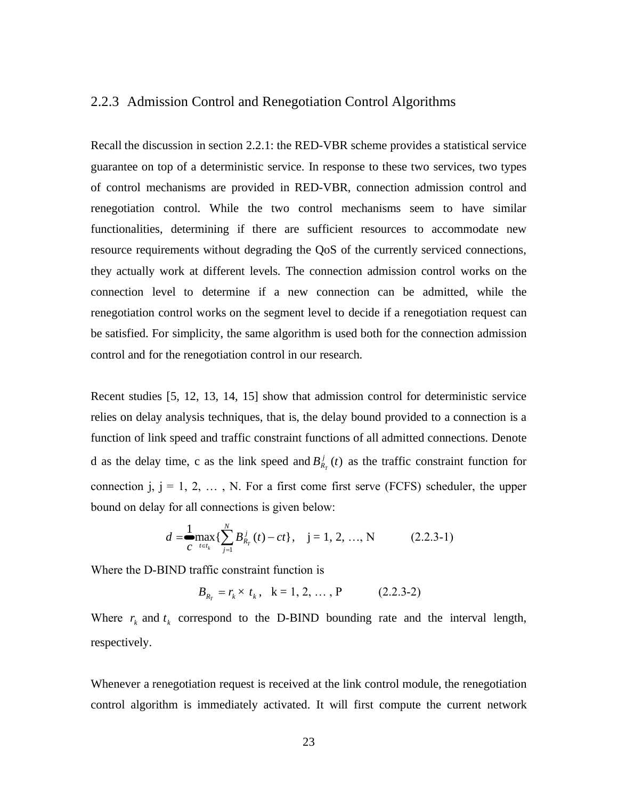#### 2.2.3 Admission Control and Renegotiation Control Algorithms

Recall the discussion in section 2.2.1: the RED-VBR scheme provides a statistical service guarantee on top of a deterministic service. In response to these two services, two types of control mechanisms are provided in RED-VBR, connection admission control and renegotiation control. While the two control mechanisms seem to have similar functionalities, determining if there are sufficient resources to accommodate new resource requirements without degrading the QoS of the currently serviced connections, they actually work at different levels. The connection admission control works on the connection level to determine if a new connection can be admitted, while the renegotiation control works on the segment level to decide if a renegotiation request can be satisfied. For simplicity, the same algorithm is used both for the connection admission control and for the renegotiation control in our research.

Recent studies [5, 12, 13, 14, 15] show that admission control for deterministic service relies on delay analysis techniques, that is, the delay bound provided to a connection is a function of link speed and traffic constraint functions of all admitted connections. Denote d as the delay time, c as the link speed and  $B_{R_r}^j(t)$  $R_{R_T}^J(t)$  as the traffic constraint function for connection j,  $j = 1, 2, \ldots$ , N. For a first come first serve (FCFS) scheduler, the upper bound on delay for all connections is given below:

$$
d = \sum_{c} \max_{t \in t_k} \{ \sum_{j=1}^{N} B_{R_T}^j(t) - ct \}, \quad j = 1, 2, ..., N \quad (2.2.3-1)
$$

Where the D-BIND traffic constraint function is

 $B_{R_T} = r_k \times t_k$ ,  $k = 1, 2, ..., P$  (2.2.3-2)

Where  $r_k$  and  $t_k$  correspond to the D-BIND bounding rate and the interval length, respectively.

Whenever a renegotiation request is received at the link control module, the renegotiation control algorithm is immediately activated. It will first compute the current network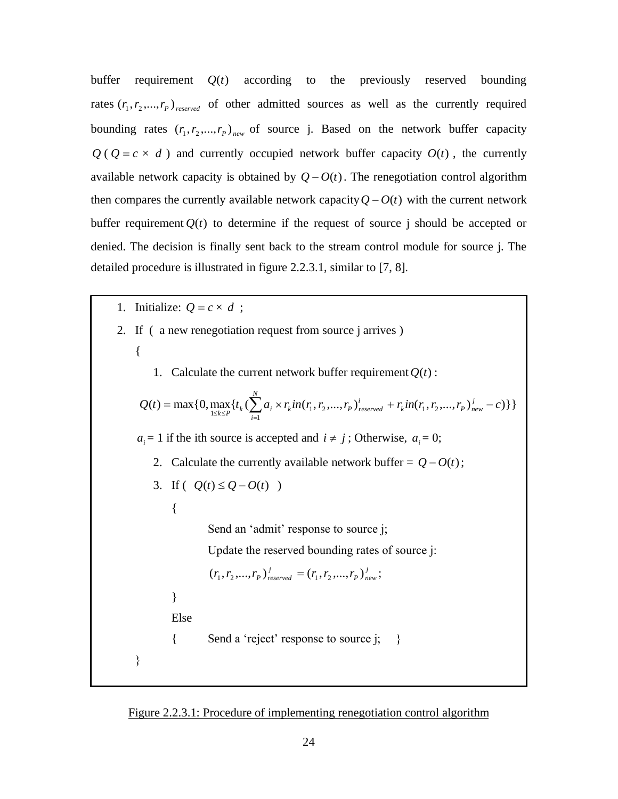buffer requirement  $Q(t)$  according to the previously reserved bounding rates  $(r_1, r_2, \ldots, r_p)$ <sub>reserved</sub> of other admitted sources as well as the currently required bounding rates  $(r_1, r_2,...,r_p)_{new}$  of source j. Based on the network buffer capacity  $Q$  ( $Q = c \times d$ ) and currently occupied network buffer capacity  $O(t)$ , the currently available network capacity is obtained by  $Q - O(t)$ . The renegotiation control algorithm then compares the currently available network capacity  $Q - O(t)$  with the current network buffer requirement  $O(t)$  to determine if the request of source i should be accepted or denied. The decision is finally sent back to the stream control module for source j. The detailed procedure is illustrated in figure 2.2.3.1, similar to [7, 8].

- 1. Initialize:  $Q = c \times d$ ;
- 2. If ( a new renegotiation request from source j arrives )
	- {
- 1. Calculate the current network buffer requirement  $Q(t)$ :

$$
Q(t) = \max\{0, \max_{1 \le k \le P} \{t_k \left( \sum_{i=1}^N a_i \times r_k in(r_1, r_2, \ldots, r_P)_{reseved}^i + r_k in(r_1, r_2, \ldots, r_P)_{new}^j - c) \} \}
$$

 $a_i = 1$  if the ith source is accepted and  $i \neq j$ ; Otherwise,  $a_i = 0$ ;

2. Calculate the currently available network buffer =  $Q - O(t)$ ;

3. If 
$$
(Q(t) \leq Q - O(t))
$$

{

Send an 'admit' response to source *i*;

Update the reserved bounding rates of source j:

$$
(r_1, r_2,..., r_p)_{\text{resevved}}^j = (r_1, r_2,..., r_p)_{\text{new}}^j;
$$

Else

}

}

{ Send a 'reject' response to source j; }

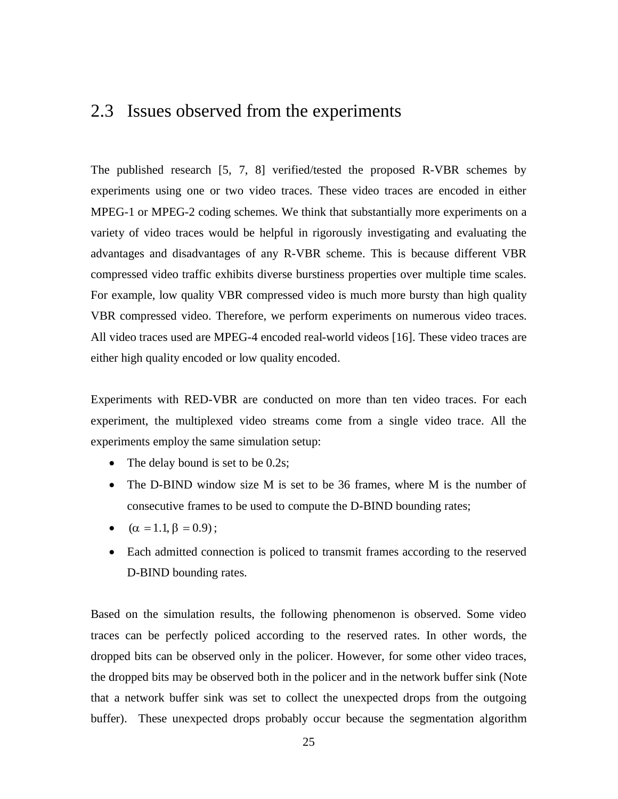### 2.3 Issues observed from the experiments

The published research [5, 7, 8] verified/tested the proposed R-VBR schemes by experiments using one or two video traces. These video traces are encoded in either MPEG-1 or MPEG-2 coding schemes. We think that substantially more experiments on a variety of video traces would be helpful in rigorously investigating and evaluating the advantages and disadvantages of any R-VBR scheme. This is because different VBR compressed video traffic exhibits diverse burstiness properties over multiple time scales. For example, low quality VBR compressed video is much more bursty than high quality VBR compressed video. Therefore, we perform experiments on numerous video traces. All video traces used are MPEG-4 encoded real-world videos [16]. These video traces are either high quality encoded or low quality encoded.

Experiments with RED-VBR are conducted on more than ten video traces. For each experiment, the multiplexed video streams come from a single video trace. All the experiments employ the same simulation setup:

- The delay bound is set to be 0.2s;
- The D-BIND window size M is set to be 36 frames, where M is the number of consecutive frames to be used to compute the D-BIND bounding rates;
- $(\alpha = 1.1, \beta = 0.9)$ ;
- Each admitted connection is policed to transmit frames according to the reserved D-BIND bounding rates.

Based on the simulation results, the following phenomenon is observed. Some video traces can be perfectly policed according to the reserved rates. In other words, the dropped bits can be observed only in the policer. However, for some other video traces, the dropped bits may be observed both in the policer and in the network buffer sink (Note that a network buffer sink was set to collect the unexpected drops from the outgoing buffer). These unexpected drops probably occur because the segmentation algorithm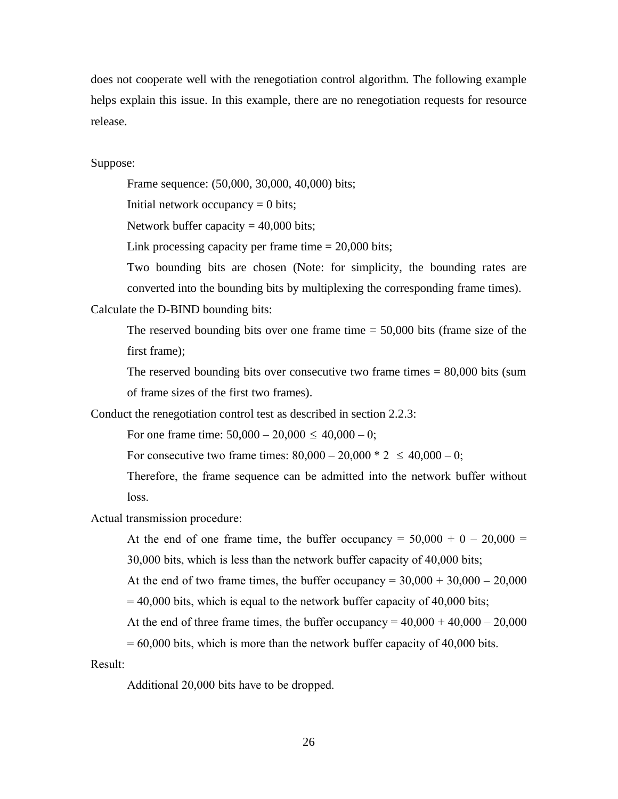does not cooperate well with the renegotiation control algorithm. The following example helps explain this issue. In this example, there are no renegotiation requests for resource release.

Suppose:

Frame sequence: (50,000, 30,000, 40,000) bits;

Initial network occupancy  $= 0$  bits;

Network buffer capacity  $= 40,000$  bits;

Link processing capacity per frame time  $= 20,000$  bits;

Two bounding bits are chosen (Note: for simplicity, the bounding rates are converted into the bounding bits by multiplexing the corresponding frame times).

Calculate the D-BIND bounding bits:

The reserved bounding bits over one frame time  $= 50,000$  bits (frame size of the first frame);

The reserved bounding bits over consecutive two frame times = 80,000 bits (sum of frame sizes of the first two frames).

Conduct the renegotiation control test as described in section 2.2.3:

For one frame time:  $50,000 - 20,000 \le 40,000 - 0$ ;

For consecutive two frame times:  $80,000 - 20,000 * 2 \le 40,000 - 0$ ;

Therefore, the frame sequence can be admitted into the network buffer without loss.

Actual transmission procedure:

At the end of one frame time, the buffer occupancy =  $50,000 + 0 - 20,000 =$ 

30,000 bits, which is less than the network buffer capacity of 40,000 bits;

At the end of two frame times, the buffer occupancy  $= 30,000 + 30,000 - 20,000$ 

- $= 40,000$  bits, which is equal to the network buffer capacity of 40,000 bits;
- At the end of three frame times, the buffer occupancy =  $40,000 + 40,000 20,000$
- $= 60,000$  bits, which is more than the network buffer capacity of 40,000 bits.

Result:

Additional 20,000 bits have to be dropped.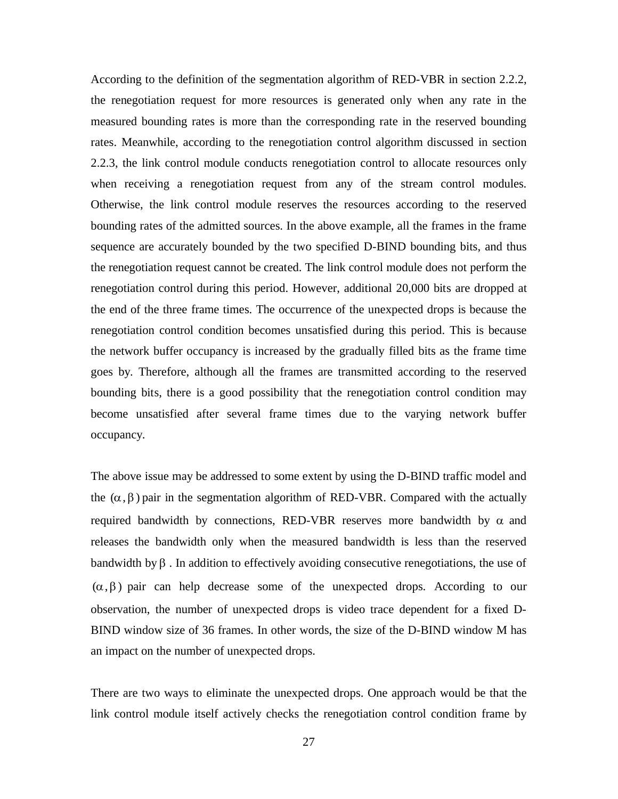According to the definition of the segmentation algorithm of RED-VBR in section 2.2.2, the renegotiation request for more resources is generated only when any rate in the measured bounding rates is more than the corresponding rate in the reserved bounding rates. Meanwhile, according to the renegotiation control algorithm discussed in section 2.2.3, the link control module conducts renegotiation control to allocate resources only when receiving a renegotiation request from any of the stream control modules. Otherwise, the link control module reserves the resources according to the reserved bounding rates of the admitted sources. In the above example, all the frames in the frame sequence are accurately bounded by the two specified D-BIND bounding bits, and thus the renegotiation request cannot be created. The link control module does not perform the renegotiation control during this period. However, additional 20,000 bits are dropped at the end of the three frame times. The occurrence of the unexpected drops is because the renegotiation control condition becomes unsatisfied during this period. This is because the network buffer occupancy is increased by the gradually filled bits as the frame time goes by. Therefore, although all the frames are transmitted according to the reserved bounding bits, there is a good possibility that the renegotiation control condition may become unsatisfied after several frame times due to the varying network buffer occupancy.

The above issue may be addressed to some extent by using the D-BIND traffic model and the  $(\alpha, \beta)$  pair in the segmentation algorithm of RED-VBR. Compared with the actually required bandwidth by connections, RED-VBR reserves more bandwidth by  $\alpha$  and releases the bandwidth only when the measured bandwidth is less than the reserved bandwidth by  $\beta$ . In addition to effectively avoiding consecutive renegotiations, the use of  $(\alpha, \beta)$  pair can help decrease some of the unexpected drops. According to our observation, the number of unexpected drops is video trace dependent for a fixed D-BIND window size of 36 frames. In other words, the size of the D-BIND window M has an impact on the number of unexpected drops.

There are two ways to eliminate the unexpected drops. One approach would be that the link control module itself actively checks the renegotiation control condition frame by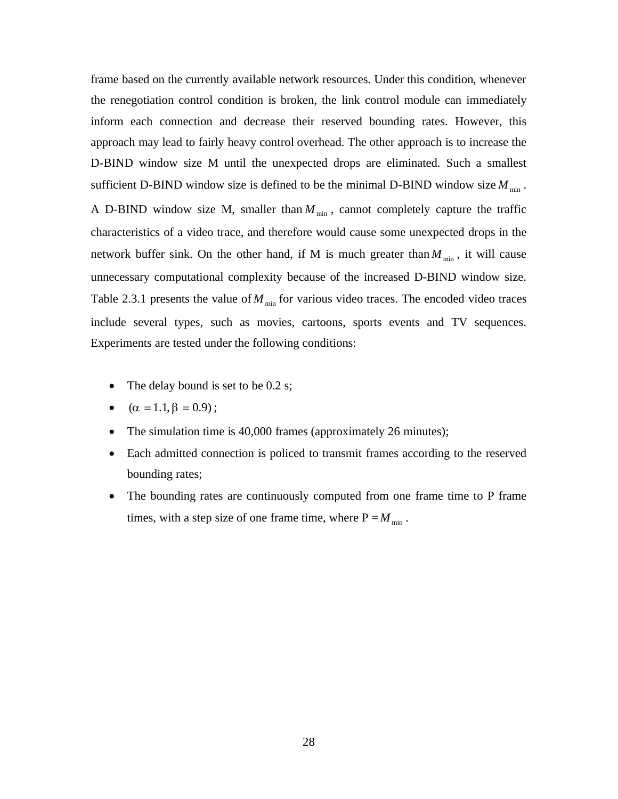frame based on the currently available network resources. Under this condition, whenever the renegotiation control condition is broken, the link control module can immediately inform each connection and decrease their reserved bounding rates. However, this approach may lead to fairly heavy control overhead. The other approach is to increase the D-BIND window size M until the unexpected drops are eliminated. Such a smallest sufficient D-BIND window size is defined to be the minimal D-BIND window size  $M_{\text{min}}$ . A D-BIND window size M, smaller than  $M_{\text{min}}$ , cannot completely capture the traffic characteristics of a video trace, and therefore would cause some unexpected drops in the network buffer sink. On the other hand, if M is much greater than  $M_{\text{min}}$ , it will cause unnecessary computational complexity because of the increased D-BIND window size. Table 2.3.1 presents the value of  $M_{\text{min}}$  for various video traces. The encoded video traces include several types, such as movies, cartoons, sports events and TV sequences. Experiments are tested under the following conditions:

- The delay bound is set to be 0.2 s;
- $(\alpha = 1.1, \beta = 0.9)$ ;
- The simulation time is 40,000 frames (approximately 26 minutes);
- Each admitted connection is policed to transmit frames according to the reserved bounding rates;
- The bounding rates are continuously computed from one frame time to P frame times, with a step size of one frame time, where  $P = M_{min}$ .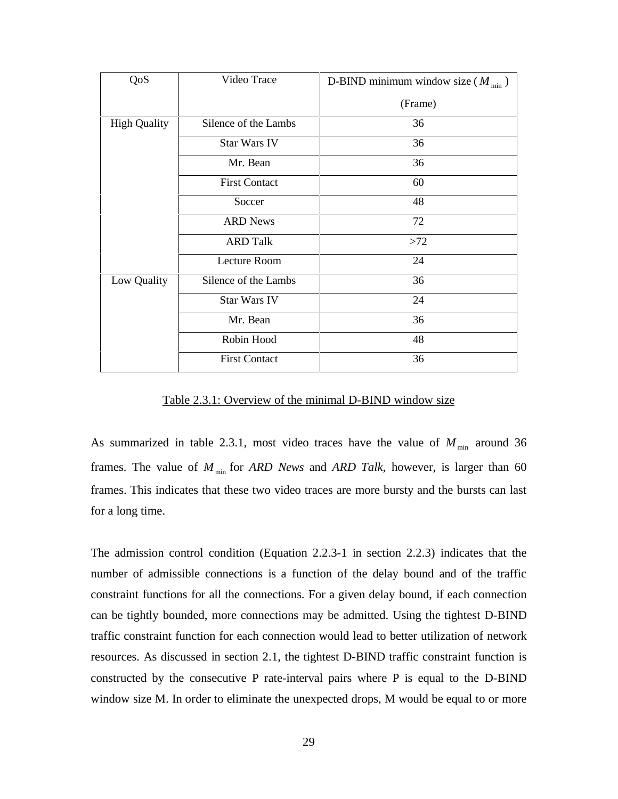| QoS                 | Video Trace          | D-BIND minimum window size $(M_{min})$ |
|---------------------|----------------------|----------------------------------------|
|                     |                      | (Frame)                                |
| <b>High Quality</b> | Silence of the Lambs | 36                                     |
|                     | <b>Star Wars IV</b>  | 36                                     |
|                     | Mr. Bean             | 36                                     |
|                     | <b>First Contact</b> | 60                                     |
|                     | Soccer               | 48                                     |
|                     | <b>ARD News</b>      | 72                                     |
|                     | <b>ARD Talk</b>      | $>72$                                  |
|                     | Lecture Room         | 24                                     |
| Low Quality         | Silence of the Lambs | 36                                     |
|                     | <b>Star Wars IV</b>  | 24                                     |
|                     | Mr. Bean             | 36                                     |
|                     | Robin Hood           | 48                                     |
|                     | <b>First Contact</b> | 36                                     |

Table 2.3.1: Overview of the minimal D-BIND window size

As summarized in table 2.3.1, most video traces have the value of  $M_{\text{min}}$  around 36 frames. The value of  $M_{\text{min}}$  for *ARD News* and *ARD Talk*, however, is larger than 60 frames. This indicates that these two video traces are more bursty and the bursts can last for a long time.

The admission control condition (Equation 2.2.3-1 in section 2.2.3) indicates that the number of admissible connections is a function of the delay bound and of the traffic constraint functions for all the connections. For a given delay bound, if each connection can be tightly bounded, more connections may be admitted. Using the tightest D-BIND traffic constraint function for each connection would lead to better utilization of network resources. As discussed in section 2.1, the tightest D-BIND traffic constraint function is constructed by the consecutive P rate-interval pairs where P is equal to the D-BIND window size M. In order to eliminate the unexpected drops, M would be equal to or more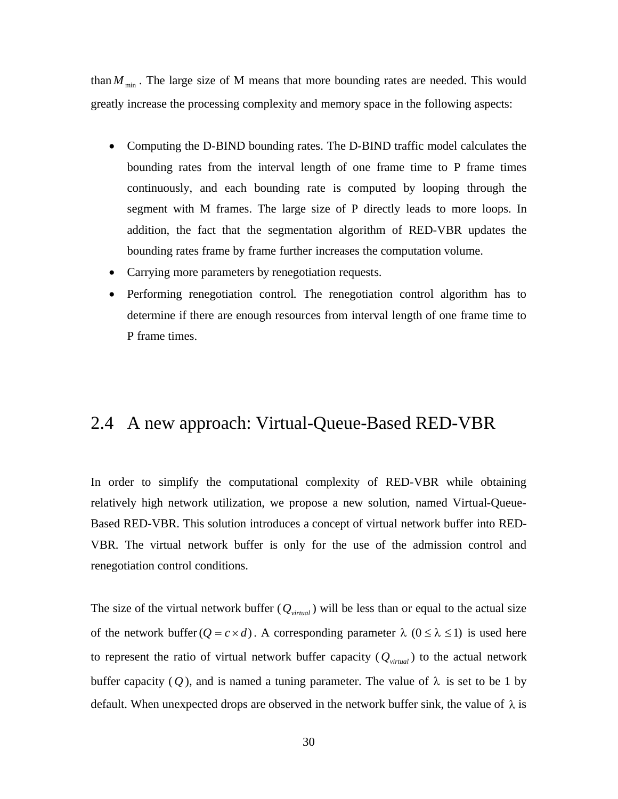than  $M_{\text{min}}$ . The large size of M means that more bounding rates are needed. This would greatly increase the processing complexity and memory space in the following aspects:

- Computing the D-BIND bounding rates. The D-BIND traffic model calculates the bounding rates from the interval length of one frame time to P frame times continuously, and each bounding rate is computed by looping through the segment with M frames. The large size of P directly leads to more loops. In addition, the fact that the segmentation algorithm of RED-VBR updates the bounding rates frame by frame further increases the computation volume.
- Carrying more parameters by renegotiation requests.
- Performing renegotiation control. The renegotiation control algorithm has to determine if there are enough resources from interval length of one frame time to P frame times.

# 2.4 A new approach: Virtual-Queue-Based RED-VBR

In order to simplify the computational complexity of RED-VBR while obtaining relatively high network utilization, we propose a new solution, named Virtual-Queue-Based RED-VBR. This solution introduces a concept of virtual network buffer into RED-VBR. The virtual network buffer is only for the use of the admission control and renegotiation control conditions.

The size of the virtual network buffer  $(Q_{virual})$  will be less than or equal to the actual size of the network buffer  $(Q = c \times d)$ . A corresponding parameter  $\lambda$   $(0 \le \lambda \le 1)$  is used here to represent the ratio of virtual network buffer capacity  $(Q_{virual})$  to the actual network buffer capacity (Q), and is named a tuning parameter. The value of  $\lambda$  is set to be 1 by default. When unexpected drops are observed in the network buffer sink, the value of  $\lambda$  is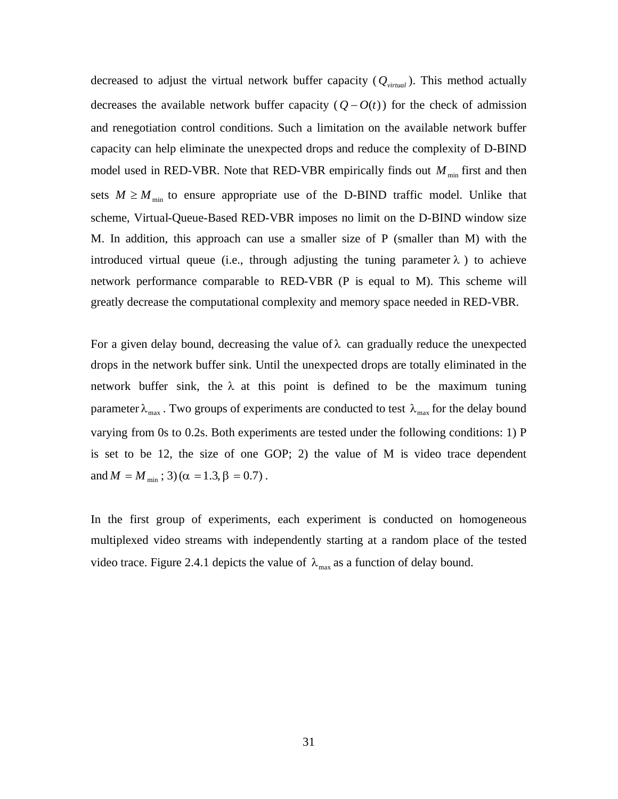decreased to adjust the virtual network buffer capacity ( *Qvirtual* ). This method actually decreases the available network buffer capacity  $(Q - O(t))$  for the check of admission and renegotiation control conditions. Such a limitation on the available network buffer capacity can help eliminate the unexpected drops and reduce the complexity of D-BIND model used in RED-VBR. Note that RED-VBR empirically finds out  $M_{\text{min}}$  first and then sets  $M \geq M_{\text{min}}$  to ensure appropriate use of the D-BIND traffic model. Unlike that scheme, Virtual-Queue-Based RED-VBR imposes no limit on the D-BIND window size M. In addition, this approach can use a smaller size of P (smaller than M) with the introduced virtual queue (i.e., through adjusting the tuning parameter  $\lambda$ ) to achieve network performance comparable to RED-VBR (P is equal to M). This scheme will greatly decrease the computational complexity and memory space needed in RED-VBR.

For a given delay bound, decreasing the value of  $\lambda$  can gradually reduce the unexpected drops in the network buffer sink. Until the unexpected drops are totally eliminated in the network buffer sink, the  $\lambda$  at this point is defined to be the maximum tuning parameter  $\lambda_{\text{max}}$ . Two groups of experiments are conducted to test  $\lambda_{\text{max}}$  for the delay bound varying from 0s to 0.2s. Both experiments are tested under the following conditions: 1) P is set to be 12, the size of one GOP; 2) the value of M is video trace dependent and  $M = M_{\text{min}}$ ; 3) ( $\alpha = 1.3$ ,  $\beta = 0.7$ ).

In the first group of experiments, each experiment is conducted on homogeneous multiplexed video streams with independently starting at a random place of the tested video trace. Figure 2.4.1 depicts the value of  $\lambda_{\text{max}}$  as a function of delay bound.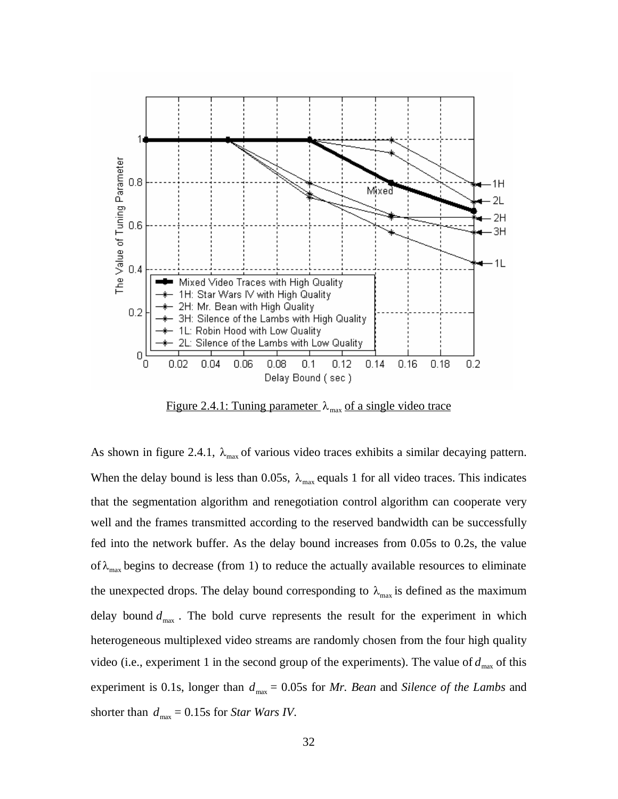

Figure 2.4.1: Tuning parameter  $\lambda_{\text{max}}$  of a single video trace

As shown in figure 2.4.1,  $\lambda_{\text{max}}$  of various video traces exhibits a similar decaying pattern. When the delay bound is less than 0.05s,  $\lambda_{\text{max}}$  equals 1 for all video traces. This indicates that the segmentation algorithm and renegotiation control algorithm can cooperate very well and the frames transmitted according to the reserved bandwidth can be successfully fed into the network buffer. As the delay bound increases from 0.05s to 0.2s, the value of  $\lambda_{\text{max}}$  begins to decrease (from 1) to reduce the actually available resources to eliminate the unexpected drops. The delay bound corresponding to  $\lambda_{\text{max}}$  is defined as the maximum delay bound  $d_{\text{max}}$ . The bold curve represents the result for the experiment in which heterogeneous multiplexed video streams are randomly chosen from the four high quality video (i.e., experiment 1 in the second group of the experiments). The value of  $d_{\text{max}}$  of this experiment is 0.1s, longer than  $d_{\text{max}} = 0.05$ s for *Mr. Bean* and *Silence of the Lambs* and shorter than  $d_{\text{max}} = 0.15$ s for *Star Wars IV*.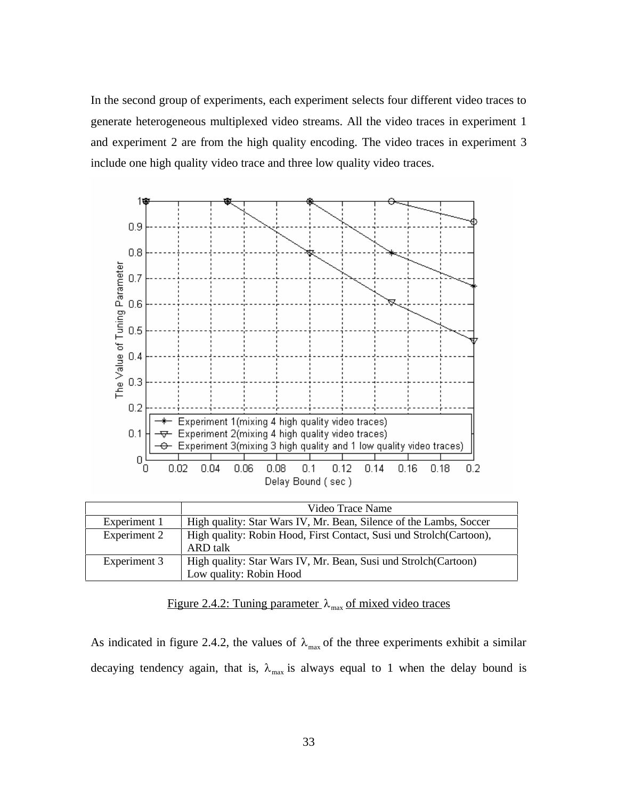In the second group of experiments, each experiment selects four different video traces to generate heterogeneous multiplexed video streams. All the video traces in experiment 1 and experiment 2 are from the high quality encoding. The video traces in experiment 3 include one high quality video trace and three low quality video traces.



|              | Video Trace Name                                                                            |
|--------------|---------------------------------------------------------------------------------------------|
| Experiment 1 | High quality: Star Wars IV, Mr. Bean, Silence of the Lambs, Soccer                          |
| Experiment 2 | High quality: Robin Hood, First Contact, Susi und Strolch (Cartoon),<br>ARD talk            |
| Experiment 3 | High quality: Star Wars IV, Mr. Bean, Susi und Strolch (Cartoon)<br>Low quality: Robin Hood |

Figure 2.4.2: Tuning parameter  $\lambda_{\text{max}}$  of mixed video traces

As indicated in figure 2.4.2, the values of  $\lambda_{\text{max}}$  of the three experiments exhibit a similar decaying tendency again, that is,  $\lambda_{\text{max}}$  is always equal to 1 when the delay bound is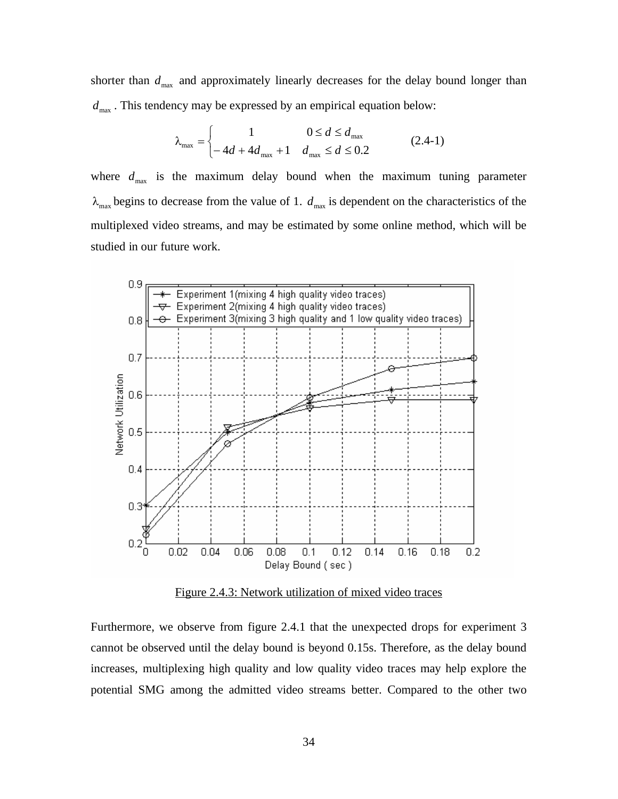shorter than  $d_{\text{max}}$  and approximately linearly decreases for the delay bound longer than  $d_{\text{max}}$ . This tendency may be expressed by an empirical equation below:

$$
\lambda_{\max} = \begin{cases}\n1 & 0 \le d \le d_{\max} \\
-4d + 4d_{\max} + 1 & d_{\max} \le d \le 0.2\n\end{cases}
$$
\n(2.4-1)

where  $d_{\text{max}}$  is the maximum delay bound when the maximum tuning parameter  $\lambda_{\text{max}}$  begins to decrease from the value of 1.  $d_{\text{max}}$  is dependent on the characteristics of the multiplexed video streams, and may be estimated by some online method, which will be studied in our future work.



Figure 2.4.3: Network utilization of mixed video traces

Furthermore, we observe from figure 2.4.1 that the unexpected drops for experiment 3 cannot be observed until the delay bound is beyond 0.15s. Therefore, as the delay bound increases, multiplexing high quality and low quality video traces may help explore the potential SMG among the admitted video streams better. Compared to the other two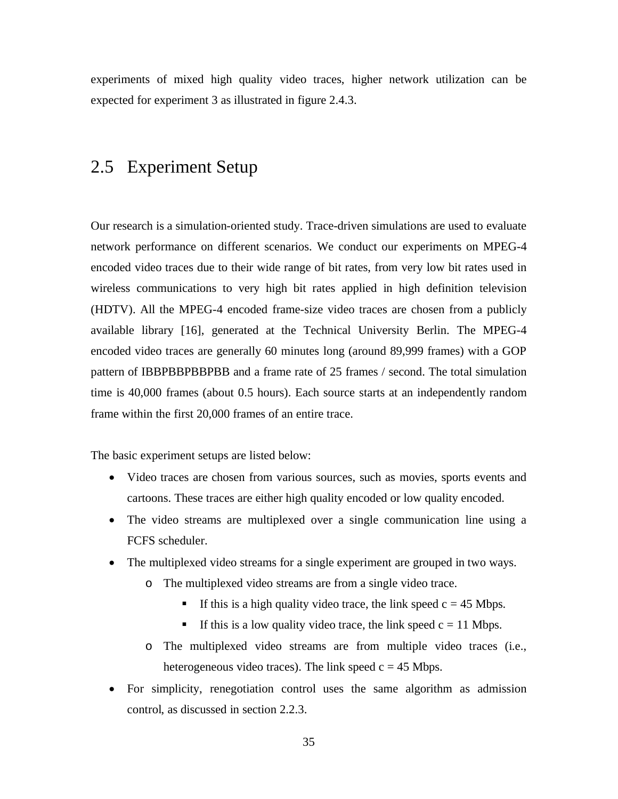experiments of mixed high quality video traces, higher network utilization can be expected for experiment 3 as illustrated in figure 2.4.3.

## 2.5 Experiment Setup

Our research is a simulation-oriented study. Trace-driven simulations are used to evaluate network performance on different scenarios. We conduct our experiments on MPEG-4 encoded video traces due to their wide range of bit rates, from very low bit rates used in wireless communications to very high bit rates applied in high definition television (HDTV). All the MPEG-4 encoded frame-size video traces are chosen from a publicly available library [16], generated at the Technical University Berlin. The MPEG-4 encoded video traces are generally 60 minutes long (around 89,999 frames) with a GOP pattern of IBBPBBPBBPBB and a frame rate of 25 frames / second. The total simulation time is 40,000 frames (about 0.5 hours). Each source starts at an independently random frame within the first 20,000 frames of an entire trace.

The basic experiment setups are listed below:

- Video traces are chosen from various sources, such as movies, sports events and cartoons. These traces are either high quality encoded or low quality encoded.
- The video streams are multiplexed over a single communication line using a FCFS scheduler.
- The multiplexed video streams for a single experiment are grouped in two ways.
	- o The multiplexed video streams are from a single video trace.
		- If this is a high quality video trace, the link speed  $c = 45$  Mbps.
		- If this is a low quality video trace, the link speed  $c = 11$  Mbps.
	- o The multiplexed video streams are from multiple video traces (i.e., heterogeneous video traces). The link speed  $c = 45$  Mbps.
- For simplicity, renegotiation control uses the same algorithm as admission control, as discussed in section 2.2.3.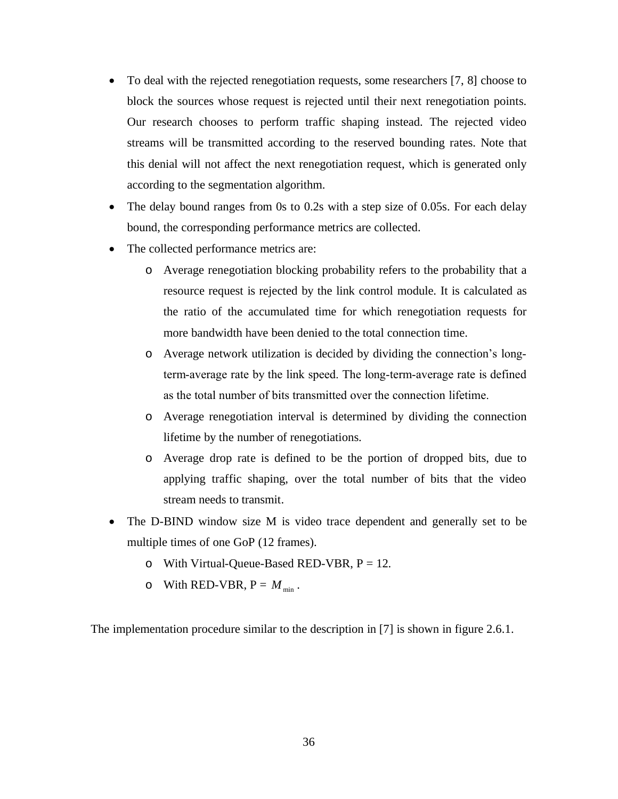- To deal with the rejected renegotiation requests, some researchers [7, 8] choose to block the sources whose request is rejected until their next renegotiation points. Our research chooses to perform traffic shaping instead. The rejected video streams will be transmitted according to the reserved bounding rates. Note that this denial will not affect the next renegotiation request, which is generated only according to the segmentation algorithm.
- The delay bound ranges from 0s to 0.2s with a step size of 0.05s. For each delay bound, the corresponding performance metrics are collected.
- The collected performance metrics are:
	- o Average renegotiation blocking probability refers to the probability that a resource request is rejected by the link control module. It is calculated as the ratio of the accumulated time for which renegotiation requests for more bandwidth have been denied to the total connection time.
	- o Average network utilization is decided by dividing the connection's longterm-average rate by the link speed. The long-term-average rate is defined as the total number of bits transmitted over the connection lifetime.
	- o Average renegotiation interval is determined by dividing the connection lifetime by the number of renegotiations.
	- o Average drop rate is defined to be the portion of dropped bits, due to applying traffic shaping, over the total number of bits that the video stream needs to transmit.
- The D-BIND window size M is video trace dependent and generally set to be multiple times of one GoP (12 frames).
	- o With Virtual-Queue-Based RED-VBR,  $P = 12$ .
	- $\circ$  With RED-VBR,  $P = M_{min}$ .

The implementation procedure similar to the description in [7] is shown in figure 2.6.1.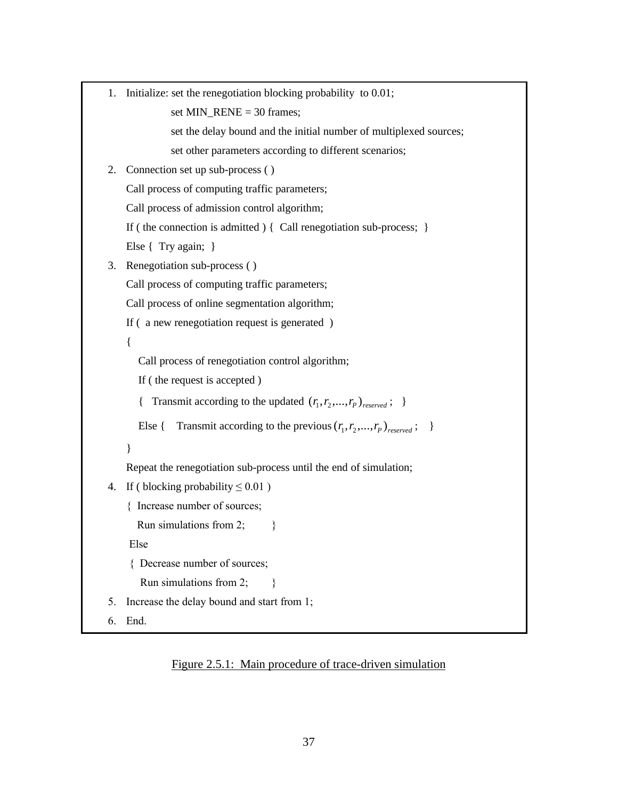```
1. Initialize: set the renegotiation blocking probability to 0.01;
              set MIN_RENE = 30 frames;
              set the delay bound and the initial number of multiplexed sources;
              set other parameters according to different scenarios;
2. Connection set up sub-process ( )
    Call process of computing traffic parameters; 
    Call process of admission control algorithm;
    If ( the connection is admitted ) { Call renegotiation sub-process; }
    Else { Try again; }
3. Renegotiation sub-process ( )
    Call process of computing traffic parameters;
    Call process of online segmentation algorithm;
    If ( a new renegotiation request is generated )
    {
      Call process of renegotiation control algorithm;
       If ( the request is accepted )
       { Transmit according to the updated (r_1, r_2, \ldots, r_p)_{\text{resevved}}; }
       Else { Transmit according to the previous (r_1, r_2, ..., r_p)_{reseved}; }
    }
    Repeat the renegotiation sub-process until the end of simulation;
4. If ( blocking probability \leq 0.01 )
    { Increase number of sources;
      Run simulations from 2; \}Else
     { Decrease number of sources;
       Run simulations from 2; \}5. Increase the delay bound and start from 1;
6. End.
```
#### Figure 2.5.1: Main procedure of trace-driven simulation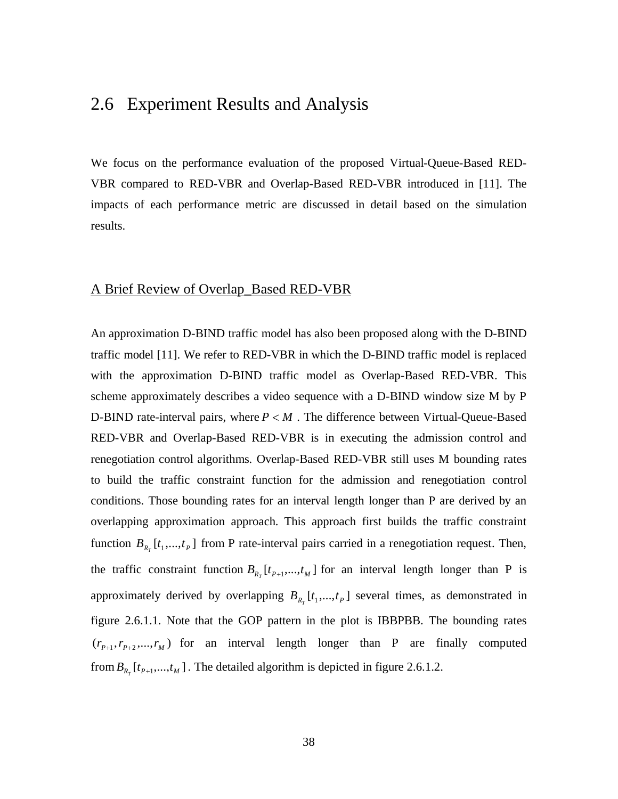### 2.6 Experiment Results and Analysis

We focus on the performance evaluation of the proposed Virtual-Queue-Based RED-VBR compared to RED-VBR and Overlap-Based RED-VBR introduced in [11]. The impacts of each performance metric are discussed in detail based on the simulation results.

### A Brief Review of Overlap\_Based RED-VBR

An approximation D-BIND traffic model has also been proposed along with the D-BIND traffic model [11]. We refer to RED-VBR in which the D-BIND traffic model is replaced with the approximation D-BIND traffic model as Overlap-Based RED-VBR. This scheme approximately describes a video sequence with a D-BIND window size M by P D-BIND rate-interval pairs, where  $P < M$ . The difference between Virtual-Queue-Based RED-VBR and Overlap-Based RED-VBR is in executing the admission control and renegotiation control algorithms. Overlap-Based RED-VBR still uses M bounding rates to build the traffic constraint function for the admission and renegotiation control conditions. Those bounding rates for an interval length longer than P are derived by an overlapping approximation approach. This approach first builds the traffic constraint function  $B_{R_T}[t_1,...,t_p]$  from P rate-interval pairs carried in a renegotiation request. Then, the traffic constraint function  $B_{R_T}[t_{P+1},..., t_M]$  for an interval length longer than P is approximately derived by overlapping  $B_{R_T}[t_1, ..., t_p]$  several times, as demonstrated in figure 2.6.1.1. Note that the GOP pattern in the plot is IBBPBB. The bounding rates  $(r_{p+1}, r_{p+2},..., r_M)$  for an interval length longer than P are finally computed from  $B_{R_T}[t_{P+1},..., t_M]$ . The detailed algorithm is depicted in figure 2.6.1.2.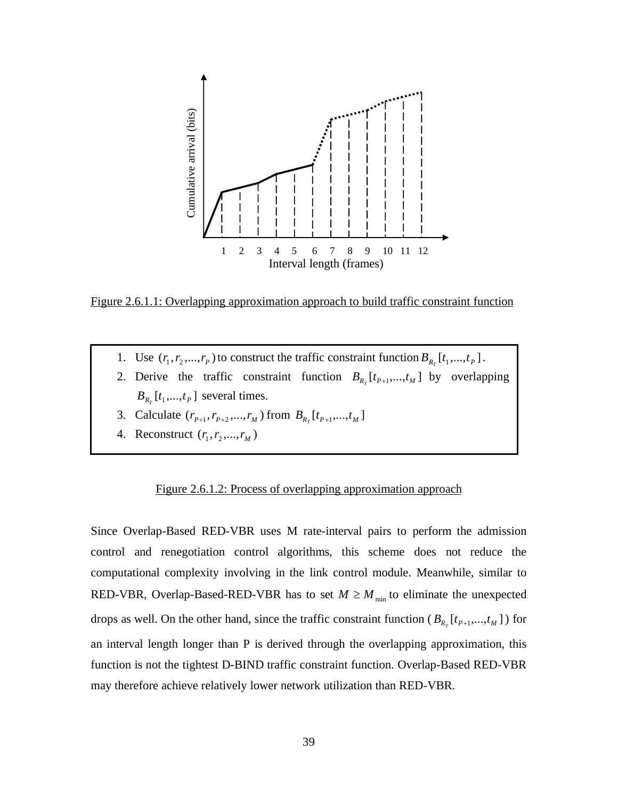

Figure 2.6.1.1: Overlapping approximation approach to build traffic constraint function

- 1. Use  $(r_1, r_2, \ldots, r_p)$  to construct the traffic constraint function  $B_{R_T}[t_1, \ldots, t_p]$ .
- 2. Derive the traffic constraint function  $B_{R_T}[t_{P+1},..., t_M]$  by overlapping  $B_{R_T}[t_1, ..., t_P]$  several times.
- 3. Calculate  $(r_{p+1}, r_{p+2},..., r_M)$  from  $B_{R_T}[t_{p+1},..., t_M]$
- 4. Reconstruct  $(r_1, r_2, ..., r_M)$

### Figure 2.6.1.2: Process of overlapping approximation approach

Since Overlap-Based RED-VBR uses M rate-interval pairs to perform the admission control and renegotiation control algorithms, this scheme does not reduce the computational complexity involving in the link control module. Meanwhile, similar to RED-VBR, Overlap-Based-RED-VBR has to set  $M \geq M_{\text{min}}$  to eliminate the unexpected drops as well. On the other hand, since the traffic constraint function  $(B_{R_T}[t_{P+1},...,t_M])$  for an interval length longer than P is derived through the overlapping approximation, this function is not the tightest D-BIND traffic constraint function. Overlap-Based RED-VBR may therefore achieve relatively lower network utilization than RED-VBR.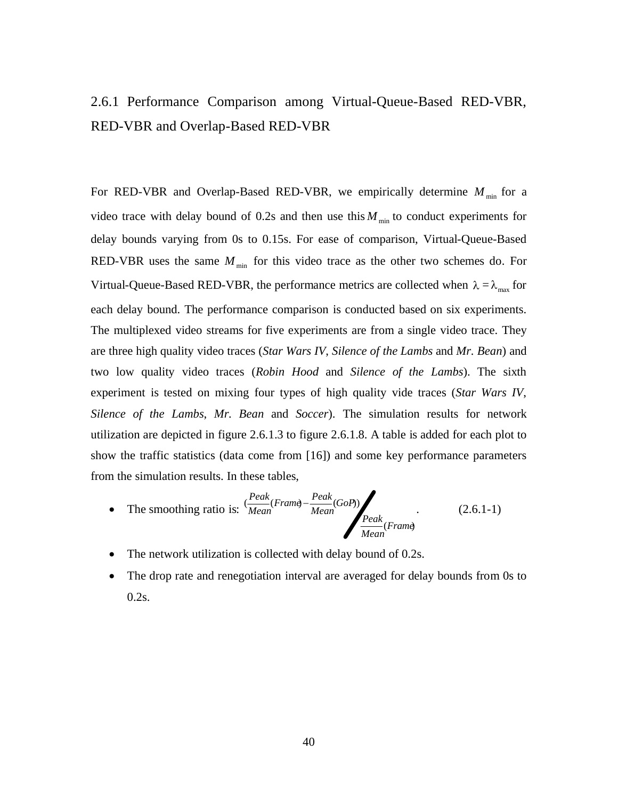# 2.6.1 Performance Comparison among Virtual-Queue-Based RED-VBR, RED-VBR and Overlap-Based RED-VBR

For RED-VBR and Overlap-Based RED-VBR, we empirically determine  $M_{\text{min}}$  for a video trace with delay bound of 0.2s and then use this  $M_{\text{min}}$  to conduct experiments for delay bounds varying from 0s to 0.15s. For ease of comparison, Virtual-Queue-Based RED-VBR uses the same  $M_{\text{min}}$  for this video trace as the other two schemes do. For Virtual-Queue-Based RED-VBR, the performance metrics are collected when  $\lambda = \lambda_{\text{max}}$  for each delay bound. The performance comparison is conducted based on six experiments. The multiplexed video streams for five experiments are from a single video trace. They are three high quality video traces (*Star Wars IV*, *Silence of the Lambs* and *Mr. Bean*) and two low quality video traces (*Robin Hood* and *Silence of the Lambs*). The sixth experiment is tested on mixing four types of high quality vide traces (*Star Wars IV*, *Silence of the Lambs*, *Mr. Bean* and *Soccer*). The simulation results for network utilization are depicted in figure 2.6.1.3 to figure 2.6.1.8. A table is added for each plot to show the traffic statistics (data come from [16]) and some key performance parameters from the simulation results. In these tables,

• The smoothing ratio is: 
$$
\frac{Peak}{Mean}(Frame) - \frac{Peak}{Mean}(GoP))
$$
  
  $Peak$ <sub>mean</sub>(Frame) (2.6.1-1)

- The network utilization is collected with delay bound of 0.2s.
- The drop rate and renegotiation interval are averaged for delay bounds from 0s to 0.2s.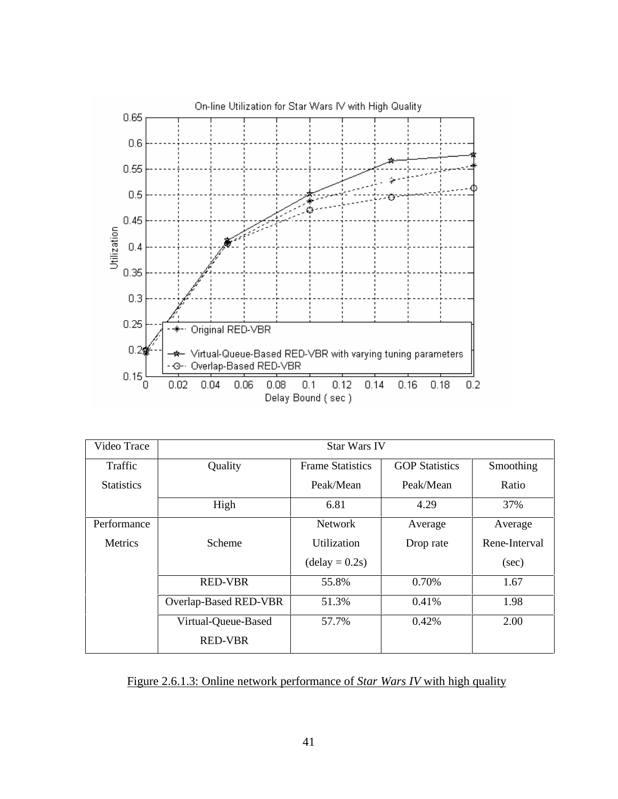

| Video Trace       | <b>Star Wars IV</b>   |                         |                       |               |
|-------------------|-----------------------|-------------------------|-----------------------|---------------|
| Traffic           | Quality               | <b>Frame Statistics</b> | <b>GOP</b> Statistics | Smoothing     |
| <b>Statistics</b> |                       | Peak/Mean               | Peak/Mean             | Ratio         |
|                   | High                  | 6.81                    | 4.29                  | 37%           |
| Performance       |                       | <b>Network</b>          | Average               | Average       |
| <b>Metrics</b>    | Scheme                | Utilization             | Drop rate             | Rene-Interval |
|                   |                       | $(delay = 0.2s)$        |                       | (sec)         |
|                   | <b>RED-VBR</b>        | 55.8%                   | 0.70%                 | 1.67          |
|                   | Overlap-Based RED-VBR | 51.3%                   | 0.41%                 | 1.98          |
|                   | Virtual-Queue-Based   | 57.7%                   | 0.42%                 | 2.00          |
|                   | <b>RED-VBR</b>        |                         |                       |               |

Figure 2.6.1.3: Online network performance of *Star Wars IV* with high quality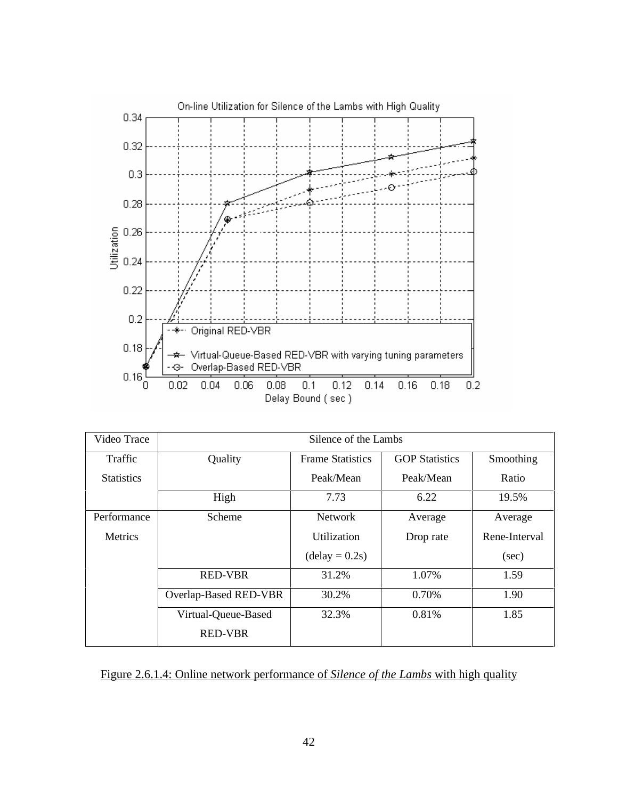

| Video Trace       | Silence of the Lambs  |                                                               |           |               |  |  |
|-------------------|-----------------------|---------------------------------------------------------------|-----------|---------------|--|--|
| Traffic           | Quality               | <b>GOP Statistics</b><br><b>Frame Statistics</b><br>Smoothing |           |               |  |  |
| <b>Statistics</b> |                       | Peak/Mean                                                     | Peak/Mean | Ratio         |  |  |
|                   | High                  | 7.73                                                          | 6.22      | 19.5%         |  |  |
| Performance       | Scheme                | <b>Network</b>                                                | Average   | Average       |  |  |
| <b>Metrics</b>    |                       | Utilization                                                   | Drop rate | Rene-Interval |  |  |
|                   |                       | $(delay = 0.2s)$                                              |           | (sec)         |  |  |
|                   | <b>RED-VBR</b>        | 31.2%                                                         | 1.07%     | 1.59          |  |  |
|                   | Overlap-Based RED-VBR | 30.2%                                                         | 0.70%     | 1.90          |  |  |
|                   | Virtual-Queue-Based   | 32.3%                                                         | 0.81%     | 1.85          |  |  |
|                   | <b>RED-VBR</b>        |                                                               |           |               |  |  |

Figure 2.6.1.4: Online network performance of *Silence of the Lambs* with high quality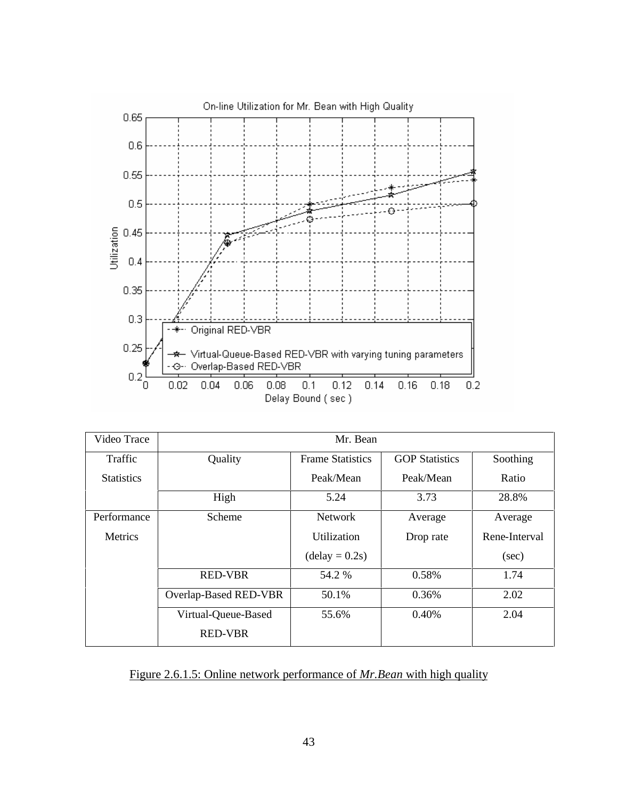

| Video Trace       | Mr. Bean              |                         |                       |               |
|-------------------|-----------------------|-------------------------|-----------------------|---------------|
| Traffic           | Quality               | <b>Frame Statistics</b> | <b>GOP Statistics</b> | Soothing      |
| <b>Statistics</b> |                       | Peak/Mean               | Peak/Mean             | Ratio         |
|                   | High                  | 5.24                    | 3.73                  | 28.8%         |
| Performance       | Scheme                | <b>Network</b>          | Average               | Average       |
| <b>Metrics</b>    |                       | Utilization             | Drop rate             | Rene-Interval |
|                   |                       | $(delay = 0.2s)$        |                       | (sec)         |
|                   | <b>RED-VBR</b>        | 54.2 %                  | 0.58%                 | 1.74          |
|                   | Overlap-Based RED-VBR | 50.1%                   | 0.36%                 | 2.02          |
|                   | Virtual-Queue-Based   | 55.6%                   | 0.40%                 | 2.04          |
|                   | <b>RED-VBR</b>        |                         |                       |               |

Figure 2.6.1.5: Online network performance of *Mr.Bean* with high quality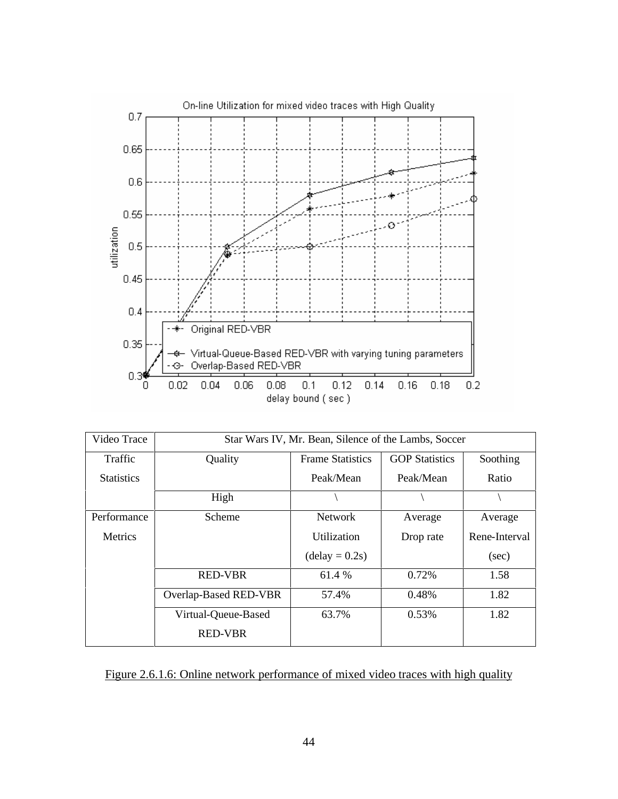

| Video Trace       | Star Wars IV, Mr. Bean, Silence of the Lambs, Soccer |                         |                       |               |
|-------------------|------------------------------------------------------|-------------------------|-----------------------|---------------|
| Traffic           | Quality                                              | <b>Frame Statistics</b> | <b>GOP</b> Statistics | Soothing      |
| <b>Statistics</b> |                                                      | Peak/Mean               | Peak/Mean             | Ratio         |
|                   | High                                                 |                         |                       |               |
| Performance       | Scheme                                               | <b>Network</b>          | Average               | Average       |
| <b>Metrics</b>    |                                                      | <i>Utilization</i>      | Drop rate             | Rene-Interval |
|                   |                                                      | $(delay = 0.2s)$        |                       | (sec)         |
|                   | <b>RED-VBR</b>                                       | 61.4 %                  | 0.72%                 | 1.58          |
|                   | Overlap-Based RED-VBR                                | 57.4%                   | 0.48%                 | 1.82          |
|                   | Virtual-Queue-Based                                  | 63.7%                   | 0.53%                 | 1.82          |
|                   | <b>RED-VBR</b>                                       |                         |                       |               |

Figure 2.6.1.6: Online network performance of mixed video traces with high quality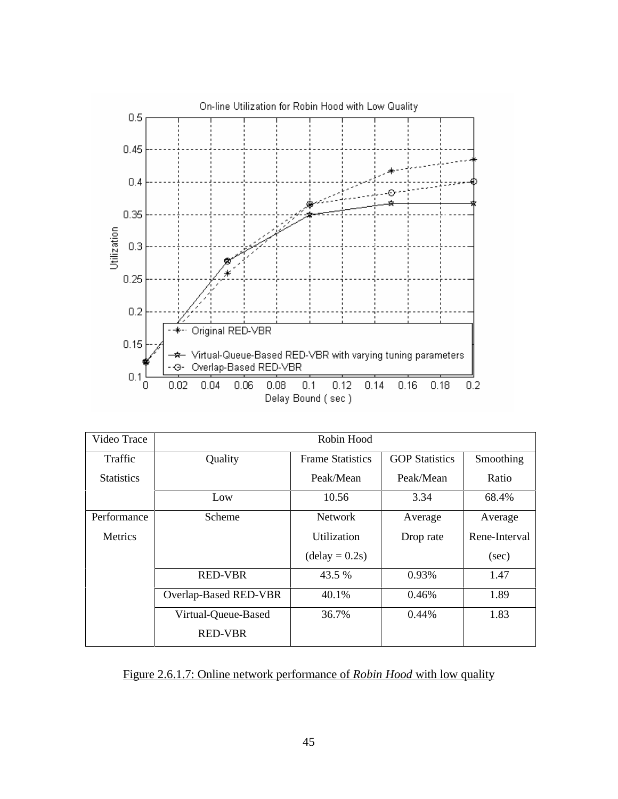

| Video Trace       | Robin Hood            |                         |                       |               |
|-------------------|-----------------------|-------------------------|-----------------------|---------------|
| Traffic           | Quality               | <b>Frame Statistics</b> | <b>GOP</b> Statistics | Smoothing     |
| <b>Statistics</b> |                       | Peak/Mean               | Peak/Mean             | Ratio         |
|                   | Low                   | 10.56                   | 3.34                  | 68.4%         |
| Performance       | Scheme                | <b>Network</b>          | Average               | Average       |
| <b>Metrics</b>    |                       | Utilization             | Drop rate             | Rene-Interval |
|                   |                       | $(delay = 0.2s)$        |                       | (sec)         |
|                   | <b>RED-VBR</b>        | 43.5 %                  | 0.93%                 | 1.47          |
|                   | Overlap-Based RED-VBR | 40.1%                   | 0.46%                 | 1.89          |
|                   | Virtual-Queue-Based   | 36.7%                   | 0.44%                 | 1.83          |
|                   | <b>RED-VBR</b>        |                         |                       |               |

Figure 2.6.1.7: Online network performance of *Robin Hood* with low quality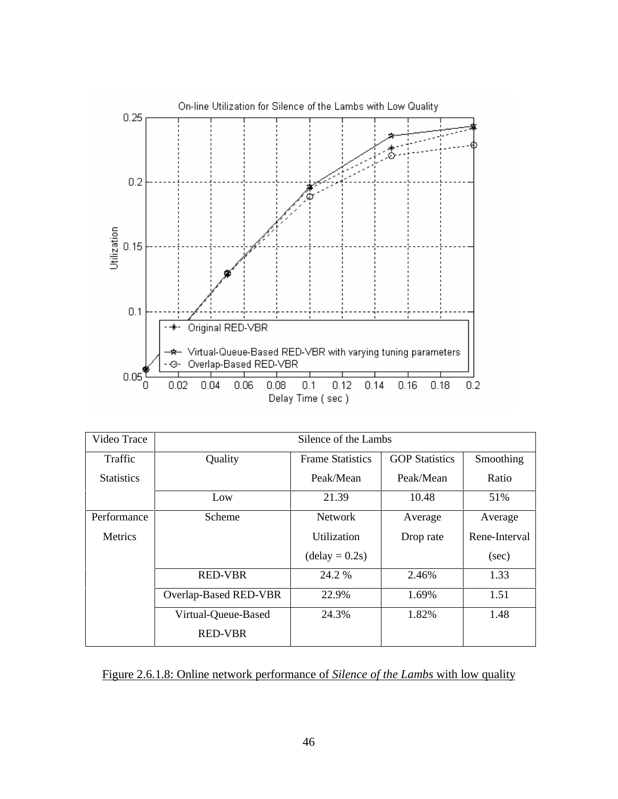

| Video Trace       | Silence of the Lambs  |                         |                       |               |
|-------------------|-----------------------|-------------------------|-----------------------|---------------|
| Traffic           | Quality               | <b>Frame Statistics</b> | <b>GOP</b> Statistics | Smoothing     |
| <b>Statistics</b> |                       | Peak/Mean               | Peak/Mean             | Ratio         |
|                   | Low                   | 21.39                   | 10.48                 | 51%           |
| Performance       | Scheme                | <b>Network</b>          | Average               | Average       |
| <b>Metrics</b>    |                       | Utilization             | Drop rate             | Rene-Interval |
|                   |                       | $(delay = 0.2s)$        |                       | (sec)         |
|                   | <b>RED-VBR</b>        | 24.2 %                  | 2.46%                 | 1.33          |
|                   | Overlap-Based RED-VBR | 22.9%                   | 1.69%                 | 1.51          |
|                   | Virtual-Queue-Based   | 24.3%                   | 1.82%                 | 1.48          |
|                   | <b>RED-VBR</b>        |                         |                       |               |

Figure 2.6.1.8: Online network performance of *Silence of the Lambs* with low quality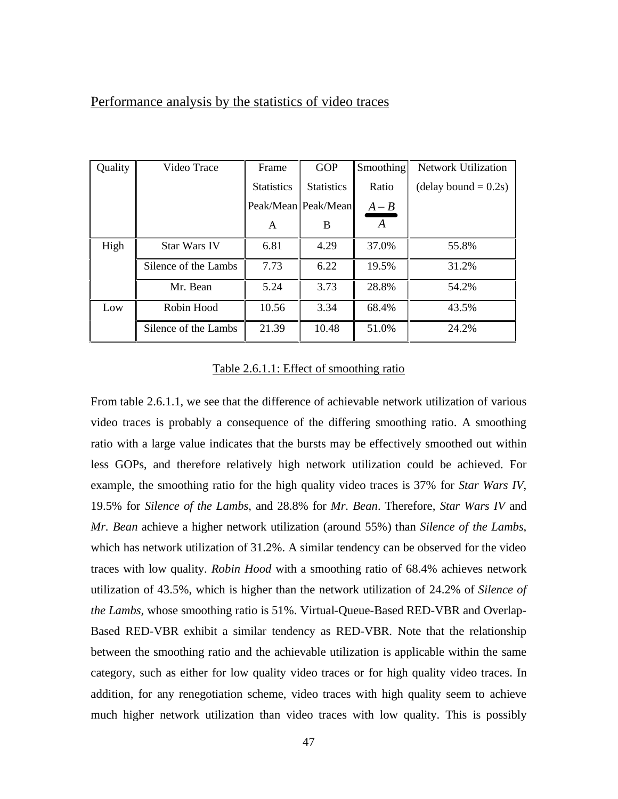| Quality | Video Trace          | Frame             | <b>GOP</b>          | <b>Smoothing</b> | <b>Network Utilization</b> |
|---------|----------------------|-------------------|---------------------|------------------|----------------------------|
|         |                      | <b>Statistics</b> | <b>Statistics</b>   | Ratio            | $(delay bound = 0.2s)$     |
|         |                      |                   | Peak/Mean Peak/Mean | $A - B$          |                            |
|         |                      | A                 | B                   | $\boldsymbol{A}$ |                            |
| High    | <b>Star Wars IV</b>  | 6.81              | 4.29                | 37.0%            | 55.8%                      |
|         | Silence of the Lambs | 7.73              | 6.22                | 19.5%            | 31.2%                      |
|         | Mr. Bean             | 5.24              | 3.73                | 28.8%            | 54.2%                      |
| Low     | Robin Hood           | 10.56             | 3.34                | 68.4%            | 43.5%                      |
|         | Silence of the Lambs | 21.39             | 10.48               | 51.0%            | 24.2%                      |

### Performance analysis by the statistics of video traces

#### Table 2.6.1.1: Effect of smoothing ratio

From table 2.6.1.1, we see that the difference of achievable network utilization of various video traces is probably a consequence of the differing smoothing ratio. A smoothing ratio with a large value indicates that the bursts may be effectively smoothed out within less GOPs, and therefore relatively high network utilization could be achieved. For example, the smoothing ratio for the high quality video traces is 37% for *Star Wars IV*, 19.5% for *Silence of the Lambs*, and 28.8% for *Mr. Bean*. Therefore, *Star Wars IV* and *Mr. Bean* achieve a higher network utilization (around 55%) than *Silence of the Lambs*, which has network utilization of 31.2%. A similar tendency can be observed for the video traces with low quality. *Robin Hood* with a smoothing ratio of 68.4% achieves network utilization of 43.5%, which is higher than the network utilization of 24.2% of *Silence of the Lambs,* whose smoothing ratio is 51%. Virtual-Queue-Based RED-VBR and Overlap-Based RED-VBR exhibit a similar tendency as RED-VBR. Note that the relationship between the smoothing ratio and the achievable utilization is applicable within the same category, such as either for low quality video traces or for high quality video traces. In addition, for any renegotiation scheme, video traces with high quality seem to achieve much higher network utilization than video traces with low quality. This is possibly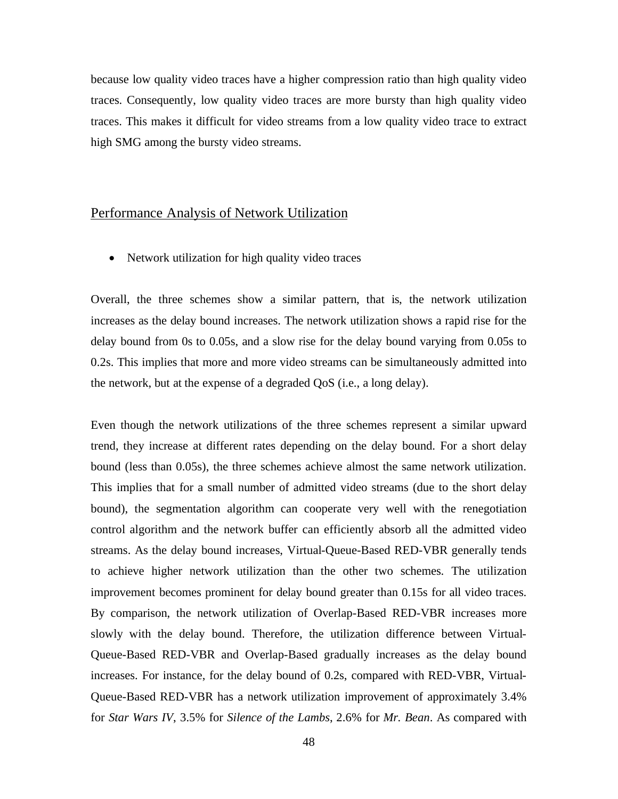because low quality video traces have a higher compression ratio than high quality video traces. Consequently, low quality video traces are more bursty than high quality video traces. This makes it difficult for video streams from a low quality video trace to extract high SMG among the bursty video streams.

### Performance Analysis of Network Utilization

• Network utilization for high quality video traces

Overall, the three schemes show a similar pattern, that is, the network utilization increases as the delay bound increases. The network utilization shows a rapid rise for the delay bound from 0s to 0.05s, and a slow rise for the delay bound varying from 0.05s to 0.2s. This implies that more and more video streams can be simultaneously admitted into the network, but at the expense of a degraded QoS (i.e., a long delay).

Even though the network utilizations of the three schemes represent a similar upward trend, they increase at different rates depending on the delay bound. For a short delay bound (less than 0.05s), the three schemes achieve almost the same network utilization. This implies that for a small number of admitted video streams (due to the short delay bound), the segmentation algorithm can cooperate very well with the renegotiation control algorithm and the network buffer can efficiently absorb all the admitted video streams. As the delay bound increases, Virtual-Queue-Based RED-VBR generally tends to achieve higher network utilization than the other two schemes. The utilization improvement becomes prominent for delay bound greater than 0.15s for all video traces. By comparison, the network utilization of Overlap-Based RED-VBR increases more slowly with the delay bound. Therefore, the utilization difference between Virtual-Queue-Based RED-VBR and Overlap-Based gradually increases as the delay bound increases. For instance, for the delay bound of 0.2s, compared with RED-VBR, Virtual-Queue-Based RED-VBR has a network utilization improvement of approximately 3.4% for *Star Wars IV*, 3.5% for *Silence of the Lambs*, 2.6% for *Mr. Bean*. As compared with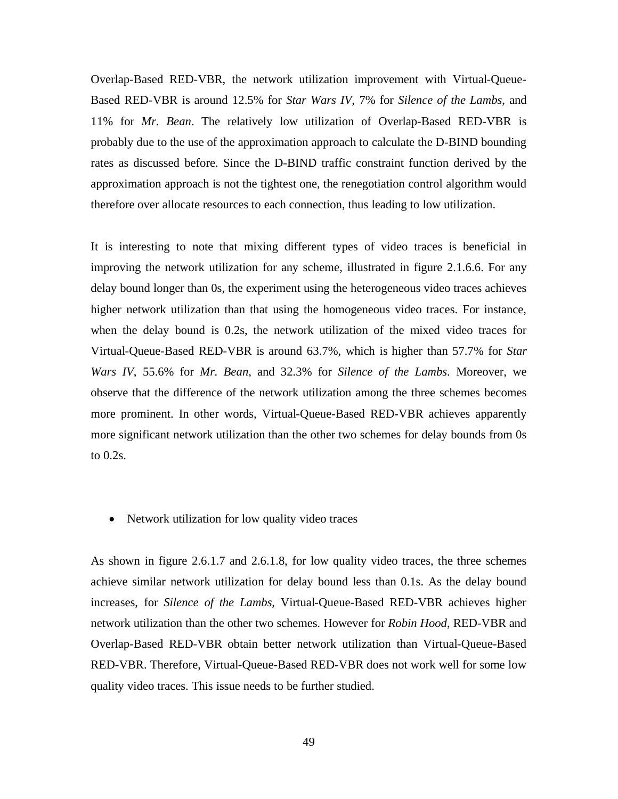Overlap-Based RED-VBR, the network utilization improvement with Virtual-Queue-Based RED-VBR is around 12.5% for *Star Wars IV*, 7% for *Silence of the Lambs*, and 11% for *Mr. Bean*. The relatively low utilization of Overlap-Based RED-VBR is probably due to the use of the approximation approach to calculate the D-BIND bounding rates as discussed before. Since the D-BIND traffic constraint function derived by the approximation approach is not the tightest one, the renegotiation control algorithm would therefore over allocate resources to each connection, thus leading to low utilization.

It is interesting to note that mixing different types of video traces is beneficial in improving the network utilization for any scheme, illustrated in figure 2.1.6.6. For any delay bound longer than 0s, the experiment using the heterogeneous video traces achieves higher network utilization than that using the homogeneous video traces. For instance, when the delay bound is 0.2s, the network utilization of the mixed video traces for Virtual-Queue-Based RED-VBR is around 63.7%, which is higher than 57.7% for *Star Wars IV*, 55.6% for *Mr. Bean*, and 32.3% for *Silence of the Lambs*. Moreover, we observe that the difference of the network utilization among the three schemes becomes more prominent. In other words, Virtual-Queue-Based RED-VBR achieves apparently more significant network utilization than the other two schemes for delay bounds from 0s to 0.2s.

• Network utilization for low quality video traces

As shown in figure 2.6.1.7 and 2.6.1.8, for low quality video traces, the three schemes achieve similar network utilization for delay bound less than 0.1s. As the delay bound increases, for *Silence of the Lambs,* Virtual-Queue-Based RED-VBR achieves higher network utilization than the other two schemes. However for *Robin Hood*, RED-VBR and Overlap-Based RED-VBR obtain better network utilization than Virtual-Queue-Based RED-VBR. Therefore, Virtual-Queue-Based RED-VBR does not work well for some low quality video traces. This issue needs to be further studied.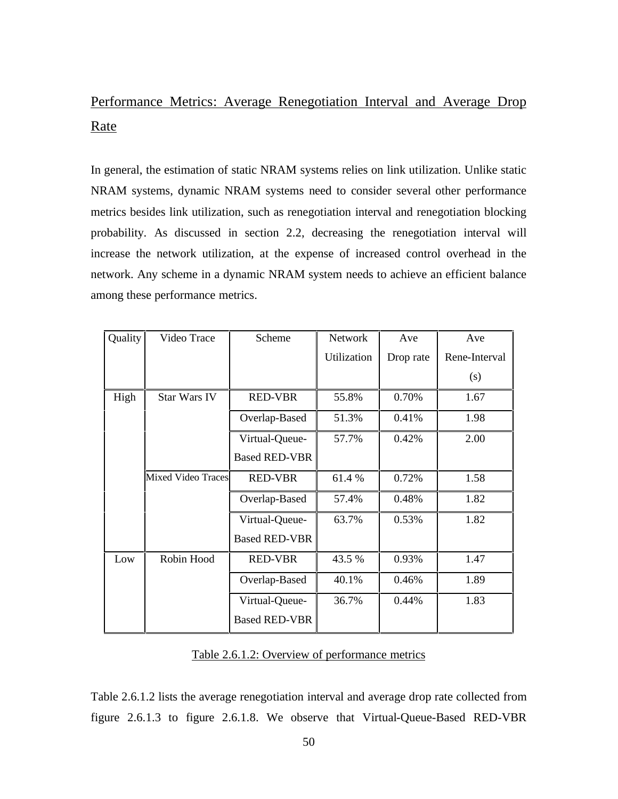# Performance Metrics: Average Renegotiation Interval and Average Drop Rate

In general, the estimation of static NRAM systems relies on link utilization. Unlike static NRAM systems, dynamic NRAM systems need to consider several other performance metrics besides link utilization, such as renegotiation interval and renegotiation blocking probability. As discussed in section 2.2, decreasing the renegotiation interval will increase the network utilization, at the expense of increased control overhead in the network. Any scheme in a dynamic NRAM system needs to achieve an efficient balance among these performance metrics.

| Quality | Video Trace               | Scheme               | <b>Network</b> | Ave       | Ave           |
|---------|---------------------------|----------------------|----------------|-----------|---------------|
|         |                           |                      | Utilization    | Drop rate | Rene-Interval |
|         |                           |                      |                |           | (s)           |
| High    | <b>Star Wars IV</b>       | <b>RED-VBR</b>       | 55.8%          | 0.70%     | 1.67          |
|         |                           | Overlap-Based        | 51.3%          | 0.41%     | 1.98          |
|         |                           | Virtual-Queue-       | 57.7%          | 0.42%     | 2.00          |
|         |                           | <b>Based RED-VBR</b> |                |           |               |
|         | <b>Mixed Video Traces</b> | <b>RED-VBR</b>       | 61.4%          | 0.72%     | 1.58          |
|         |                           | Overlap-Based        | 57.4%          | 0.48%     | 1.82          |
|         |                           | Virtual-Queue-       | 63.7%          | 0.53%     | 1.82          |
|         |                           | <b>Based RED-VBR</b> |                |           |               |
| Low     | Robin Hood                | <b>RED-VBR</b>       | 43.5 %         | 0.93%     | 1.47          |
|         |                           | Overlap-Based        | 40.1%          | 0.46%     | 1.89          |
|         |                           | Virtual-Queue-       | 36.7%          | 0.44%     | 1.83          |
|         |                           | <b>Based RED-VBR</b> |                |           |               |

Table 2.6.1.2: Overview of performance metrics

Table 2.6.1.2 lists the average renegotiation interval and average drop rate collected from figure 2.6.1.3 to figure 2.6.1.8. We observe that Virtual-Queue-Based RED-VBR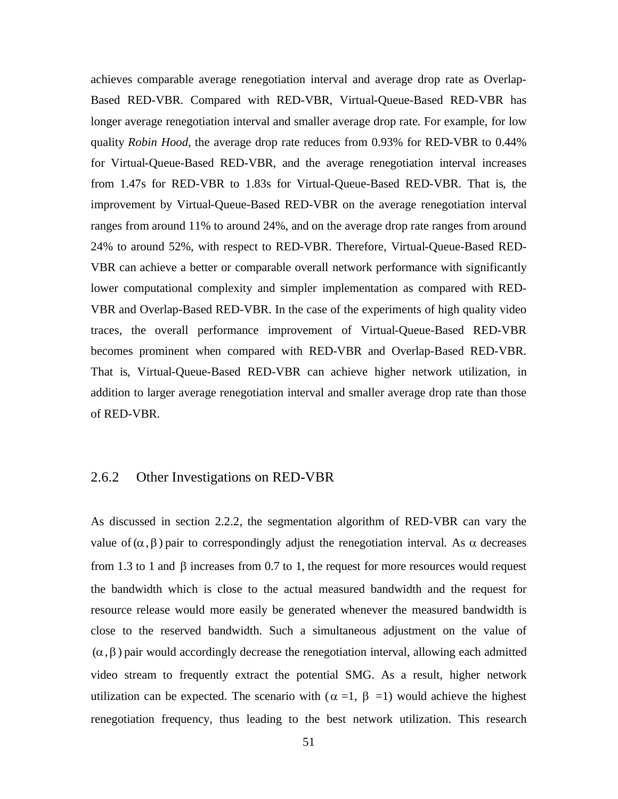achieves comparable average renegotiation interval and average drop rate as Overlap-Based RED-VBR. Compared with RED-VBR, Virtual-Queue-Based RED-VBR has longer average renegotiation interval and smaller average drop rate. For example, for low quality *Robin Hood*, the average drop rate reduces from 0.93% for RED-VBR to 0.44% for Virtual-Queue-Based RED-VBR, and the average renegotiation interval increases from 1.47s for RED-VBR to 1.83s for Virtual-Queue-Based RED-VBR. That is, the improvement by Virtual-Queue-Based RED-VBR on the average renegotiation interval ranges from around 11% to around 24%, and on the average drop rate ranges from around 24% to around 52%, with respect to RED-VBR. Therefore, Virtual-Queue-Based RED-VBR can achieve a better or comparable overall network performance with significantly lower computational complexity and simpler implementation as compared with RED-VBR and Overlap-Based RED-VBR. In the case of the experiments of high quality video traces, the overall performance improvement of Virtual-Queue-Based RED-VBR becomes prominent when compared with RED-VBR and Overlap-Based RED-VBR. That is, Virtual-Queue-Based RED-VBR can achieve higher network utilization, in addition to larger average renegotiation interval and smaller average drop rate than those of RED-VBR.

### 2.6.2 Other Investigations on RED-VBR

As discussed in section 2.2.2, the segmentation algorithm of RED-VBR can vary the value of  $(\alpha, \beta)$  pair to correspondingly adjust the renegotiation interval. As  $\alpha$  decreases from 1.3 to 1 and  $\beta$  increases from 0.7 to 1, the request for more resources would request the bandwidth which is close to the actual measured bandwidth and the request for resource release would more easily be generated whenever the measured bandwidth is close to the reserved bandwidth. Such a simultaneous adjustment on the value of  $(\alpha, \beta)$  pair would accordingly decrease the renegotiation interval, allowing each admitted video stream to frequently extract the potential SMG. As a result, higher network utilization can be expected. The scenario with  $(\alpha =1, \beta =1)$  would achieve the highest renegotiation frequency, thus leading to the best network utilization. This research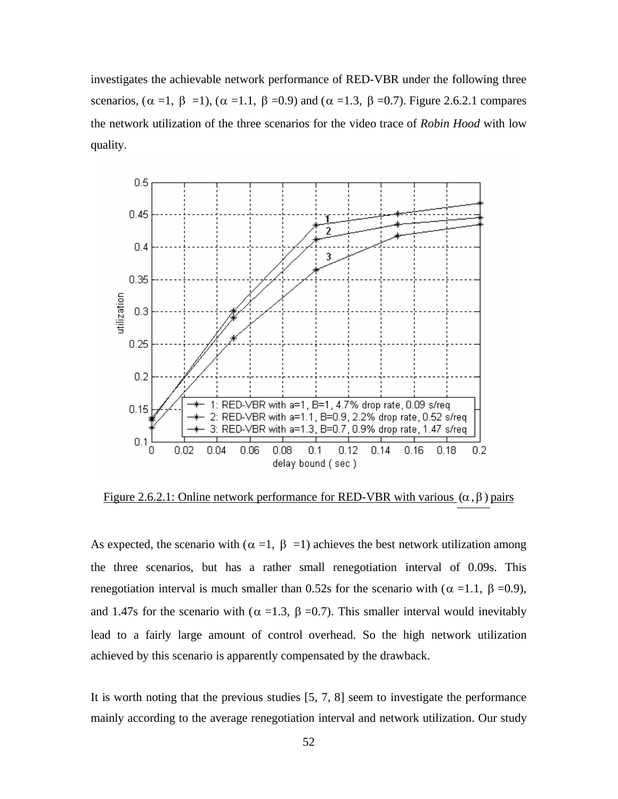investigates the achievable network performance of RED-VBR under the following three scenarios,  $(\alpha =1, \beta =1)$ ,  $(\alpha =1.1, \beta =0.9)$  and  $(\alpha =1.3, \beta =0.7)$ . Figure 2.6.2.1 compares the network utilization of the three scenarios for the video trace of *Robin Hood* with low quality.



Figure 2.6.2.1: Online network performance for RED-VBR with various  $(\alpha, \beta)$  pairs

As expected, the scenario with ( $\alpha =1$ ,  $\beta =1$ ) achieves the best network utilization among the three scenarios, but has a rather small renegotiation interval of 0.09s. This renegotiation interval is much smaller than 0.52s for the scenario with ( $\alpha =1.1$ ,  $\beta =0.9$ ), and 1.47s for the scenario with ( $\alpha =1.3$ ,  $\beta =0.7$ ). This smaller interval would inevitably lead to a fairly large amount of control overhead. So the high network utilization achieved by this scenario is apparently compensated by the drawback.

It is worth noting that the previous studies [5, 7, 8] seem to investigate the performance mainly according to the average renegotiation interval and network utilization. Our study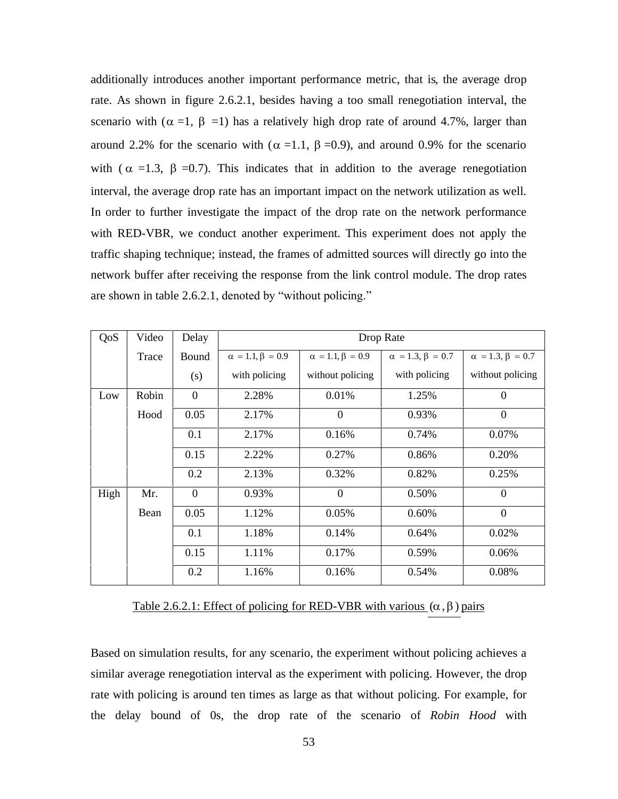additionally introduces another important performance metric, that is, the average drop rate. As shown in figure 2.6.2.1, besides having a too small renegotiation interval, the scenario with ( $\alpha =1$ ,  $\beta =1$ ) has a relatively high drop rate of around 4.7%, larger than around 2.2% for the scenario with  $(\alpha =1.1, \beta =0.9)$ , and around 0.9% for the scenario with ( $\alpha$  =1.3,  $\beta$  =0.7). This indicates that in addition to the average renegotiation interval, the average drop rate has an important impact on the network utilization as well. In order to further investigate the impact of the drop rate on the network performance with RED-VBR, we conduct another experiment. This experiment does not apply the traffic shaping technique; instead, the frames of admitted sources will directly go into the network buffer after receiving the response from the link control module. The drop rates are shown in table 2.6.2.1, denoted by "without policing."

| QoS  | Video | Delay        | Drop Rate                   |                             |                             |                             |
|------|-------|--------------|-----------------------------|-----------------------------|-----------------------------|-----------------------------|
|      | Trace | <b>Bound</b> | $\alpha = 1.1, \beta = 0.9$ | $\alpha = 1.1, \beta = 0.9$ | $\alpha = 1.3, \beta = 0.7$ | $\alpha = 1.3, \beta = 0.7$ |
|      |       | (s)          | with policing               | without policing            | with policing               | without policing            |
| Low  | Robin | $\Omega$     | 2.28%                       | 0.01%                       | 1.25%                       | $\theta$                    |
|      | Hood  | 0.05         | 2.17%                       | $\boldsymbol{0}$            | 0.93%                       | $\mathbf{0}$                |
|      |       | 0.1          | 2.17%                       | 0.16%                       | 0.74%                       | 0.07%                       |
|      |       | 0.15         | 2.22%                       | 0.27%                       | 0.86%                       | 0.20%                       |
|      |       | 0.2          | 2.13%                       | 0.32%                       | 0.82%                       | 0.25%                       |
| High | Mr.   | $\Omega$     | 0.93%                       | $\theta$                    | 0.50%                       | $\theta$                    |
|      | Bean  | 0.05         | 1.12%                       | 0.05%                       | 0.60%                       | $\overline{0}$              |
|      |       | 0.1          | 1.18%                       | 0.14%                       | 0.64%                       | 0.02%                       |
|      |       | 0.15         | 1.11%                       | 0.17%                       | 0.59%                       | 0.06%                       |
|      |       | 0.2          | 1.16%                       | 0.16%                       | 0.54%                       | 0.08%                       |

Table 2.6.2.1: Effect of policing for RED-VBR with various  $(\alpha, \beta)$  pairs

Based on simulation results, for any scenario, the experiment without policing achieves a similar average renegotiation interval as the experiment with policing. However, the drop rate with policing is around ten times as large as that without policing. For example, for the delay bound of 0s, the drop rate of the scenario of *Robin Hood* with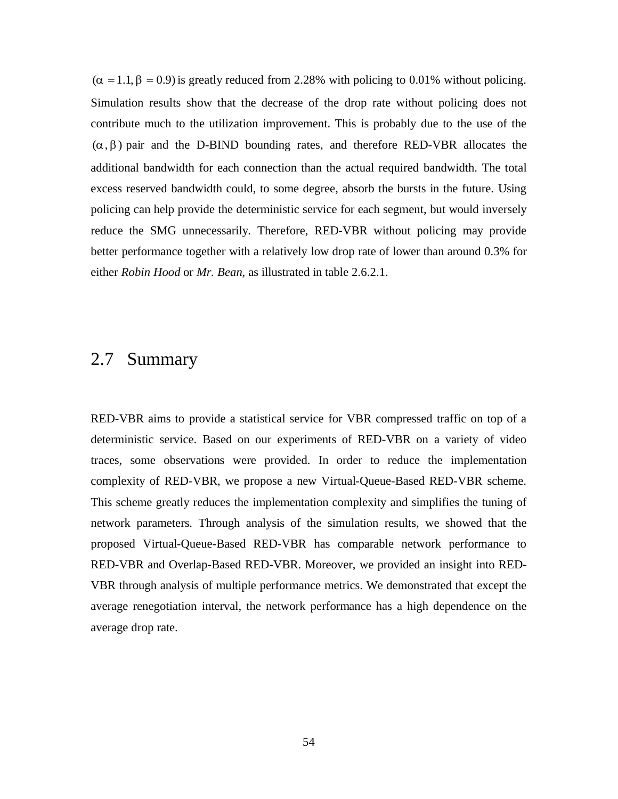$(\alpha = 1.1, \beta = 0.9)$  is greatly reduced from 2.28% with policing to 0.01% without policing. Simulation results show that the decrease of the drop rate without policing does not contribute much to the utilization improvement. This is probably due to the use of the  $(\alpha, \beta)$  pair and the D-BIND bounding rates, and therefore RED-VBR allocates the additional bandwidth for each connection than the actual required bandwidth. The total excess reserved bandwidth could, to some degree, absorb the bursts in the future. Using policing can help provide the deterministic service for each segment, but would inversely reduce the SMG unnecessarily. Therefore, RED-VBR without policing may provide better performance together with a relatively low drop rate of lower than around 0.3% for either *Robin Hood* or *Mr. Bean*, as illustrated in table 2.6.2.1.

### 2.7 Summary

RED-VBR aims to provide a statistical service for VBR compressed traffic on top of a deterministic service. Based on our experiments of RED-VBR on a variety of video traces, some observations were provided. In order to reduce the implementation complexity of RED-VBR, we propose a new Virtual-Queue-Based RED-VBR scheme. This scheme greatly reduces the implementation complexity and simplifies the tuning of network parameters. Through analysis of the simulation results, we showed that the proposed Virtual-Queue-Based RED-VBR has comparable network performance to RED-VBR and Overlap-Based RED-VBR. Moreover, we provided an insight into RED-VBR through analysis of multiple performance metrics. We demonstrated that except the average renegotiation interval, the network performance has a high dependence on the average drop rate.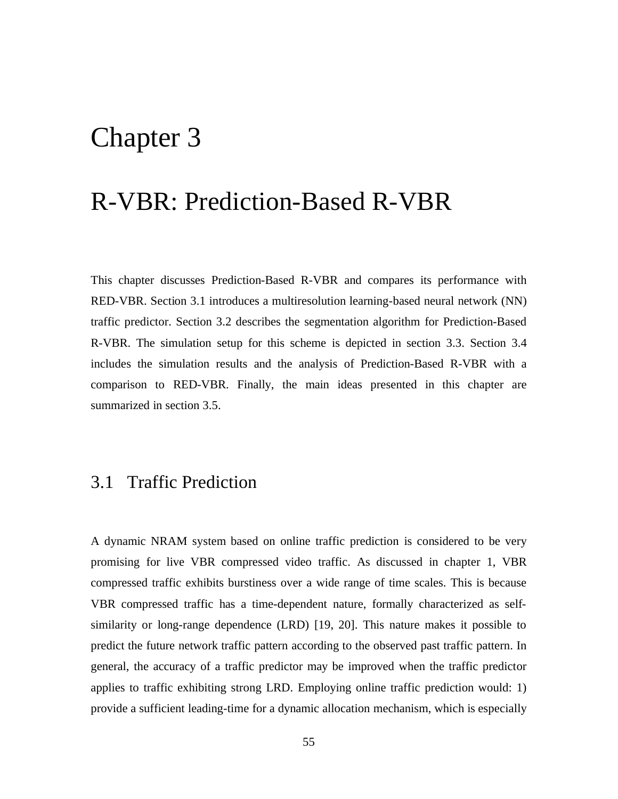# Chapter 3

# R-VBR: Prediction-Based R-VBR

This chapter discusses Prediction-Based R-VBR and compares its performance with RED-VBR. Section 3.1 introduces a multiresolution learning-based neural network (NN) traffic predictor. Section 3.2 describes the segmentation algorithm for Prediction-Based R-VBR. The simulation setup for this scheme is depicted in section 3.3. Section 3.4 includes the simulation results and the analysis of Prediction-Based R-VBR with a comparison to RED-VBR. Finally, the main ideas presented in this chapter are summarized in section 3.5.

## 3.1 Traffic Prediction

A dynamic NRAM system based on online traffic prediction is considered to be very promising for live VBR compressed video traffic. As discussed in chapter 1, VBR compressed traffic exhibits burstiness over a wide range of time scales. This is because VBR compressed traffic has a time-dependent nature, formally characterized as selfsimilarity or long-range dependence (LRD) [19, 20]. This nature makes it possible to predict the future network traffic pattern according to the observed past traffic pattern. In general, the accuracy of a traffic predictor may be improved when the traffic predictor applies to traffic exhibiting strong LRD. Employing online traffic prediction would: 1) provide a sufficient leading-time for a dynamic allocation mechanism, which is especially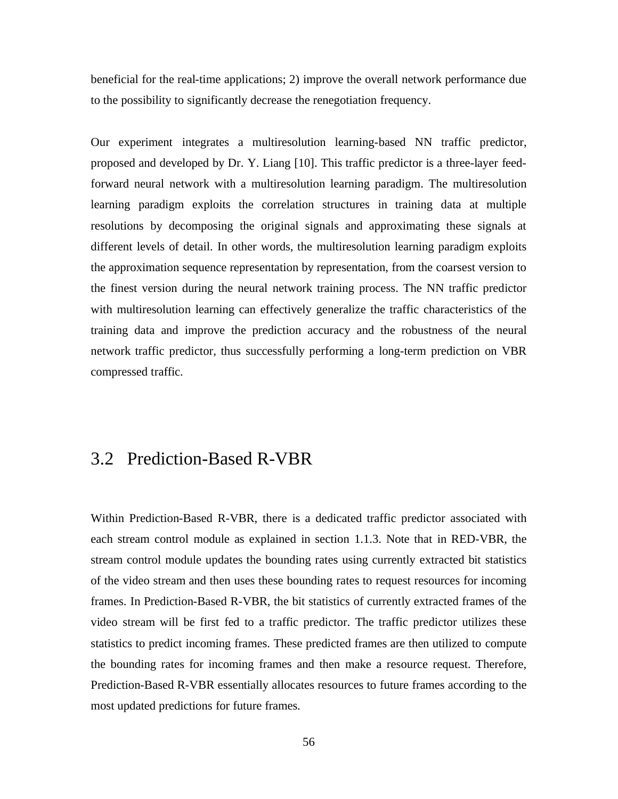beneficial for the real-time applications; 2) improve the overall network performance due to the possibility to significantly decrease the renegotiation frequency.

Our experiment integrates a multiresolution learning-based NN traffic predictor, proposed and developed by Dr. Y. Liang [10]. This traffic predictor is a three-layer feedforward neural network with a multiresolution learning paradigm. The multiresolution learning paradigm exploits the correlation structures in training data at multiple resolutions by decomposing the original signals and approximating these signals at different levels of detail. In other words, the multiresolution learning paradigm exploits the approximation sequence representation by representation, from the coarsest version to the finest version during the neural network training process. The NN traffic predictor with multiresolution learning can effectively generalize the traffic characteristics of the training data and improve the prediction accuracy and the robustness of the neural network traffic predictor, thus successfully performing a long-term prediction on VBR compressed traffic.

## 3.2 Prediction-Based R-VBR

Within Prediction-Based R-VBR, there is a dedicated traffic predictor associated with each stream control module as explained in section 1.1.3. Note that in RED-VBR, the stream control module updates the bounding rates using currently extracted bit statistics of the video stream and then uses these bounding rates to request resources for incoming frames. In Prediction-Based R-VBR, the bit statistics of currently extracted frames of the video stream will be first fed to a traffic predictor. The traffic predictor utilizes these statistics to predict incoming frames. These predicted frames are then utilized to compute the bounding rates for incoming frames and then make a resource request. Therefore, Prediction-Based R-VBR essentially allocates resources to future frames according to the most updated predictions for future frames.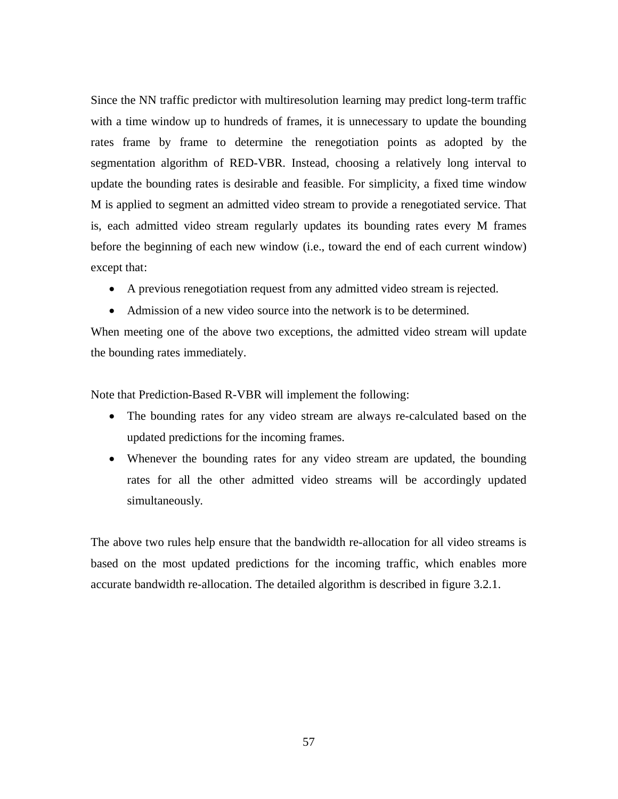Since the NN traffic predictor with multiresolution learning may predict long-term traffic with a time window up to hundreds of frames, it is unnecessary to update the bounding rates frame by frame to determine the renegotiation points as adopted by the segmentation algorithm of RED-VBR. Instead, choosing a relatively long interval to update the bounding rates is desirable and feasible. For simplicity, a fixed time window M is applied to segment an admitted video stream to provide a renegotiated service. That is, each admitted video stream regularly updates its bounding rates every M frames before the beginning of each new window (i.e., toward the end of each current window) except that:

- A previous renegotiation request from any admitted video stream is rejected.
- Admission of a new video source into the network is to be determined.

When meeting one of the above two exceptions, the admitted video stream will update the bounding rates immediately.

Note that Prediction-Based R-VBR will implement the following:

- The bounding rates for any video stream are always re-calculated based on the updated predictions for the incoming frames.
- Whenever the bounding rates for any video stream are updated, the bounding rates for all the other admitted video streams will be accordingly updated simultaneously.

The above two rules help ensure that the bandwidth re-allocation for all video streams is based on the most updated predictions for the incoming traffic, which enables more accurate bandwidth re-allocation. The detailed algorithm is described in figure 3.2.1.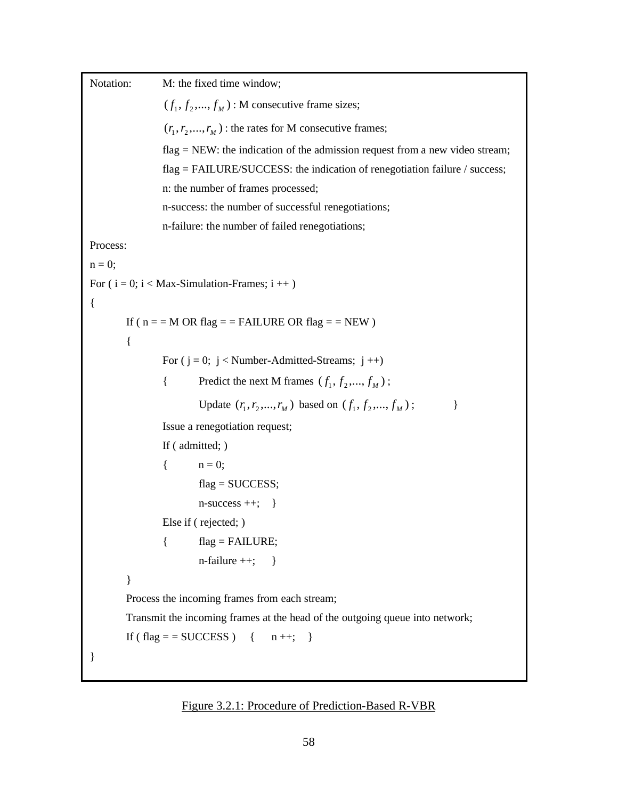```
Notation: M: the fixed time window;
                (f_1, f_2, \ldots, f_M): M consecutive frame sizes;
                (r_1, r_2, \ldots, r_M): the rates for M consecutive frames;
                flag = NEW: the indication of the admission request from a new video stream;
                flag = FAILURE/SUCCESS: the indication of renegotiation failure / success; 
                n: the number of frames processed;
                n-success: the number of successful renegotiations;
                n-failure: the number of failed renegotiations;
Process:
n = 0;For (i = 0; i < Max-Simulation-Frames; i +)
{
        If ( n = M OR flag = = FAILURE OR flag = = NEW )
        {
                For (j = 0; j < Number-Admitted-Streams; j +)
                { Predict the next M frames (f_1, f_2, ..., f_M);
                        Update (r_1, r_2, ..., r_M) based on (f_1, f_2, ..., f_M);
                Issue a renegotiation request;
                If ( admitted; ) 
                { n = 0;flag = SUCCESS; 
                        n-success ++; }
                Else if ( rejected; ) 
                {\text{flag} = \text{FAILURE};n-failure ++; }
        }
        Process the incoming frames from each stream;
        Transmit the incoming frames at the head of the outgoing queue into network;
        If ( flag = = SUCCESS ) { n +; }
}
```
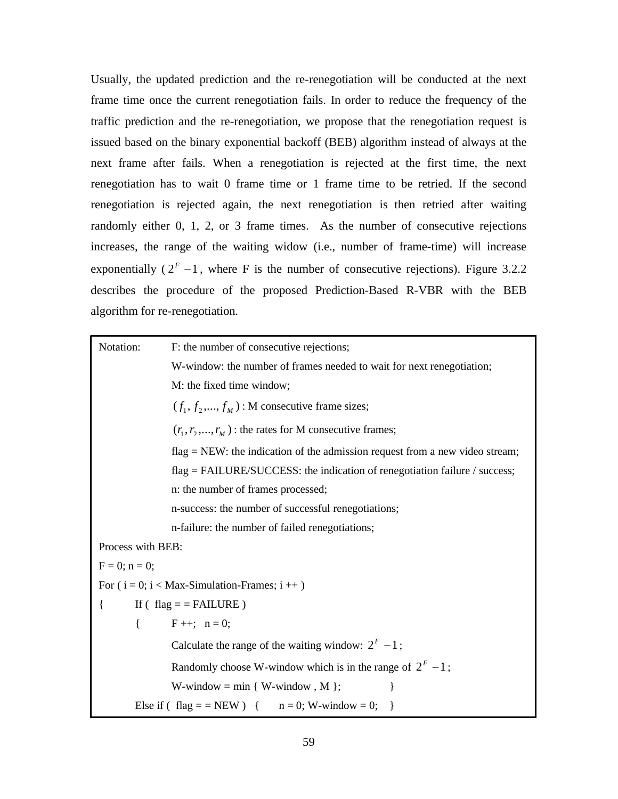Usually, the updated prediction and the re-renegotiation will be conducted at the next frame time once the current renegotiation fails. In order to reduce the frequency of the traffic prediction and the re-renegotiation, we propose that the renegotiation request is issued based on the binary exponential backoff (BEB) algorithm instead of always at the next frame after fails. When a renegotiation is rejected at the first time, the next renegotiation has to wait 0 frame time or 1 frame time to be retried. If the second renegotiation is rejected again, the next renegotiation is then retried after waiting randomly either 0, 1, 2, or 3 frame times. As the number of consecutive rejections increases, the range of the waiting widow (i.e., number of frame-time) will increase exponentially  $(2<sup>F</sup> - 1)$ , where F is the number of consecutive rejections). Figure 3.2.2 describes the procedure of the proposed Prediction-Based R-VBR with the BEB algorithm for re-renegotiation.

| Notation:           | F: the number of consecutive rejections;                                        |
|---------------------|---------------------------------------------------------------------------------|
|                     | W-window: the number of frames needed to wait for next renegotiation;           |
|                     | M: the fixed time window;                                                       |
|                     | $(f_1, f_2, , f_M)$ : M consecutive frame sizes;                                |
|                     | $(r_1, r_2,, r_M)$ : the rates for M consecutive frames;                        |
|                     | $flag = NEW$ : the indication of the admission request from a new video stream; |
|                     | flag = FAILURE/SUCCESS: the indication of renegotiation failure / success;      |
|                     | n: the number of frames processed;                                              |
|                     | n-success: the number of successful renegotiations;                             |
|                     | n-failure: the number of failed renegotiations;                                 |
| Process with BEB:   |                                                                                 |
| $F = 0$ ; $n = 0$ ; |                                                                                 |
|                     | For ( $i = 0$ ; $i <$ Max-Simulation-Frames; $i +$ )                            |
| $\{$                | If ( $flag = = FAILURE$ )                                                       |
| $\{$                | $F + 1; n = 0;$                                                                 |
|                     | Calculate the range of the waiting window: $2^F - 1$ ;                          |
|                     | Randomly choose W-window which is in the range of $2^F - 1$ ;                   |
|                     | W-window = $min \{ W\text{-window}, M \}$ ;                                     |
|                     | Else if ( $flag = = NEW$ ) { $n = 0$ ; W-window = 0;                            |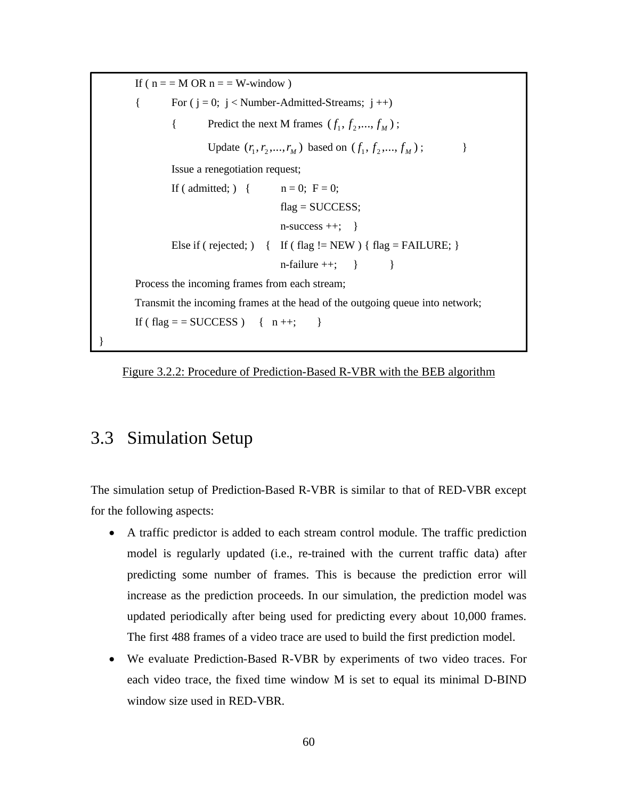If (  $n = M OR n = W$ -window ) { For  $(j = 0; j <$  Number-Admitted-Streams;  $j +$ +) { Predict the next M frames  $(f_1, f_2, ..., f_M)$ ; Update  $(r_1, r_2, ..., r_M)$  based on  $(f_1, f_2, ..., f_M)$ ; Issue a renegotiation request; If ( admitted; ) {  $n = 0$ ;  $F = 0$ ;  $flag = SUCCESS;$  $n$ -success  $++; \quad}$ Else if ( rejected; ) { If ( flag  $!=$  NEW ) { flag = FAILURE; } n-failure ++; } } Process the incoming frames from each stream; Transmit the incoming frames at the head of the outgoing queue into network; If ( flag = = SUCCESS ) {  $n +$ ; } }



# 3.3 Simulation Setup

The simulation setup of Prediction-Based R-VBR is similar to that of RED-VBR except for the following aspects:

- A traffic predictor is added to each stream control module. The traffic prediction model is regularly updated (i.e., re-trained with the current traffic data) after predicting some number of frames. This is because the prediction error will increase as the prediction proceeds. In our simulation, the prediction model was updated periodically after being used for predicting every about 10,000 frames. The first 488 frames of a video trace are used to build the first prediction model.
- We evaluate Prediction-Based R-VBR by experiments of two video traces. For each video trace, the fixed time window M is set to equal its minimal D-BIND window size used in RED-VBR.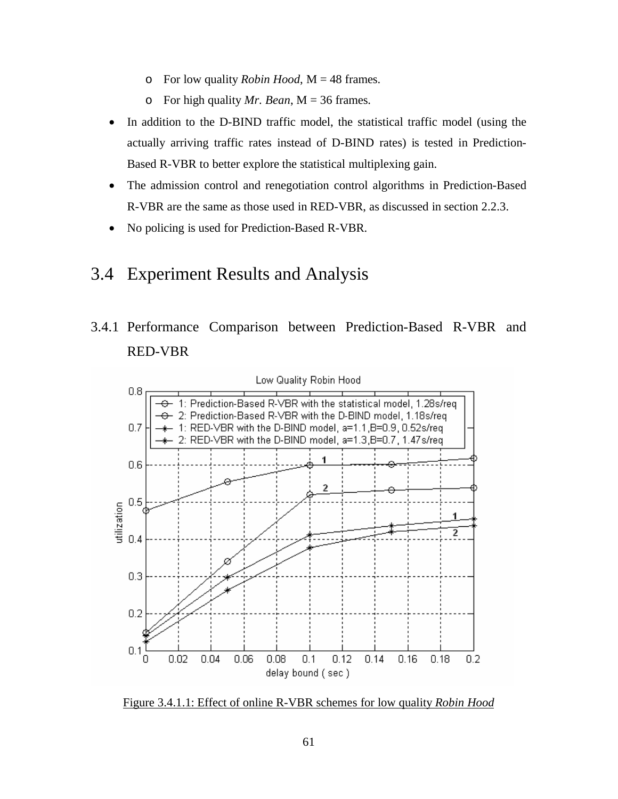- o For low quality *Robin Hood*, M = 48 frames.
- $\circ$  For high quality *Mr. Bean*, M = 36 frames.
- In addition to the D-BIND traffic model, the statistical traffic model (using the actually arriving traffic rates instead of D-BIND rates) is tested in Prediction-Based R-VBR to better explore the statistical multiplexing gain.
- The admission control and renegotiation control algorithms in Prediction-Based R-VBR are the same as those used in RED-VBR, as discussed in section 2.2.3.
- No policing is used for Prediction-Based R-VBR.

# 3.4 Experiment Results and Analysis

3.4.1 Performance Comparison between Prediction-Based R-VBR and RED-VBR



Figure 3.4.1.1: Effect of online R-VBR schemes for low quality *Robin Hood*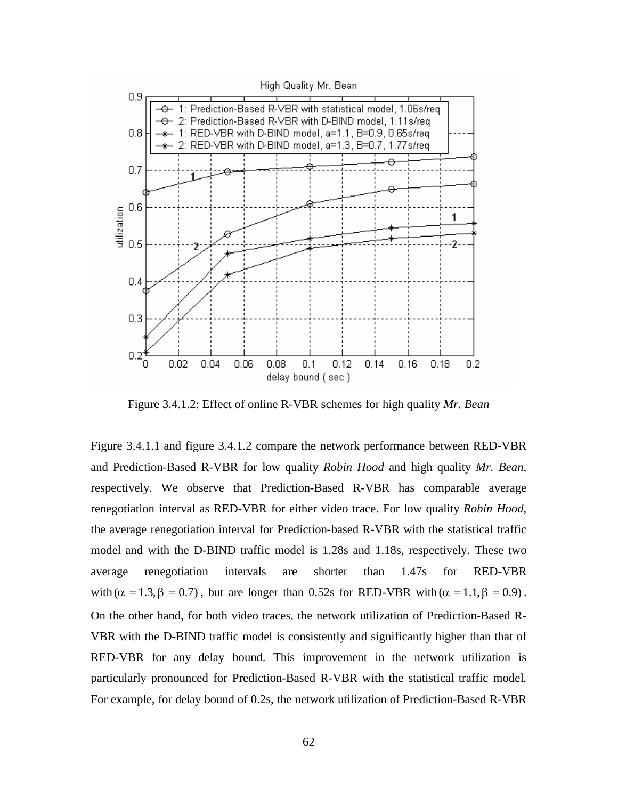

Figure 3.4.1.2: Effect of online R-VBR schemes for high quality *Mr. Bean*

Figure 3.4.1.1 and figure 3.4.1.2 compare the network performance between RED-VBR and Prediction-Based R-VBR for low quality *Robin Hood* and high quality *Mr. Bean*, respectively. We observe that Prediction-Based R-VBR has comparable average renegotiation interval as RED-VBR for either video trace. For low quality *Robin Hood,*  the average renegotiation interval for Prediction-based R-VBR with the statistical traffic model and with the D-BIND traffic model is 1.28s and 1.18s, respectively. These two average renegotiation intervals are shorter than 1.47s for RED-VBR with  $(\alpha = 1.3, \beta = 0.7)$ , but are longer than 0.52s for RED-VBR with  $(\alpha = 1.1, \beta = 0.9)$ . On the other hand, for both video traces, the network utilization of Prediction-Based R-VBR with the D-BIND traffic model is consistently and significantly higher than that of RED-VBR for any delay bound. This improvement in the network utilization is particularly pronounced for Prediction-Based R-VBR with the statistical traffic model. For example, for delay bound of 0.2s, the network utilization of Prediction-Based R-VBR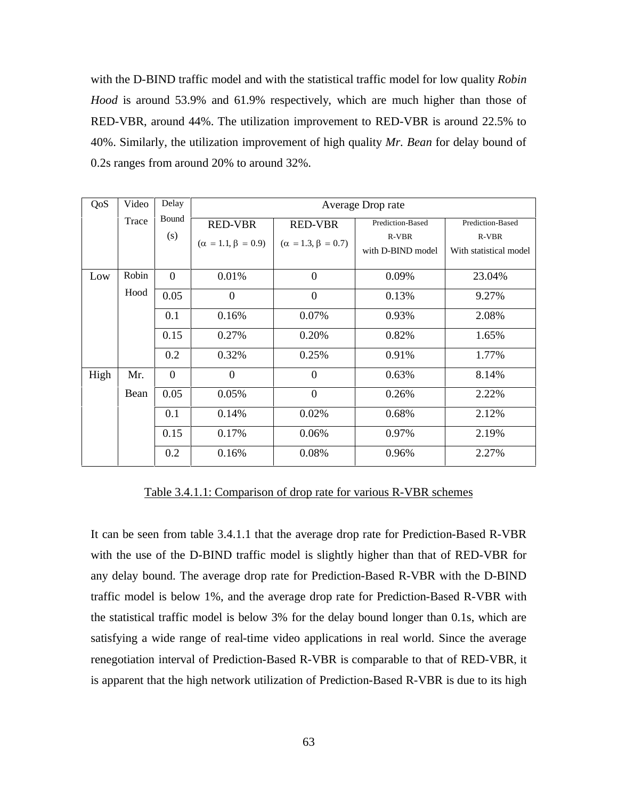with the D-BIND traffic model and with the statistical traffic model for low quality *Robin Hood* is around 53.9% and 61.9% respectively, which are much higher than those of RED-VBR, around 44%. The utilization improvement to RED-VBR is around 22.5% to 40%. Similarly, the utilization improvement of high quality *Mr. Bean* for delay bound of 0.2s ranges from around 20% to around 32%.

| QoS  | Video | Delay    | Average Drop rate             |                               |                   |                        |
|------|-------|----------|-------------------------------|-------------------------------|-------------------|------------------------|
|      | Trace | Bound    | <b>RED-VBR</b>                | <b>RED-VBR</b>                | Prediction-Based  | Prediction-Based       |
|      |       | (s)      | $(\alpha = 1.1, \beta = 0.9)$ | $(\alpha = 1.3, \beta = 0.7)$ | R-VBR             | R-VBR                  |
|      |       |          |                               |                               | with D-BIND model | With statistical model |
| Low  | Robin | $\Omega$ | 0.01%                         | $\overline{0}$                | 0.09%             | 23.04%                 |
|      | Hood  | 0.05     | $\theta$                      | $\mathbf{0}$                  | 0.13%             | 9.27%                  |
|      |       | 0.1      | 0.16%                         | 0.07%                         | 0.93%             | 2.08%                  |
|      |       | 0.15     | 0.27%                         | 0.20%                         | 0.82%             | 1.65%                  |
|      |       | 0.2      | 0.32%                         | 0.25%                         | 0.91%             | 1.77%                  |
| High | Mr.   | $\theta$ | $\theta$                      | $\theta$                      | 0.63%             | 8.14%                  |
|      | Bean  | 0.05     | 0.05%                         | $\mathbf{0}$                  | 0.26%             | 2.22%                  |
|      |       | 0.1      | 0.14%                         | 0.02%                         | 0.68%             | 2.12%                  |
|      |       | 0.15     | 0.17%                         | 0.06%                         | 0.97%             | 2.19%                  |
|      |       | 0.2      | 0.16%                         | 0.08%                         | 0.96%             | 2.27%                  |

Table 3.4.1.1: Comparison of drop rate for various R-VBR schemes

It can be seen from table 3.4.1.1 that the average drop rate for Prediction-Based R-VBR with the use of the D-BIND traffic model is slightly higher than that of RED-VBR for any delay bound. The average drop rate for Prediction-Based R-VBR with the D-BIND traffic model is below 1%, and the average drop rate for Prediction-Based R-VBR with the statistical traffic model is below 3% for the delay bound longer than 0.1s, which are satisfying a wide range of real-time video applications in real world. Since the average renegotiation interval of Prediction-Based R-VBR is comparable to that of RED-VBR, it is apparent that the high network utilization of Prediction-Based R-VBR is due to its high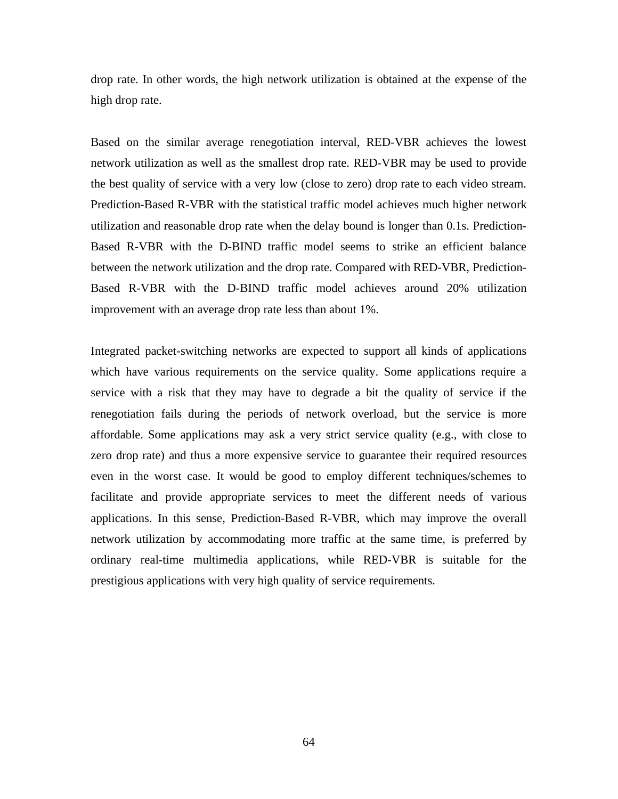drop rate. In other words, the high network utilization is obtained at the expense of the high drop rate.

Based on the similar average renegotiation interval, RED-VBR achieves the lowest network utilization as well as the smallest drop rate. RED-VBR may be used to provide the best quality of service with a very low (close to zero) drop rate to each video stream. Prediction-Based R-VBR with the statistical traffic model achieves much higher network utilization and reasonable drop rate when the delay bound is longer than 0.1s. Prediction-Based R-VBR with the D-BIND traffic model seems to strike an efficient balance between the network utilization and the drop rate. Compared with RED-VBR, Prediction-Based R-VBR with the D-BIND traffic model achieves around 20% utilization improvement with an average drop rate less than about 1%.

Integrated packet-switching networks are expected to support all kinds of applications which have various requirements on the service quality. Some applications require a service with a risk that they may have to degrade a bit the quality of service if the renegotiation fails during the periods of network overload, but the service is more affordable. Some applications may ask a very strict service quality (e.g., with close to zero drop rate) and thus a more expensive service to guarantee their required resources even in the worst case. It would be good to employ different techniques/schemes to facilitate and provide appropriate services to meet the different needs of various applications. In this sense, Prediction-Based R-VBR, which may improve the overall network utilization by accommodating more traffic at the same time, is preferred by ordinary real-time multimedia applications, while RED-VBR is suitable for the prestigious applications with very high quality of service requirements.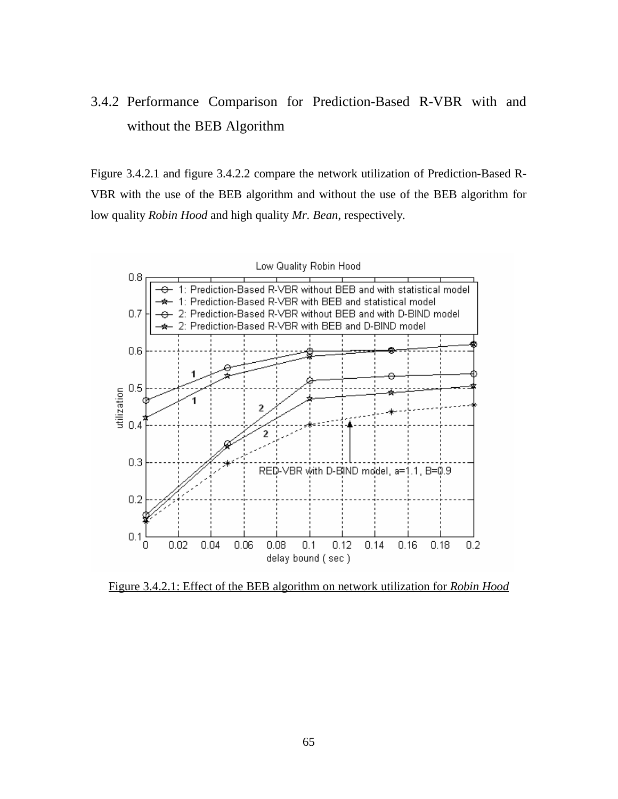### 3.4.2 Performance Comparison for Prediction-Based R-VBR with and without the BEB Algorithm

Figure 3.4.2.1 and figure 3.4.2.2 compare the network utilization of Prediction-Based R-VBR with the use of the BEB algorithm and without the use of the BEB algorithm for low quality *Robin Hood* and high quality *Mr. Bean*, respectively.



Figure 3.4.2.1: Effect of the BEB algorithm on network utilization for *Robin Hood*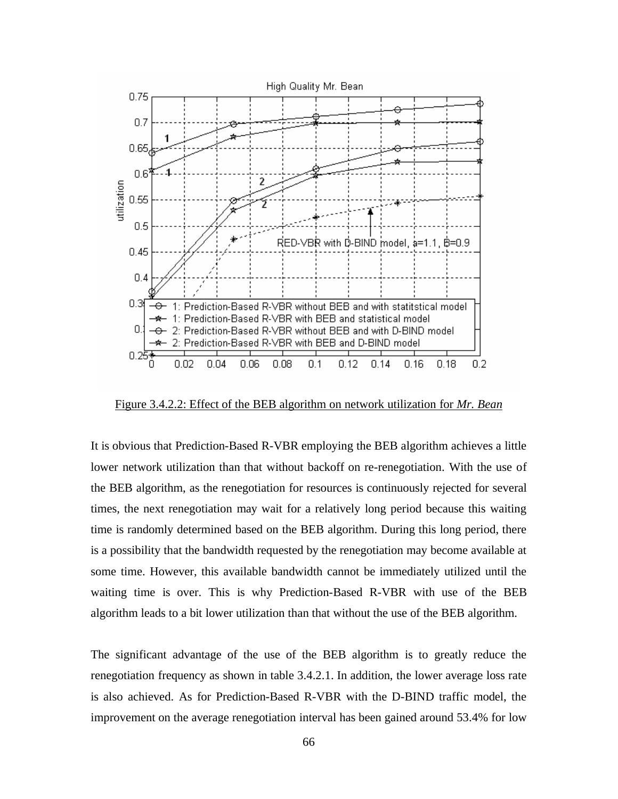

Figure 3.4.2.2: Effect of the BEB algorithm on network utilization for *Mr. Bean*

It is obvious that Prediction-Based R-VBR employing the BEB algorithm achieves a little lower network utilization than that without backoff on re-renegotiation. With the use of the BEB algorithm, as the renegotiation for resources is continuously rejected for several times, the next renegotiation may wait for a relatively long period because this waiting time is randomly determined based on the BEB algorithm. During this long period, there is a possibility that the bandwidth requested by the renegotiation may become available at some time. However, this available bandwidth cannot be immediately utilized until the waiting time is over. This is why Prediction-Based R-VBR with use of the BEB algorithm leads to a bit lower utilization than that without the use of the BEB algorithm.

The significant advantage of the use of the BEB algorithm is to greatly reduce the renegotiation frequency as shown in table 3.4.2.1. In addition, the lower average loss rate is also achieved. As for Prediction-Based R-VBR with the D-BIND traffic model, the improvement on the average renegotiation interval has been gained around 53.4% for low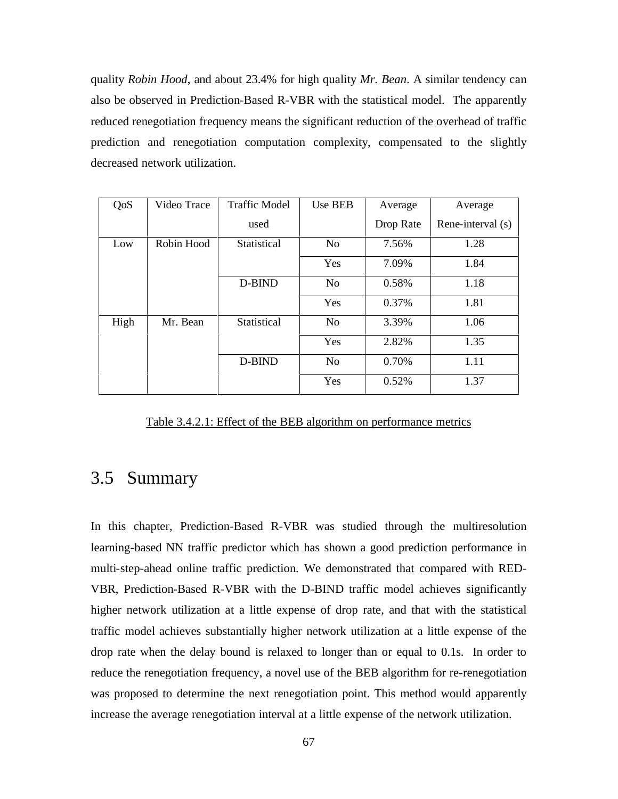quality *Robin Hood*, and about 23.4% for high quality *Mr. Bean*. A similar tendency can also be observed in Prediction-Based R-VBR with the statistical model. The apparently reduced renegotiation frequency means the significant reduction of the overhead of traffic prediction and renegotiation computation complexity, compensated to the slightly decreased network utilization.

| QoS  | Video Trace | <b>Traffic Model</b> | Use BEB        | Average   | Average           |
|------|-------------|----------------------|----------------|-----------|-------------------|
|      |             | used                 |                | Drop Rate | Rene-interval (s) |
| Low  | Robin Hood  | Statistical          | N <sub>o</sub> | 7.56%     | 1.28              |
|      |             |                      | Yes            | 7.09%     | 1.84              |
|      |             | D-BIND               | N <sub>o</sub> | 0.58%     | 1.18              |
|      |             |                      | Yes            | 0.37%     | 1.81              |
| High | Mr. Bean    | Statistical          | N <sub>o</sub> | 3.39%     | 1.06              |
|      |             |                      | Yes            | 2.82%     | 1.35              |
|      |             | D-BIND               | N <sub>o</sub> | 0.70%     | 1.11              |
|      |             |                      | Yes            | 0.52%     | 1.37              |

Table 3.4.2.1: Effect of the BEB algorithm on performance metrics

#### 3.5 Summary

In this chapter, Prediction-Based R-VBR was studied through the multiresolution learning-based NN traffic predictor which has shown a good prediction performance in multi-step-ahead online traffic prediction. We demonstrated that compared with RED-VBR, Prediction-Based R-VBR with the D-BIND traffic model achieves significantly higher network utilization at a little expense of drop rate, and that with the statistical traffic model achieves substantially higher network utilization at a little expense of the drop rate when the delay bound is relaxed to longer than or equal to 0.1s. In order to reduce the renegotiation frequency, a novel use of the BEB algorithm for re-renegotiation was proposed to determine the next renegotiation point. This method would apparently increase the average renegotiation interval at a little expense of the network utilization.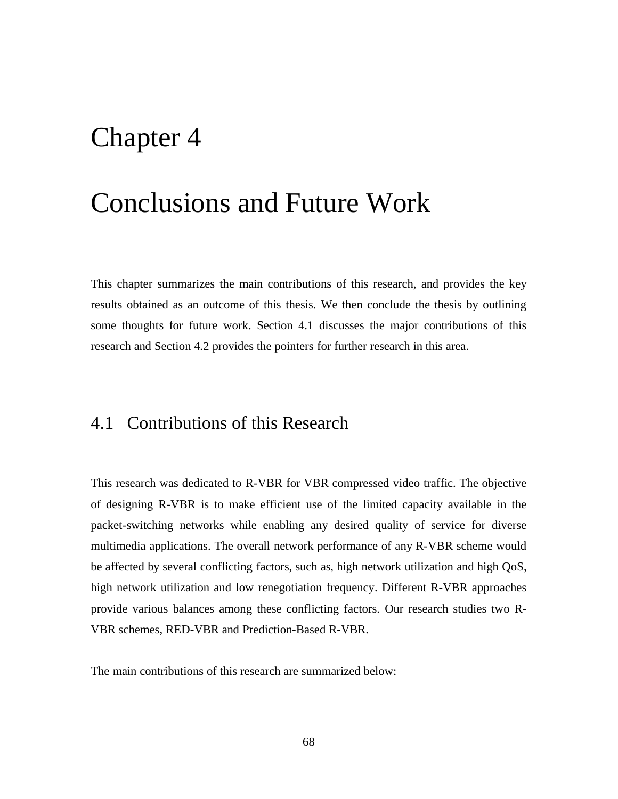# Chapter 4

# Conclusions and Future Work

This chapter summarizes the main contributions of this research, and provides the key results obtained as an outcome of this thesis. We then conclude the thesis by outlining some thoughts for future work. Section 4.1 discusses the major contributions of this research and Section 4.2 provides the pointers for further research in this area.

#### 4.1 Contributions of this Research

This research was dedicated to R-VBR for VBR compressed video traffic. The objective of designing R-VBR is to make efficient use of the limited capacity available in the packet-switching networks while enabling any desired quality of service for diverse multimedia applications. The overall network performance of any R-VBR scheme would be affected by several conflicting factors, such as, high network utilization and high QoS, high network utilization and low renegotiation frequency. Different R-VBR approaches provide various balances among these conflicting factors. Our research studies two R-VBR schemes, RED-VBR and Prediction-Based R-VBR.

The main contributions of this research are summarized below: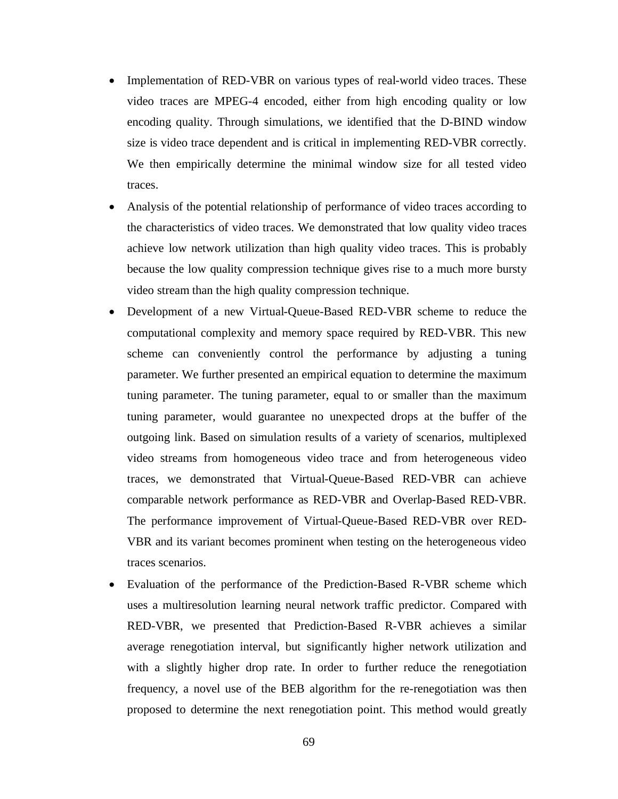- Implementation of RED-VBR on various types of real-world video traces. These video traces are MPEG-4 encoded, either from high encoding quality or low encoding quality. Through simulations, we identified that the D-BIND window size is video trace dependent and is critical in implementing RED-VBR correctly. We then empirically determine the minimal window size for all tested video traces.
- Analysis of the potential relationship of performance of video traces according to the characteristics of video traces. We demonstrated that low quality video traces achieve low network utilization than high quality video traces. This is probably because the low quality compression technique gives rise to a much more bursty video stream than the high quality compression technique.
- Development of a new Virtual-Queue-Based RED-VBR scheme to reduce the computational complexity and memory space required by RED-VBR. This new scheme can conveniently control the performance by adjusting a tuning parameter. We further presented an empirical equation to determine the maximum tuning parameter. The tuning parameter, equal to or smaller than the maximum tuning parameter, would guarantee no unexpected drops at the buffer of the outgoing link. Based on simulation results of a variety of scenarios, multiplexed video streams from homogeneous video trace and from heterogeneous video traces, we demonstrated that Virtual-Queue-Based RED-VBR can achieve comparable network performance as RED-VBR and Overlap-Based RED-VBR. The performance improvement of Virtual-Queue-Based RED-VBR over RED-VBR and its variant becomes prominent when testing on the heterogeneous video traces scenarios.
- Evaluation of the performance of the Prediction-Based R-VBR scheme which uses a multiresolution learning neural network traffic predictor. Compared with RED-VBR, we presented that Prediction-Based R-VBR achieves a similar average renegotiation interval, but significantly higher network utilization and with a slightly higher drop rate. In order to further reduce the renegotiation frequency, a novel use of the BEB algorithm for the re-renegotiation was then proposed to determine the next renegotiation point. This method would greatly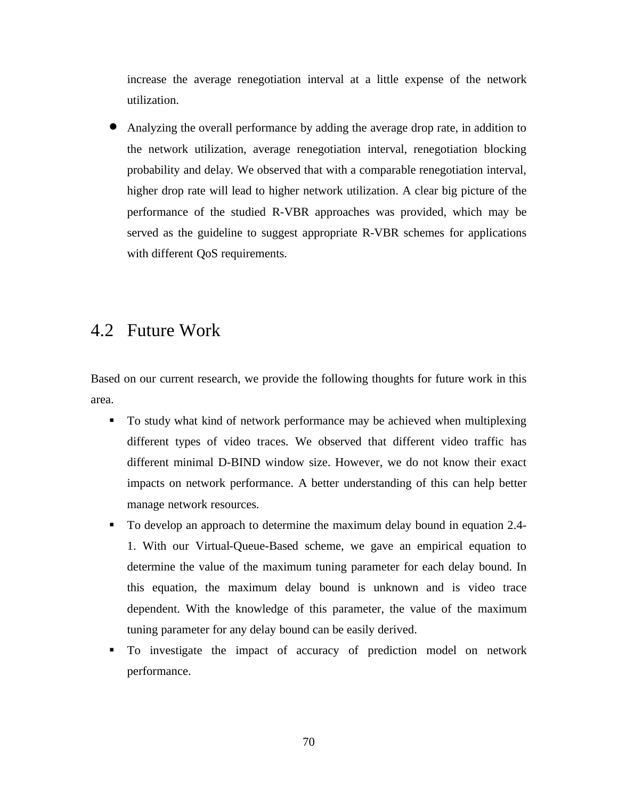increase the average renegotiation interval at a little expense of the network utilization.

 Analyzing the overall performance by adding the average drop rate, in addition to the network utilization, average renegotiation interval, renegotiation blocking probability and delay. We observed that with a comparable renegotiation interval, higher drop rate will lead to higher network utilization. A clear big picture of the performance of the studied R-VBR approaches was provided, which may be served as the guideline to suggest appropriate R-VBR schemes for applications with different QoS requirements.

#### 4.2 Future Work

Based on our current research, we provide the following thoughts for future work in this area.

- To study what kind of network performance may be achieved when multiplexing different types of video traces. We observed that different video traffic has different minimal D-BIND window size. However, we do not know their exact impacts on network performance. A better understanding of this can help better manage network resources.
- To develop an approach to determine the maximum delay bound in equation 2.4- 1. With our Virtual-Queue-Based scheme, we gave an empirical equation to determine the value of the maximum tuning parameter for each delay bound. In this equation, the maximum delay bound is unknown and is video trace dependent. With the knowledge of this parameter, the value of the maximum tuning parameter for any delay bound can be easily derived.
- To investigate the impact of accuracy of prediction model on network performance.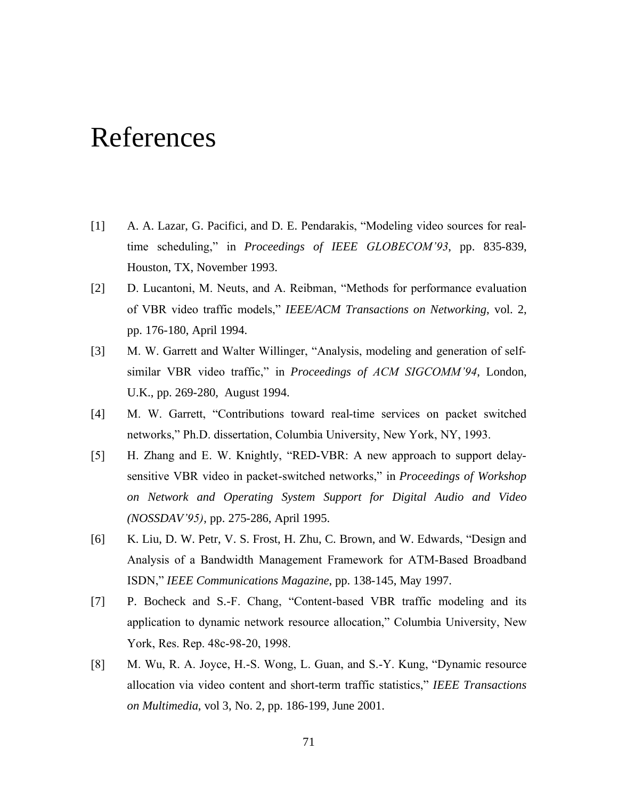## References

- [1] A. A. Lazar, G. Pacifici, and D. E. Pendarakis, "Modeling video sources for realtime scheduling," in *Proceedings of IEEE GLOBECOM'93*, pp. 835-839, Houston, TX, November 1993.
- [2] D. Lucantoni, M. Neuts, and A. Reibman, "Methods for performance evaluation of VBR video traffic models," *IEEE/ACM Transactions on Networking*, vol. 2, pp. 176-180, April 1994.
- [3] M. W. Garrett and Walter Willinger, "Analysis, modeling and generation of selfsimilar VBR video traffic," in *Proceedings of ACM SIGCOMM'94*, London, U.K., pp. 269-280, August 1994.
- [4] M. W. Garrett, "Contributions toward real-time services on packet switched networks," Ph.D. dissertation, Columbia University, New York, NY, 1993.
- [5] H. Zhang and E. W. Knightly, "RED-VBR: A new approach to support delaysensitive VBR video in packet-switched networks," in *Proceedings of Workshop on Network and Operating System Support for Digital Audio and Video (NOSSDAV'95)*, pp. 275-286, April 1995.
- [6] K. Liu, D. W. Petr, V. S. Frost, H. Zhu, C. Brown, and W. Edwards, "Design and Analysis of a Bandwidth Management Framework for ATM-Based Broadband ISDN," *IEEE Communications Magazine*, pp. 138-145, May 1997.
- [7] P. Bocheck and S.-F. Chang, "Content-based VBR traffic modeling and its application to dynamic network resource allocation," Columbia University, New York, Res. Rep. 48c-98-20, 1998.
- [8] M. Wu, R. A. Joyce, H.-S. Wong, L. Guan, and S.-Y. Kung, "Dynamic resource allocation via video content and short-term traffic statistics," *IEEE Transactions on Multimedia*, vol 3, No. 2, pp. 186-199, June 2001.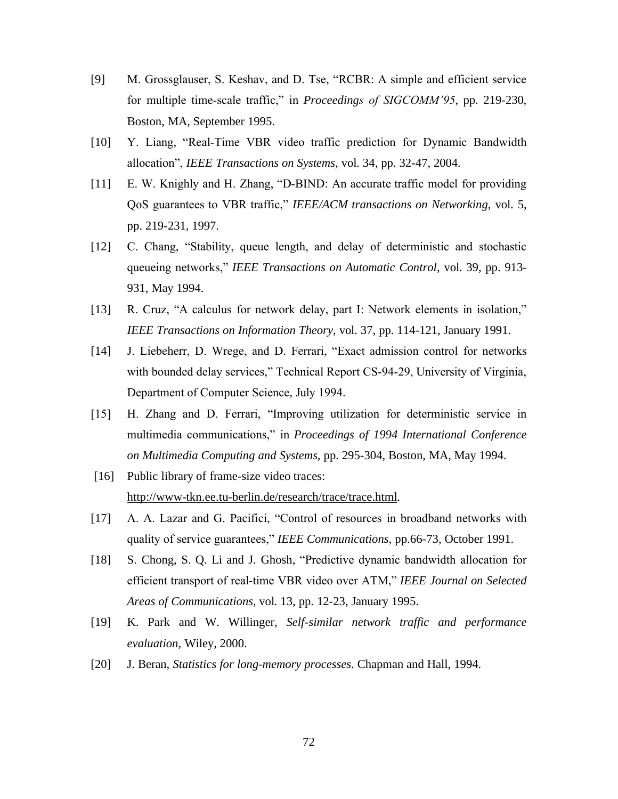- [9] M. Grossglauser, S. Keshav, and D. Tse, "RCBR: A simple and efficient service for multiple time-scale traffic," in *Proceedings of SIGCOMM'95*, pp. 219-230, Boston, MA, September 1995.
- [10] Y. Liang, "Real-Time VBR video traffic prediction for Dynamic Bandwidth allocation", *IEEE Transactions on Systems,* vol. 34, pp. 32-47, 2004.
- [11] E. W. Knighly and H. Zhang, "D-BIND: An accurate traffic model for providing QoS guarantees to VBR traffic," *IEEE/ACM transactions on Networking*, vol. 5, pp. 219-231, 1997.
- [12] C. Chang, "Stability, queue length, and delay of deterministic and stochastic queueing networks," *IEEE Transactions on Automatic Control*, vol. 39, pp. 913- 931, May 1994.
- [13] R. Cruz, "A calculus for network delay, part I: Network elements in isolation," *IEEE Transactions on Information Theory*, vol. 37, pp. 114-121, January 1991.
- [14] J. Liebeherr, D. Wrege, and D. Ferrari, "Exact admission control for networks with bounded delay services," Technical Report CS-94-29, University of Virginia, Department of Computer Science, July 1994.
- [15] H. Zhang and D. Ferrari, "Improving utilization for deterministic service in multimedia communications," in *Proceedings of 1994 International Conference on Multimedia Computing and Systems*, pp. 295-304, Boston, MA, May 1994.
- [16] Public library of frame-size video traces: http://www-tkn.ee.tu-berlin.de/research/trace/trace.html.
- [17] A. A. Lazar and G. Pacifici, "Control of resources in broadband networks with quality of service guarantees," *IEEE Communications*, pp.66-73, October 1991.
- [18] S. Chong, S. Q. Li and J. Ghosh, "Predictive dynamic bandwidth allocation for efficient transport of real-time VBR video over ATM," *IEEE Journal on Selected Areas of Communications*, vol. 13, pp. 12-23, January 1995.
- [19] K. Park and W. Willinger, *Self-similar network traffic and performance evaluation*, Wiley, 2000.
- [20] J. Beran, *Statistics for long-memory processes*. Chapman and Hall, 1994.